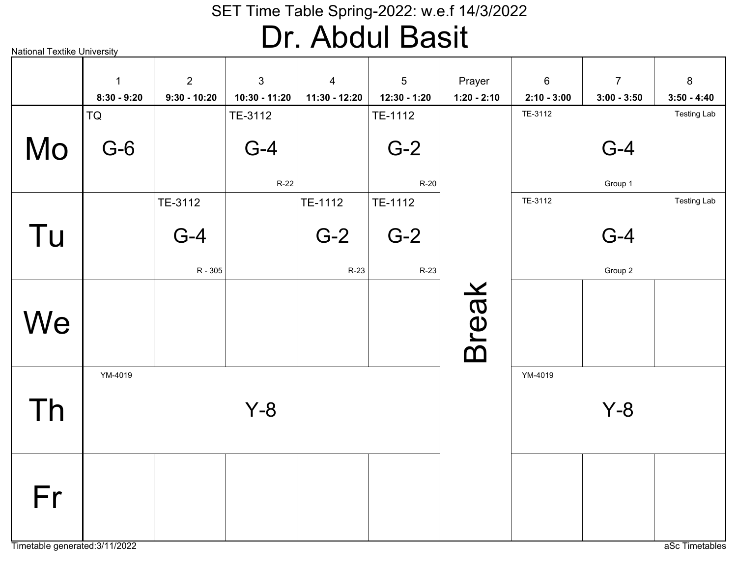# Dr. Abdul Basit

|    | $\mathbf 1$   | $\overline{2}$ | $\mathbf{3}$  | $\overline{4}$ | 5            | Prayer        | $6\phantom{1}$ | $\overline{7}$ | 8                  |
|----|---------------|----------------|---------------|----------------|--------------|---------------|----------------|----------------|--------------------|
|    | $8:30 - 9:20$ | $9:30 - 10:20$ | 10:30 - 11:20 | 11:30 - 12:20  | 12:30 - 1:20 | $1:20 - 2:10$ | $2:10 - 3:00$  | $3:00 - 3:50$  | $3:50 - 4:40$      |
|    | TQ            |                | TE-3112       |                | TE-1112      |               | TE-3112        |                | <b>Testing Lab</b> |
| Mo | $G-6$         |                | $G-4$         |                | $G-2$        |               |                | $G-4$          |                    |
|    |               |                | $R-22$        |                | $R-20$       |               |                | Group 1        |                    |
|    |               | TE-3112        |               | TE-1112        | TE-1112      |               | TE-3112        |                | <b>Testing Lab</b> |
| Tu |               | $G-4$          |               | $G-2$          | $G-2$        |               |                | $G-4$          |                    |
|    |               | R - 305        |               | R-23           | $R-23$       |               |                | Group 2        |                    |
| We |               |                |               |                |              | <b>Break</b>  |                |                |                    |
| Th | YM-4019       |                | $Y-8$         |                |              |               | YM-4019        | $Y-8$          |                    |
| Fr |               |                |               |                |              |               |                |                |                    |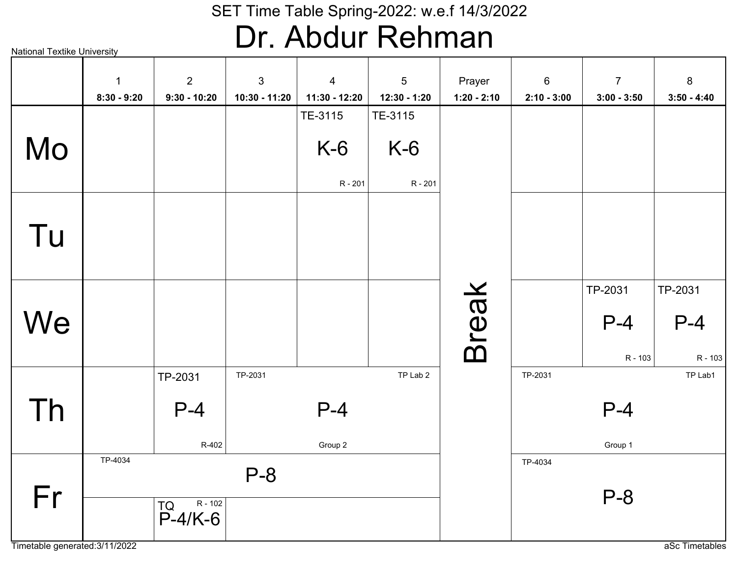# Dr. Abdur Rehman

|    | $\mathbf 1$<br>$8:30 - 9:20$ | $\overline{2}$<br>$9:30 - 10:20$  | $\mathbf{3}$<br>10:30 - 11:20 | $\overline{4}$<br>11:30 - 12:20 | $5\phantom{.}$<br>12:30 - 1:20 | Prayer<br>$1:20 - 2:10$ | 6<br>$2:10 - 3:00$ | $\overline{7}$<br>$3:00 - 3:50$ | 8<br>$3:50 - 4:40$          |
|----|------------------------------|-----------------------------------|-------------------------------|---------------------------------|--------------------------------|-------------------------|--------------------|---------------------------------|-----------------------------|
| Mo |                              |                                   |                               | TE-3115<br>$K-6$<br>R - 201     | TE-3115<br>K-6<br>R - 201      |                         |                    |                                 |                             |
| Tu |                              |                                   |                               |                                 |                                |                         |                    |                                 |                             |
| We |                              |                                   |                               |                                 |                                | <b>Break</b>            |                    | TP-2031<br>$P-4$<br>R - 103     | TP-2031<br>$P-4$<br>R - 103 |
| Th |                              | TP-2031<br>$P-4$<br>R-402         | TP-2031                       | $P-4$<br>Group 2                | TP Lab 2                       |                         | TP-2031            | $P-4$<br>Group 1                | TP Lab1                     |
| Fr | TP-4034                      | $R - 102$<br>$\frac{1}{10}$ R-102 | $P-8$                         |                                 |                                |                         | TP-4034            | $P-8$                           |                             |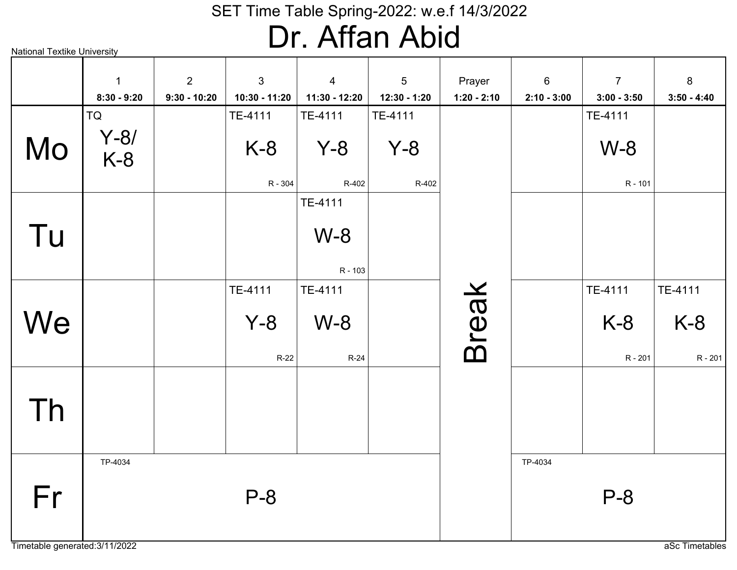### SET Time Table Spring-2022: w.e.f 14/3/2022Dr. Affan Abid

|    | $\mathbf{1}$    | $\overline{2}$ | $\mathfrak{S}$  | $\overline{4}$ | 5            | Prayer        | $6\phantom{1}$ | $\overline{7}$ | 8             |
|----|-----------------|----------------|-----------------|----------------|--------------|---------------|----------------|----------------|---------------|
|    | $8:30 - 9:20$   | $9:30 - 10:20$ | $10:30 - 11:20$ | 11:30 - 12:20  | 12:30 - 1:20 | $1:20 - 2:10$ | $2:10 - 3:00$  | $3:00 - 3:50$  | $3:50 - 4:40$ |
|    | ${\sf TQ}$      |                | TE-4111         | TE-4111        | TE-4111      |               |                | TE-4111        |               |
| Mo | $Y-8/$<br>$K-8$ |                | K-8             | $Y-8$          | $Y-8$        |               |                | $W-8$          |               |
|    |                 |                | R - 304         | R-402          | R-402        |               |                | R - 101        |               |
|    |                 |                |                 | TE-4111        |              |               |                |                |               |
| Tu |                 |                |                 | $W-8$          |              |               |                |                |               |
|    |                 |                |                 | R - 103        |              |               |                |                |               |
|    |                 |                | TE-4111         | TE-4111        |              |               |                | TE-4111        | TE-4111       |
|    |                 |                |                 |                |              |               |                |                |               |
| We |                 |                | $Y-8$           | $W-8$          |              | <b>Break</b>  |                | <b>K-8</b>     | K-8           |
|    |                 |                | R-22            | $R-24$         |              |               |                | R - 201        | R - 201       |
|    |                 |                |                 |                |              |               |                |                |               |
| Th |                 |                |                 |                |              |               |                |                |               |
|    |                 |                |                 |                |              |               |                |                |               |
|    | TP-4034         |                |                 |                |              |               | TP-4034        |                |               |
| Fr |                 |                | $P-8$           |                |              |               |                | $P-8$          |               |
|    |                 |                |                 |                |              |               |                |                |               |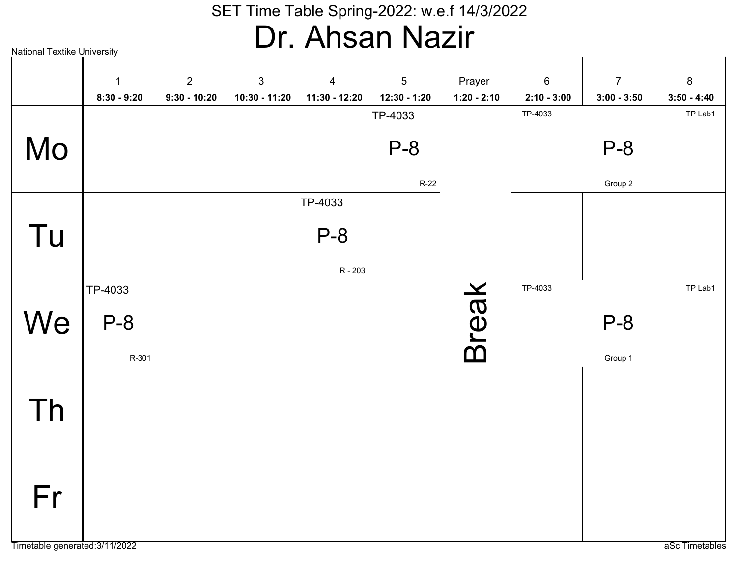# Dr. Ahsan Nazir

|    | $\mathbf 1$   | $\overline{2}$ | $\mathbf{3}$    | $\overline{\mathbf{4}}$ | 5            | Prayer        | $6\phantom{1}6$ | $\overline{7}$ | 8             |
|----|---------------|----------------|-----------------|-------------------------|--------------|---------------|-----------------|----------------|---------------|
|    | $8:30 - 9:20$ | $9:30 - 10:20$ | $10:30 - 11:20$ | 11:30 - 12:20           | 12:30 - 1:20 | $1:20 - 2:10$ | $2:10 - 3:00$   | $3:00 - 3:50$  | $3:50 - 4:40$ |
|    |               |                |                 |                         | TP-4033      |               | TP-4033         |                | TP Lab1       |
| Mo |               |                |                 |                         | $P-8$        |               |                 | $P-8$          |               |
|    |               |                |                 |                         | $R-22$       |               |                 | Group 2        |               |
|    |               |                |                 | TP-4033                 |              |               |                 |                |               |
| Tu |               |                |                 | $P-8$                   |              |               |                 |                |               |
|    |               |                |                 | R - 203                 |              |               |                 |                |               |
|    | TP-4033       |                |                 |                         |              |               | TP-4033         |                | TP Lab1       |
| We | $P-8$         |                |                 |                         |              | <b>Break</b>  |                 | $P-8$          |               |
|    | R-301         |                |                 |                         |              |               |                 | Group 1        |               |
| Th |               |                |                 |                         |              |               |                 |                |               |
|    |               |                |                 |                         |              |               |                 |                |               |
| Fr |               |                |                 |                         |              |               |                 |                |               |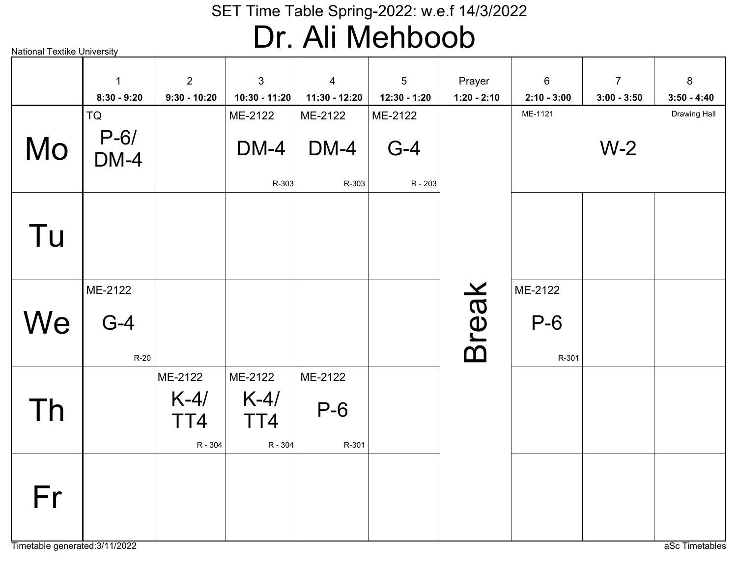## SET Time Table Spring-2022: w.e.f 14/3/2022Dr. Ali Mehboob

|    | $\mathbf{1}$<br>$8:30 - 9:20$ | $\overline{2}$<br>$9:30 - 10:20$ | $\mathfrak{S}$<br>$10:30 - 11:20$ | $\overline{4}$<br>11:30 - 12:20 | 5<br>12:30 - 1:20 | Prayer<br>$1:20 - 2:10$ | $6\phantom{1}$<br>$2:10 - 3:00$ | $\overline{7}$<br>$3:00 - 3:50$ | 8<br>$3:50 - 4:40$ |
|----|-------------------------------|----------------------------------|-----------------------------------|---------------------------------|-------------------|-------------------------|---------------------------------|---------------------------------|--------------------|
|    | <b>TQ</b>                     |                                  | ME-2122                           | ME-2122                         | ME-2122           |                         | ME-1121                         |                                 | Drawing Hall       |
| Mo | $P-6/$<br>$DM-4$              |                                  | <b>DM-4</b>                       | <b>DM-4</b>                     | $G-4$             |                         |                                 | $W-2$                           |                    |
|    |                               |                                  | R-303                             | R-303                           | R - 203           |                         |                                 |                                 |                    |
| Tu |                               |                                  |                                   |                                 |                   |                         |                                 |                                 |                    |
|    | ME-2122                       |                                  |                                   |                                 |                   |                         | ME-2122                         |                                 |                    |
| We | $G-4$                         |                                  |                                   |                                 |                   | <b>Break</b>            | $P-6$                           |                                 |                    |
|    | $R-20$                        |                                  |                                   |                                 |                   |                         | R-301                           |                                 |                    |
|    |                               | ME-2122                          | ME-2122                           | ME-2122                         |                   |                         |                                 |                                 |                    |
| Th |                               | $K-4/$<br>TT4                    | $K-4/$<br>TT4                     | $P-6$                           |                   |                         |                                 |                                 |                    |
|    |                               | R - 304                          | R - 304                           | R-301                           |                   |                         |                                 |                                 |                    |
| Fr |                               |                                  |                                   |                                 |                   |                         |                                 |                                 |                    |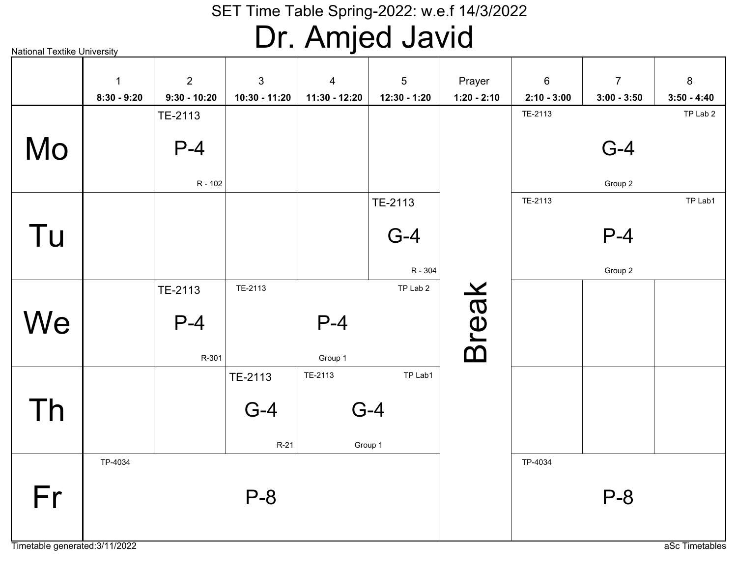# Dr. Amjed Javid

|    | $\mathbf 1$<br>$8:30 - 9:20$ | $2^{\circ}$<br>$9:30 - 10:20$ | $\mathbf{3}$<br>10:30 - 11:20 | $\overline{4}$<br>11:30 - 12:20 | 5<br>12:30 - 1:20 | Prayer<br>$1:20 - 2:10$ | $6\phantom{.}6$<br>$2:10 - 3:00$ | $\overline{7}$<br>$3:00 - 3:50$ | 8<br>$3:50 - 4:40$ |
|----|------------------------------|-------------------------------|-------------------------------|---------------------------------|-------------------|-------------------------|----------------------------------|---------------------------------|--------------------|
|    |                              | TE-2113                       |                               |                                 |                   |                         | TE-2113                          |                                 | TP Lab 2           |
| Mo |                              | $P-4$                         |                               |                                 |                   |                         |                                  | $G-4$                           |                    |
|    |                              | R - 102                       |                               |                                 |                   |                         |                                  | Group 2                         |                    |
|    |                              |                               |                               |                                 | TE-2113           |                         | TE-2113                          |                                 | TP Lab1            |
| Tu |                              |                               |                               |                                 | $G-4$             |                         |                                  | $P-4$                           |                    |
|    |                              |                               |                               |                                 | R - 304           |                         |                                  | Group 2                         |                    |
|    |                              | TE-2113                       | TE-2113                       |                                 | TP Lab 2          |                         |                                  |                                 |                    |
| We |                              | $P-4$                         |                               | $P-4$                           |                   | <b>Break</b>            |                                  |                                 |                    |
|    |                              | R-301                         |                               | Group 1                         |                   |                         |                                  |                                 |                    |
|    |                              |                               | TE-2113                       | TE-2113                         | TP Lab1           |                         |                                  |                                 |                    |
| Th |                              |                               | $G-4$                         |                                 | $G-4$             |                         |                                  |                                 |                    |
|    |                              |                               | $R-21$                        | Group 1                         |                   |                         |                                  |                                 |                    |
|    | TP-4034                      |                               |                               |                                 |                   |                         | TP-4034                          |                                 |                    |
| Fr |                              |                               | $P-8$                         |                                 |                   |                         |                                  | $P-8$                           |                    |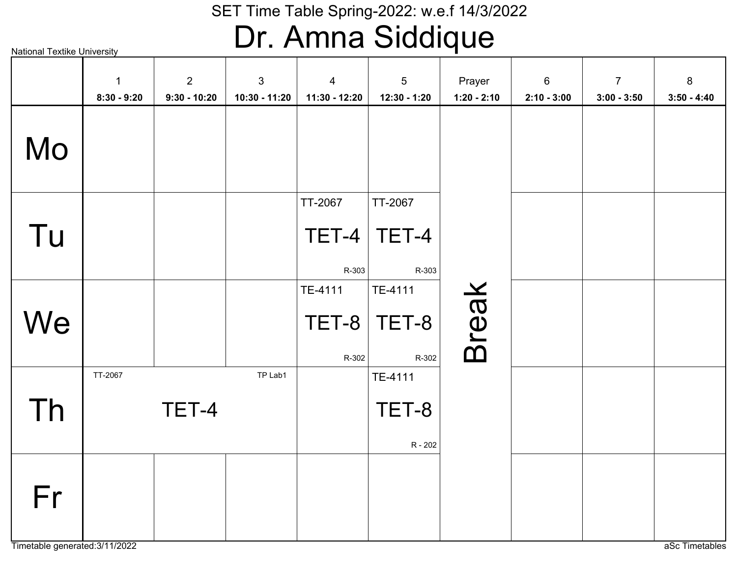# Dr. Amna Siddique

|    | $\mathbf{1}$<br>$8:30 - 9:20$ | 2 <sup>1</sup><br>$9:30 - 10:20$ | $\mathfrak{S}$<br>10:30 - 11:20 | $\overline{4}$<br>11:30 - 12:20 | $5\,$<br>12:30 - 1:20       | Prayer<br>$1:20 - 2:10$ | $6\phantom{1}$<br>$2:10 - 3:00$ | $\overline{7}$<br>$3:00 - 3:50$ | 8<br>$3:50 - 4:40$ |
|----|-------------------------------|----------------------------------|---------------------------------|---------------------------------|-----------------------------|-------------------------|---------------------------------|---------------------------------|--------------------|
| Mo |                               |                                  |                                 |                                 |                             |                         |                                 |                                 |                    |
| Tu |                               |                                  |                                 | TT-2067<br>TET-4<br>R-303       | TT-2067<br>TET-4<br>R-303   |                         |                                 |                                 |                    |
| We |                               |                                  |                                 | TE-4111<br>TET-8<br>R-302       | TE-4111<br>TET-8<br>R-302   | <b>Break</b>            |                                 |                                 |                    |
| Th | TT-2067                       | TET-4                            | TP Lab1                         |                                 | TE-4111<br>TET-8<br>R - 202 |                         |                                 |                                 |                    |
| Fr |                               |                                  |                                 |                                 |                             |                         |                                 |                                 |                    |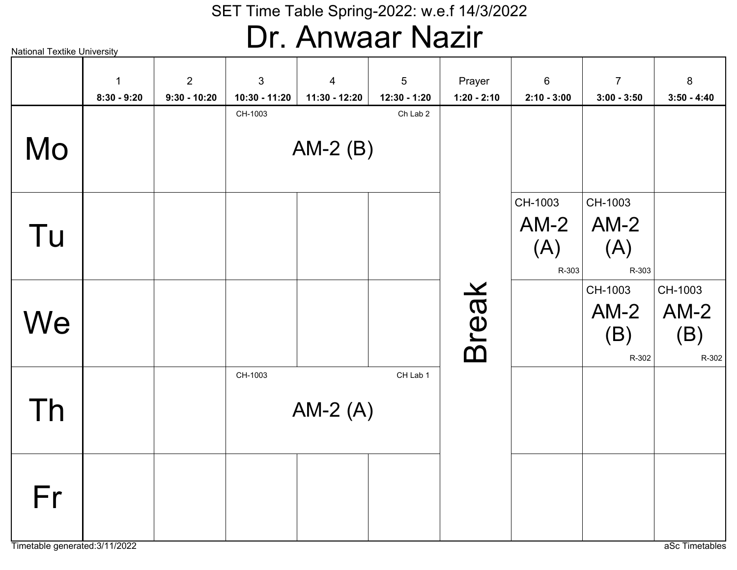# Dr. Anwaar Nazir

|    | $\mathbf{1}$<br>$8:30 - 9:20$ | $\overline{2}$<br>$9:30 - 10:20$ | $\mathbf{3}$<br>10:30 - 11:20 | $\overline{4}$<br>$11:30 - 12:20$ | $5\phantom{.0}$<br>12:30 - 1:20 | Prayer<br>$1:20 - 2:10$ | $\,6\,$<br>$2:10 - 3:00$          | $\overline{7}$<br>$3:00 - 3:50$   | 8<br>$3:50 - 4:40$                |
|----|-------------------------------|----------------------------------|-------------------------------|-----------------------------------|---------------------------------|-------------------------|-----------------------------------|-----------------------------------|-----------------------------------|
| Mo |                               |                                  | CH-1003                       | AM-2 $(B)$                        | Ch Lab 2                        |                         |                                   |                                   |                                   |
| Tu |                               |                                  |                               |                                   |                                 |                         | CH-1003<br>$AM-2$<br>(A)<br>R-303 | CH-1003<br>$AM-2$<br>(A)<br>R-303 |                                   |
| We |                               |                                  |                               |                                   |                                 | <b>Break</b>            |                                   | CH-1003<br>$AM-2$<br>(B)<br>R-302 | CH-1003<br>$AM-2$<br>(B)<br>R-302 |
| Th |                               |                                  | CH-1003                       | AM-2 $(A)$                        | CH Lab 1                        |                         |                                   |                                   |                                   |
| Fr |                               |                                  |                               |                                   |                                 |                         |                                   |                                   |                                   |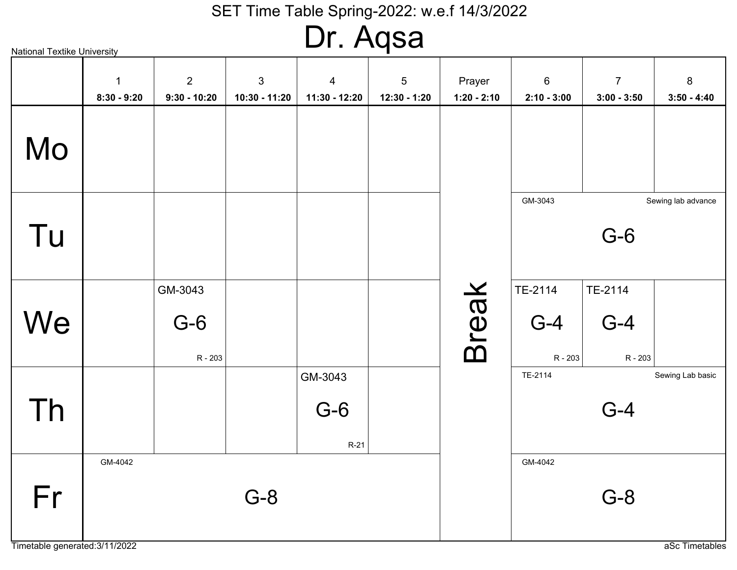Dr. Aqsa

|    | $\mathbf 1$<br>$8:30 - 9:20$ | 2 <sup>1</sup><br>$9:30 - 10:20$ | $\mathfrak{S}$<br>10:30 - 11:20 | $\overline{4}$<br>11:30 - 12:20 | $5\phantom{.0}$<br>12:30 - 1:20 | Prayer<br>$1:20 - 2:10$ | $6\phantom{1}$<br>$2:10 - 3:00$ | $\overline{7}$<br>$3:00 - 3:50$ | 8<br>$3:50 - 4:40$ |
|----|------------------------------|----------------------------------|---------------------------------|---------------------------------|---------------------------------|-------------------------|---------------------------------|---------------------------------|--------------------|
| Mo |                              |                                  |                                 |                                 |                                 |                         |                                 |                                 |                    |
| Tu |                              |                                  |                                 |                                 |                                 |                         | GM-3043                         | $G-6$                           | Sewing lab advance |
| We |                              | GM-3043<br>$G-6$<br>R - 203      |                                 |                                 |                                 | <b>Break</b>            | TE-2114<br>$G-4$<br>R - 203     | TE-2114<br>$G-4$<br>R - 203     |                    |
| Th |                              |                                  |                                 | GM-3043<br>$G-6$<br>$R-21$      |                                 |                         | TE-2114                         | $G-4$                           | Sewing Lab basic   |
| Fr | GM-4042                      |                                  | $G-8$                           |                                 |                                 |                         | GM-4042                         | $G-8$                           |                    |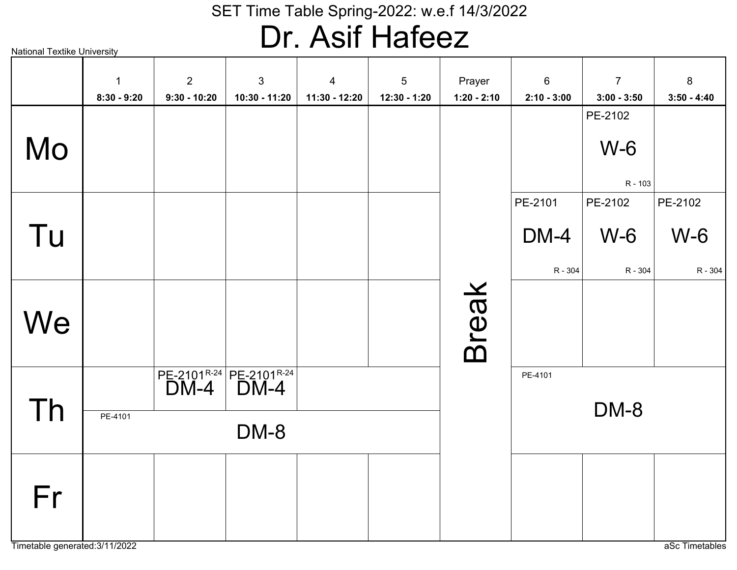## Dr. Asif Hafeez

National Textike UniversityW-6PE-2102R - 103DM-4PE-2101R - 304W-6PE-2102R - 304DM-4PE-2101<sup>r-24</sup> PE-2101<sup>r-</sup><br>D**M-4** D**M-4** PE-2101R-24 DM-8PE-4101 $\frac{1}{1}$  DM-8 PE-4101Break MoTu**We** ThFr1 **8:30 - 9:20**2**9:30 - 10:20**3 **10:30 - 11:20**4 **11:30 - 12:20**5 **12:30 - 1:20**Prayer**1:20 - 2:10**6 **2:10 - 3:00**7**3:00 - 3:50**

Timetable generated:3/11/2022

W-6

8**3:50 - 4:40**

R - 304

PE-2102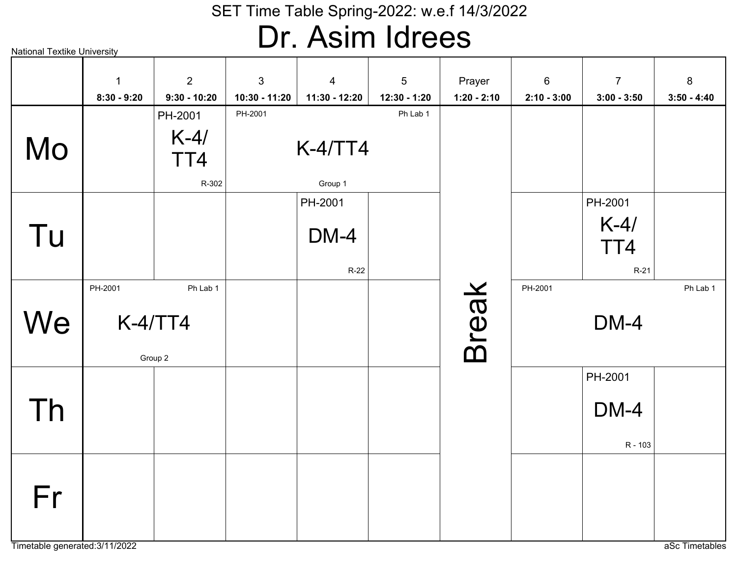# Dr. Asim Idrees

National Textike UniversityK-4/ TT4PH-2001R-302K-4/TT4PH-2001 Ph Lab 1 Group 1DM-4PH-2001R-22K-4/ TT4PH-2001R-21K-4/TT4PH-2001 Ph Lab 1 Group 2DM-4PH-2001 Ph Lab 1 DM-4PH-2001R - 103Break MoTu**We** ThFr1 **8:30 - 9:20**2 **9:30 - 10:20**3 **10:30 - 11:20**4 **11:30 - 12:20**5 **12:30 - 1:20**Prayer**1:20 - 2:10**6**2:10 - 3:00**7**3:00 - 3:50**8**3:50 - 4:40**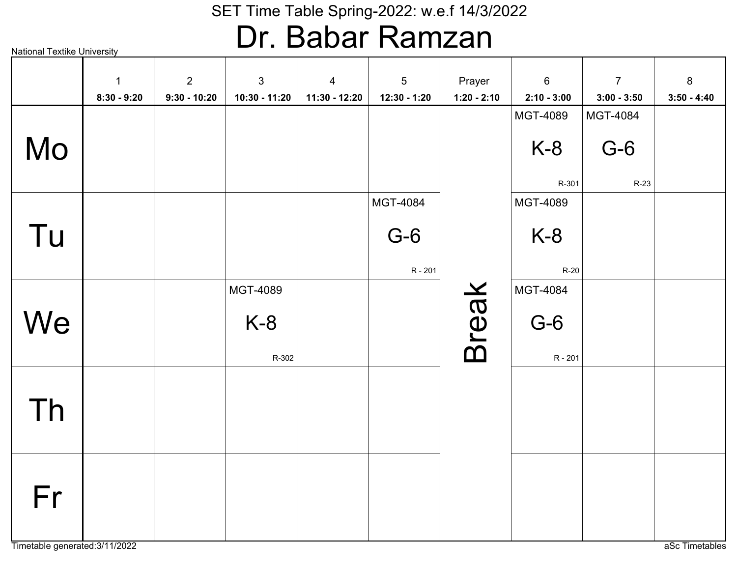# Dr. Babar Ramzan

|    | $\mathbf{1}$<br>$8:30 - 9:20$ | 2 <sup>1</sup><br>$9:30 - 10:20$ | $\mathfrak{S}$<br>10:30 - 11:20 | $\overline{4}$<br>11:30 - 12:20 | $5\phantom{.0}$<br>12:30 - 1:20 | Prayer<br>$1:20 - 2:10$ | $6\phantom{1}$<br>$2:10 - 3:00$ | $\overline{7}$<br>$3:00 - 3:50$ | 8<br>$3:50 - 4:40$ |
|----|-------------------------------|----------------------------------|---------------------------------|---------------------------------|---------------------------------|-------------------------|---------------------------------|---------------------------------|--------------------|
| Mo |                               |                                  |                                 |                                 |                                 |                         | MGT-4089<br>$K-8$<br>R-301      | MGT-4084<br>$G-6$<br>$R-23$     |                    |
| Tu |                               |                                  |                                 |                                 | MGT-4084<br>$G-6$<br>R - 201    |                         | MGT-4089<br>$K-8$<br>$R-20$     |                                 |                    |
| We |                               |                                  | MGT-4089<br>$K-8$<br>R-302      |                                 |                                 | <b>Break</b>            | MGT-4084<br>$G-6$<br>R - 201    |                                 |                    |
| Th |                               |                                  |                                 |                                 |                                 |                         |                                 |                                 |                    |
| Fr |                               |                                  |                                 |                                 |                                 |                         |                                 |                                 |                    |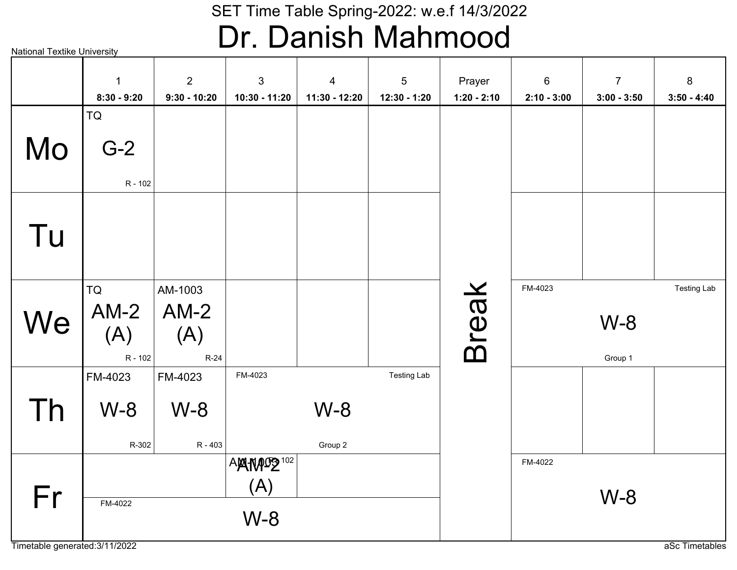### SET Time Table Spring-2022: w.e.f 14/3/2022Dr. Danish Mahmood

|    | $\mathbf{1}$  | $\overline{2}$ | $\mathfrak{S}$ | $\overline{4}$ | 5                  | Prayer        | $\,6\,$       | $\overline{7}$ | 8                  |
|----|---------------|----------------|----------------|----------------|--------------------|---------------|---------------|----------------|--------------------|
|    | $8:30 - 9:20$ | $9:30 - 10:20$ | 10:30 - 11:20  | 11:30 - 12:20  | 12:30 - 1:20       | $1:20 - 2:10$ | $2:10 - 3:00$ | $3:00 - 3:50$  | $3:50 - 4:40$      |
|    | <b>TQ</b>     |                |                |                |                    |               |               |                |                    |
| Mo | $G-2$         |                |                |                |                    |               |               |                |                    |
|    | R - 102       |                |                |                |                    |               |               |                |                    |
| Tu |               |                |                |                |                    |               |               |                |                    |
|    | <b>TQ</b>     | AM-1003        |                |                |                    |               | FM-4023       |                | <b>Testing Lab</b> |
| We | $AM-2$<br>(A) | $AM-2$<br>(A)  |                |                |                    | <b>Break</b>  |               | $W-8$          |                    |
|    | R - 102       | $R-24$         | FM-4023        |                | <b>Testing Lab</b> |               |               | Group 1        |                    |
|    | FM-4023       | FM-4023        |                |                |                    |               |               |                |                    |
| Th | $W-8$         | $W-8$          |                | $W-8$          |                    |               |               |                |                    |
|    | R-302         | R - 403        |                | Group 2        |                    |               |               |                |                    |
|    |               |                | АДА ПОРЗ 102   |                |                    |               | FM-4022       |                |                    |
|    |               |                | (A)            |                |                    |               |               |                |                    |
| Fr | FM-4022       |                | $W-8$          |                |                    |               |               | $W-8$          |                    |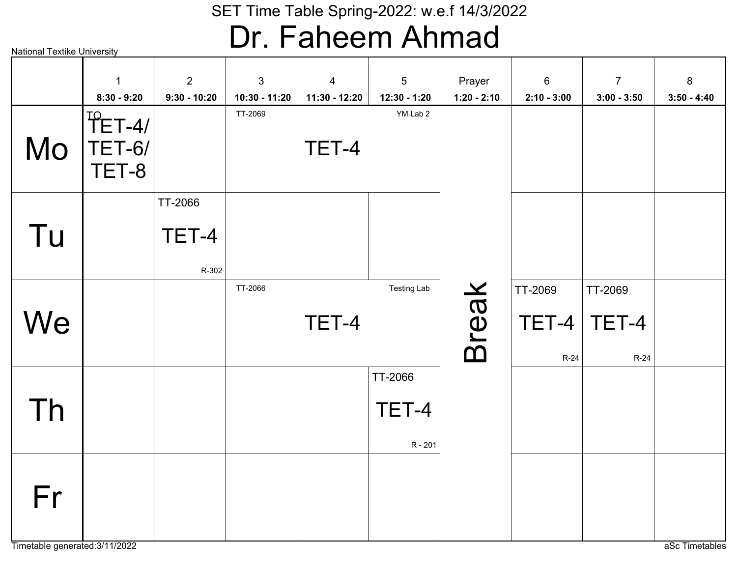## Dr. Faheem Ahmad

|                                | $\mathbf 1$                                                    | 2              | $\mathbf{3}$  | $\overline{\mathbf{4}}$ | $5\phantom{.0}$    | Prayer        | $6\phantom{1}6$ | $\overline{7}$ | 8              |
|--------------------------------|----------------------------------------------------------------|----------------|---------------|-------------------------|--------------------|---------------|-----------------|----------------|----------------|
|                                | $8:30 - 9:20$                                                  | $9:30 - 10:20$ | 10:30 - 11:20 | 11:30 - 12:20           | 12:30 - 1:20       | $1:20 - 2:10$ | $2:10 - 3:00$   | $3:00 - 3:50$  | $3:50 - 4:40$  |
|                                | $\begin{vmatrix} \text{TET-4/} \\ \text{TET-6/} \end{vmatrix}$ |                | TT-2069       |                         | YM Lab 2           |               |                 |                |                |
| Mo                             | TET-8                                                          |                |               | TET-4                   |                    |               |                 |                |                |
|                                |                                                                | TT-2066        |               |                         |                    |               |                 |                |                |
| Tu                             |                                                                | TET-4          |               |                         |                    |               |                 |                |                |
|                                |                                                                | R-302          | TT-2066       |                         | <b>Testing Lab</b> |               | TT-2069         | TT-2069        |                |
|                                |                                                                |                |               |                         |                    |               |                 |                |                |
| We                             |                                                                |                |               | TET-4                   |                    | <b>Break</b>  | $TET-4$         | TET-4          |                |
|                                |                                                                |                |               |                         |                    |               | $R-24$          | $R-24$         |                |
|                                |                                                                |                |               |                         | TT-2066            |               |                 |                |                |
| Th                             |                                                                |                |               |                         | TET-4              |               |                 |                |                |
|                                |                                                                |                |               |                         | R - 201            |               |                 |                |                |
|                                |                                                                |                |               |                         |                    |               |                 |                |                |
| Fr                             |                                                                |                |               |                         |                    |               |                 |                |                |
| Timetable generated: 3/11/2022 |                                                                |                |               |                         |                    |               |                 |                | aSc Timetables |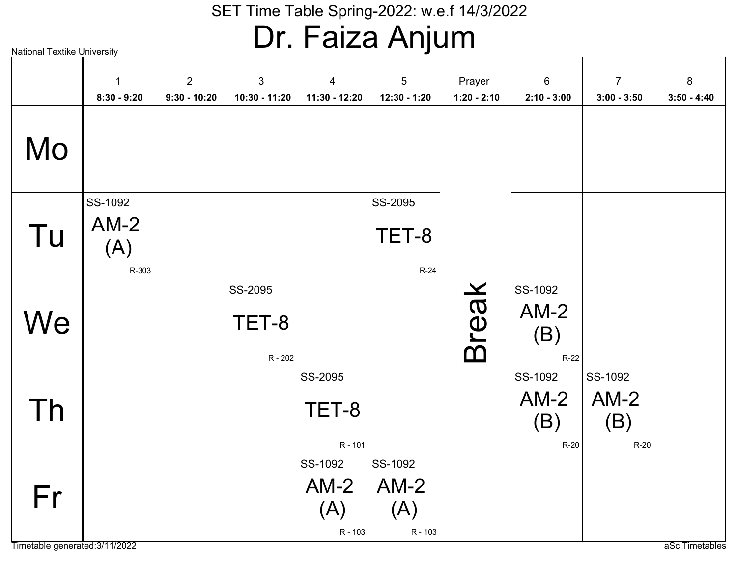# Dr. Faiza Anjum

National Textike UniversityTET-8SS-2095R-24AM-2 (A)SS-1092R-303TET-8SS-2095R - 202AM-2 (B)SS-1092R-22TET-8SS-2095R - 101AM-2 (B)SS-1092R-20AM-2 (B)SS-1092R-20AM-2 (A)SS-1092R - 103AM-2 (A)SS-1092R - 103Break MoTu**We** ThFr1 **8:30 - 9:20**2**9:30 - 10:20**3 **10:30 - 11:20**4 **11:30 - 12:20**5 **12:30 - 1:20**Prayer**1:20 - 2:10**6**2:10 - 3:00**7**3:00 - 3:50**8**3:50 - 4:40**

Timetable generated:3/11/2022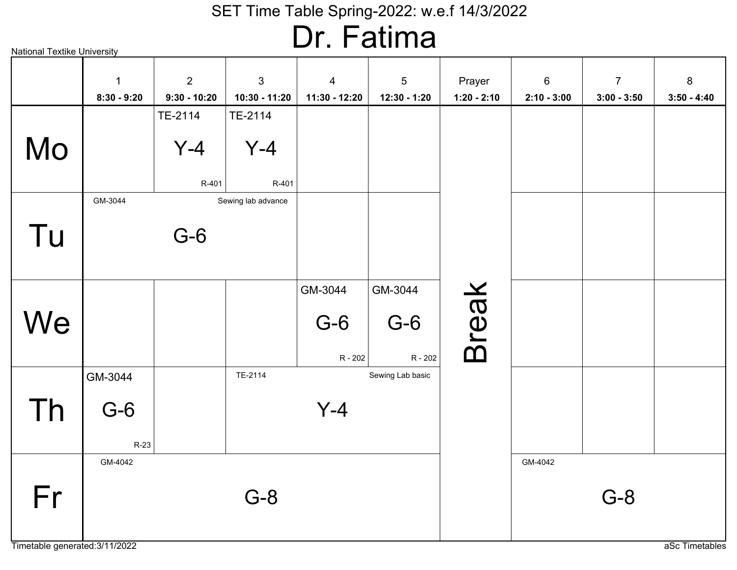## Dr. Fatima

| <b>National Textike University</b> |                              |                                  |                                 |                                 | $\blacksquare$             |                         |                    |                                 |                    |
|------------------------------------|------------------------------|----------------------------------|---------------------------------|---------------------------------|----------------------------|-------------------------|--------------------|---------------------------------|--------------------|
|                                    | $\mathbf 1$<br>$8:30 - 9:20$ | $\overline{2}$<br>$9:30 - 10:20$ | $\mathfrak{S}$<br>10:30 - 11:20 | $\overline{4}$<br>11:30 - 12:20 | $\sqrt{5}$<br>12:30 - 1:20 | Prayer<br>$1:20 - 2:10$ | 6<br>$2:10 - 3:00$ | $\overline{7}$<br>$3:00 - 3:50$ | 8<br>$3:50 - 4:40$ |
| Mo                                 |                              | TE-2114<br>$Y-4$<br>R-401        | TE-2114<br>$Y-4$<br>R-401       |                                 |                            |                         |                    |                                 |                    |
|                                    | GM-3044                      |                                  | Sewing lab advance              |                                 |                            |                         |                    |                                 |                    |
| Tu                                 |                              | $G-6$                            |                                 |                                 |                            |                         |                    |                                 |                    |
|                                    |                              |                                  |                                 | GM-3044                         | GM-3044                    |                         |                    |                                 |                    |
| We                                 |                              |                                  |                                 | $G-6$<br>R - 202                | $G-6$<br>R - 202           | <b>Break</b>            |                    |                                 |                    |
|                                    | GM-3044                      |                                  | TE-2114                         |                                 | Sewing Lab basic           |                         |                    |                                 |                    |
| Th                                 | $G-6$<br>$R-23$              |                                  |                                 | $Y-4$                           |                            |                         |                    |                                 |                    |
|                                    | GM-4042                      |                                  |                                 |                                 |                            |                         | GM-4042            |                                 |                    |
| Fr                                 |                              |                                  | $G-8$                           |                                 |                            |                         |                    | $G-8$                           |                    |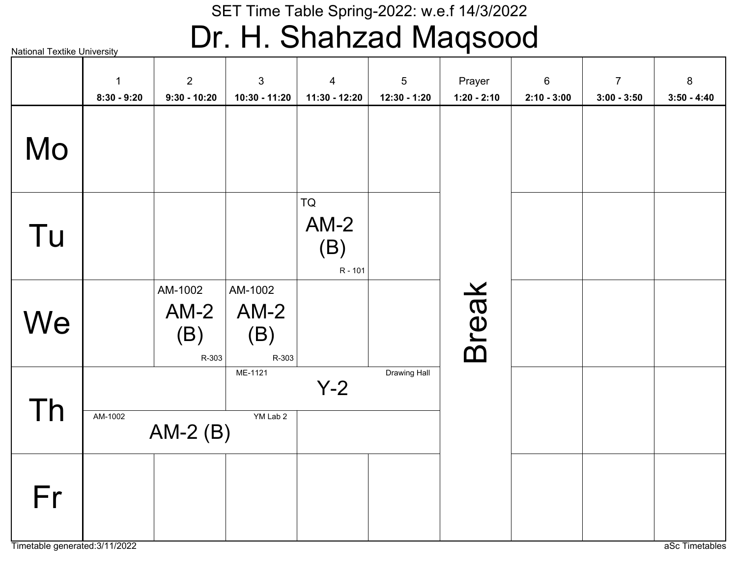# Dr. H. Shahzad Maqsood

National Textike University

|    | $\mathbf{1}$<br>$8:30 - 9:20$ | $\overline{2}$<br>$9:30 - 10:20$  | $\mathfrak{S}$<br>10:30 - 11:20   | $\overline{\mathbf{4}}$<br>11:30 - 12:20 | 5<br>12:30 - 1:20   | Prayer<br>$1:20 - 2:10$ | $\,6\,$<br>$2:10 - 3:00$ | $\overline{7}$<br>$3:00 - 3:50$ | $\bf 8$<br>$3:50 - 4:40$ |
|----|-------------------------------|-----------------------------------|-----------------------------------|------------------------------------------|---------------------|-------------------------|--------------------------|---------------------------------|--------------------------|
| Mo |                               |                                   |                                   |                                          |                     |                         |                          |                                 |                          |
| Tu |                               |                                   |                                   | TQ<br>$AM-2$<br>(B)<br>$R - 101$         |                     |                         |                          |                                 |                          |
| We |                               | AM-1002<br>$AM-2$<br>(B)<br>R-303 | AM-1002<br>$AM-2$<br>(B)<br>R-303 |                                          |                     | <b>Break</b>            |                          |                                 |                          |
| Th | AM-1002                       | AM-2 $(B)$                        | ME-1121<br>YM Lab 2               | $Y-2$                                    | <b>Drawing Hall</b> |                         |                          |                                 |                          |
| Fr |                               |                                   |                                   |                                          |                     |                         |                          |                                 |                          |

Timetable generated:3/11/2022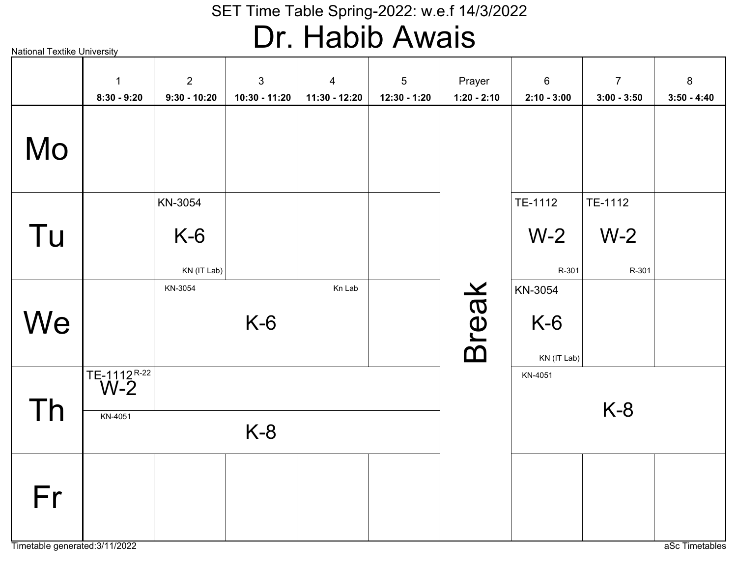### SET Time Table Spring-2022: w.e.f 14/3/2022Dr. Habib Awais

|    | $\mathbf 1$<br>$8:30 - 9:20$                          | $\overline{2}$<br>$9:30 - 10:20$ | 3<br>10:30 - 11:20 | $\overline{4}$<br>11:30 - 12:20 | $5\phantom{.0}$<br>12:30 - 1:20 | Prayer<br>$1:20 - 2:10$ | 6<br>$2:10 - 3:00$            | $\overline{7}$<br>$3:00 - 3:50$ | 8<br>$3:50 - 4:40$ |
|----|-------------------------------------------------------|----------------------------------|--------------------|---------------------------------|---------------------------------|-------------------------|-------------------------------|---------------------------------|--------------------|
| Mo |                                                       |                                  |                    |                                 |                                 |                         |                               |                                 |                    |
| Tu |                                                       | KN-3054<br>$K-6$<br>KN (IT Lab)  |                    |                                 |                                 |                         | TE-1112<br>$W-2$<br>R-301     | TE-1112<br>$W-2$<br>R-301       |                    |
| We |                                                       | KN-3054                          | $K-6$              | Kn Lab                          |                                 | <b>Break</b>            | KN-3054<br>K-6<br>KN (IT Lab) |                                 |                    |
| Th | $\overline{\text{TE-1112}^{\text{R-22}} }$<br>KN-4051 |                                  | $K-8$              |                                 |                                 |                         | KN-4051                       | <b>K-8</b>                      |                    |
| Fr |                                                       |                                  |                    |                                 |                                 |                         |                               |                                 |                    |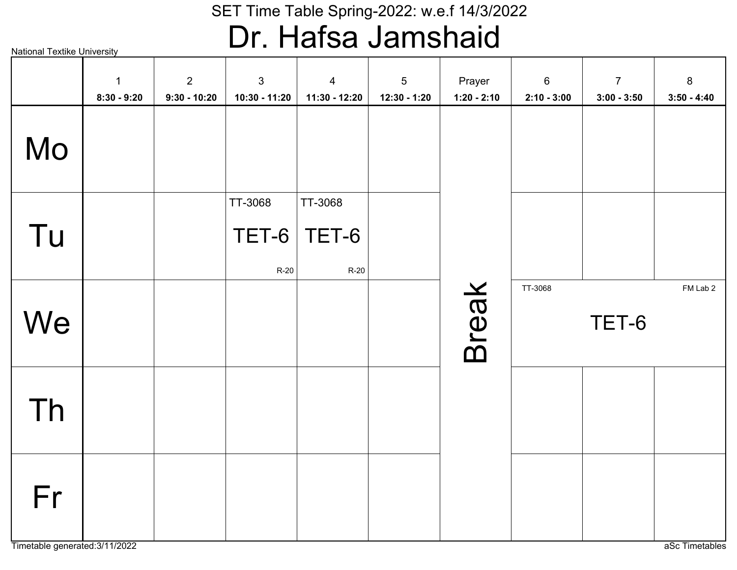## Dr. Hafsa Jamshaid

|    | $\mathbf 1$<br>$8:30 - 9:20$ | $\overline{2}$<br>$9:30 - 10:20$ | $\mathbf{3}$<br>10:30 - 11:20 | $\overline{4}$<br>11:30 - 12:20 | $5\,$<br>12:30 - 1:20 | Prayer<br>$1:20 - 2:10$ | $6\phantom{.}6$<br>$2:10 - 3:00$ | $\overline{7}$<br>$3:00 - 3:50$ | 8<br>$3:50 - 4:40$ |
|----|------------------------------|----------------------------------|-------------------------------|---------------------------------|-----------------------|-------------------------|----------------------------------|---------------------------------|--------------------|
| Mo |                              |                                  |                               |                                 |                       |                         |                                  |                                 |                    |
| Tu |                              |                                  | TT-3068<br>TET-6<br>$R-20$    | TT-3068<br>TET-6<br>$R-20$      |                       |                         |                                  |                                 |                    |
| We |                              |                                  |                               |                                 |                       | <b>Break</b>            | TT-3068                          | TET-6                           | FM Lab 2           |
| Th |                              |                                  |                               |                                 |                       |                         |                                  |                                 |                    |
| Fr |                              |                                  |                               |                                 |                       |                         |                                  |                                 |                    |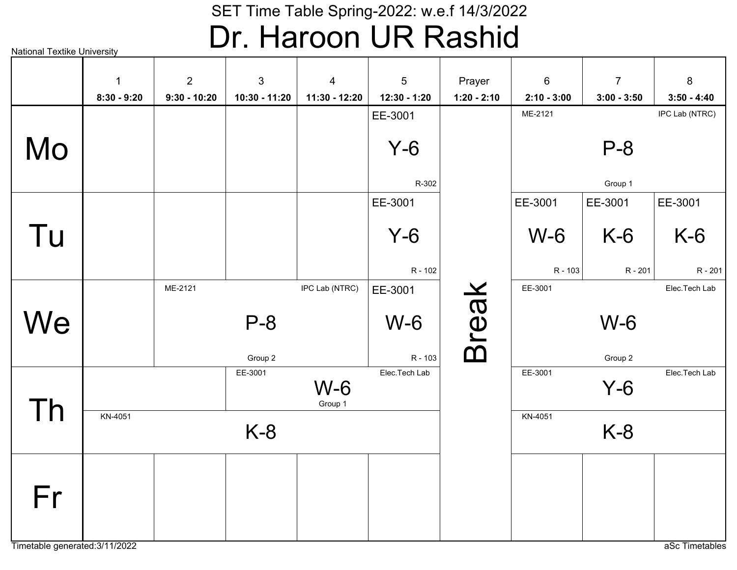### SET Time Table Spring-2022: w.e.f 14/3/2022Dr. Haroon UR Rashid

|                                | $\mathbf{1}$<br>$8:30 - 9:20$ | $\overline{2}$<br>$9:30 - 10:20$ | $\mathfrak{S}$<br>10:30 - 11:20 | $\overline{4}$<br>11:30 - 12:20 | $5\phantom{.0}$<br>12:30 - 1:20 | Prayer<br>$1:20 - 2:10$ | $6\phantom{1}$<br>$2:10 - 3:00$ | $\overline{7}$<br>$3:00 - 3:50$ | $8\phantom{1}$<br>$3:50 - 4:40$ |
|--------------------------------|-------------------------------|----------------------------------|---------------------------------|---------------------------------|---------------------------------|-------------------------|---------------------------------|---------------------------------|---------------------------------|
|                                |                               |                                  |                                 |                                 | EE-3001                         |                         | ME-2121                         |                                 | IPC Lab (NTRC)                  |
|                                |                               |                                  |                                 |                                 |                                 |                         |                                 |                                 |                                 |
| Mo                             |                               |                                  |                                 |                                 | $Y-6$                           |                         |                                 | $P-8$                           |                                 |
|                                |                               |                                  |                                 |                                 |                                 |                         |                                 |                                 |                                 |
|                                |                               |                                  |                                 |                                 | R-302                           |                         |                                 | Group 1                         |                                 |
|                                |                               |                                  |                                 |                                 | EE-3001                         |                         | EE-3001                         | EE-3001                         | EE-3001                         |
|                                |                               |                                  |                                 |                                 |                                 |                         |                                 |                                 |                                 |
| Tu                             |                               |                                  |                                 |                                 | $Y-6$                           |                         | $W-6$                           | $K-6$                           | $K-6$                           |
|                                |                               |                                  |                                 |                                 |                                 |                         |                                 |                                 |                                 |
|                                |                               | ME-2121                          |                                 | IPC Lab (NTRC)                  | R - 102                         |                         | R - 103<br>EE-3001              | R - 201                         | $R - 201$<br>Elec.Tech Lab      |
|                                |                               |                                  |                                 |                                 | EE-3001                         |                         |                                 |                                 |                                 |
| We                             |                               |                                  | $P-8$                           |                                 | $W-6$                           | <b>Break</b>            |                                 | $W-6$                           |                                 |
|                                |                               |                                  |                                 |                                 |                                 |                         |                                 |                                 |                                 |
|                                |                               |                                  | Group 2                         |                                 | R - 103                         |                         |                                 | Group 2                         |                                 |
|                                |                               |                                  | EE-3001                         |                                 | Elec.Tech Lab                   |                         | EE-3001                         |                                 | Elec.Tech Lab                   |
|                                |                               |                                  |                                 | $W-6$<br>Group 1                |                                 |                         |                                 | $Y-6$                           |                                 |
| Τh                             | KN-4051                       |                                  |                                 |                                 |                                 |                         | KN-4051                         |                                 |                                 |
|                                |                               |                                  | K-8                             |                                 |                                 |                         |                                 | <b>K-8</b>                      |                                 |
|                                |                               |                                  |                                 |                                 |                                 |                         |                                 |                                 |                                 |
|                                |                               |                                  |                                 |                                 |                                 |                         |                                 |                                 |                                 |
| Fr                             |                               |                                  |                                 |                                 |                                 |                         |                                 |                                 |                                 |
|                                |                               |                                  |                                 |                                 |                                 |                         |                                 |                                 |                                 |
|                                |                               |                                  |                                 |                                 |                                 |                         |                                 |                                 |                                 |
| Timetable generated: 3/11/2022 |                               |                                  |                                 |                                 |                                 |                         |                                 |                                 | aSc Timetables                  |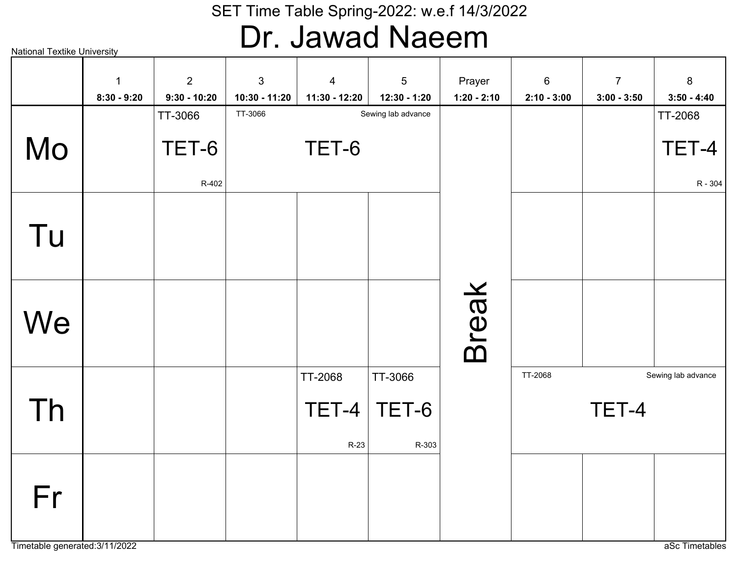# Dr. Jawad Naeem

National Textike UniversityTET-6TT-3066R-402TET-6TT-3066 Sewing lab advance TET-4TT-2068R - 304TET-4TT-2068R-23TET-6TT-3066R-303TET-4TT-2068 Sewing lab advance Break MoTu**We** ThFr1 **8:30 - 9:20**2 **9:30 - 10:20**3 **10:30 - 11:20**4 **11:30 - 12:20**5**12:30 - 1:20**Prayer**1:20 - 2:10**6**2:10 - 3:00**7 **3:00 - 3:50**8**3:50 - 4:40**

Timetable generated:3/11/2022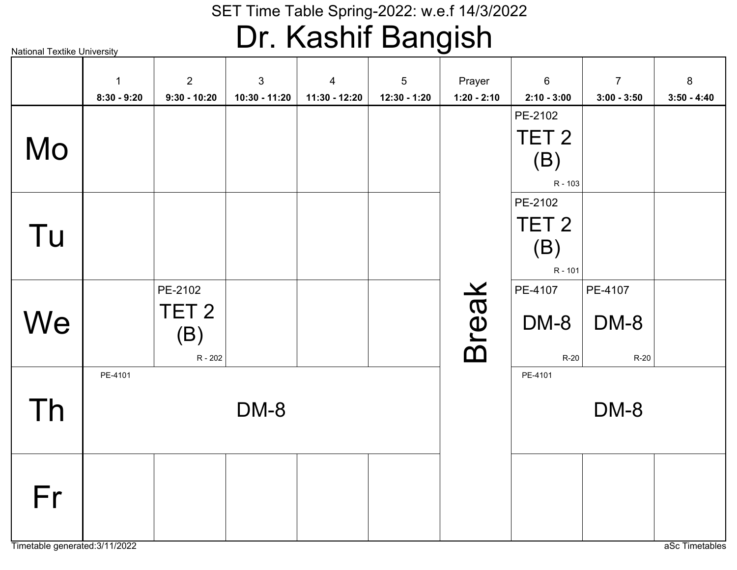# Dr. Kashif Bangish

National Textike University

|    | $\mathbf 1$   | $\overline{2}$   | $\mathfrak{S}$ | $\overline{4}$ | $5\overline{)}$ | Prayer        | $6\phantom{1}$     | $\overline{7}$ | 8             |
|----|---------------|------------------|----------------|----------------|-----------------|---------------|--------------------|----------------|---------------|
|    | $8:30 - 9:20$ | $9:30 - 10:20$   | 10:30 - 11:20  | 11:30 - 12:20  | 12:30 - 1:20    | $1:20 - 2:10$ | $2:10 - 3:00$      | $3:00 - 3:50$  | $3:50 - 4:40$ |
|    |               |                  |                |                |                 |               | PE-2102            |                |               |
| Mo |               |                  |                |                |                 |               | TET <sub>2</sub>   |                |               |
|    |               |                  |                |                |                 |               | (B)                |                |               |
|    |               |                  |                |                |                 |               | R - 103<br>PE-2102 |                |               |
|    |               |                  |                |                |                 |               | TET <sub>2</sub>   |                |               |
| Tu |               |                  |                |                |                 |               | (B)                |                |               |
|    |               |                  |                |                |                 |               | R - 101            |                |               |
|    |               | PE-2102          |                |                |                 |               | PE-4107            | PE-4107        |               |
|    |               | TET <sub>2</sub> |                |                |                 |               |                    |                |               |
| We |               | (B)              |                |                |                 |               | DM-8               | <b>DM-8</b>    |               |
|    |               | R - 202          |                |                |                 | <b>Break</b>  | $R-20$             | $R-20$         |               |
|    | PE-4101       |                  |                |                |                 |               | PE-4101            |                |               |
|    |               |                  | DM-8           |                |                 |               |                    | DM-8           |               |
| Th |               |                  |                |                |                 |               |                    |                |               |
|    |               |                  |                |                |                 |               |                    |                |               |
|    |               |                  |                |                |                 |               |                    |                |               |
| Fr |               |                  |                |                |                 |               |                    |                |               |
|    |               |                  |                |                |                 |               |                    |                |               |
|    |               |                  |                |                |                 |               |                    |                |               |

Timetable generated:3/11/2022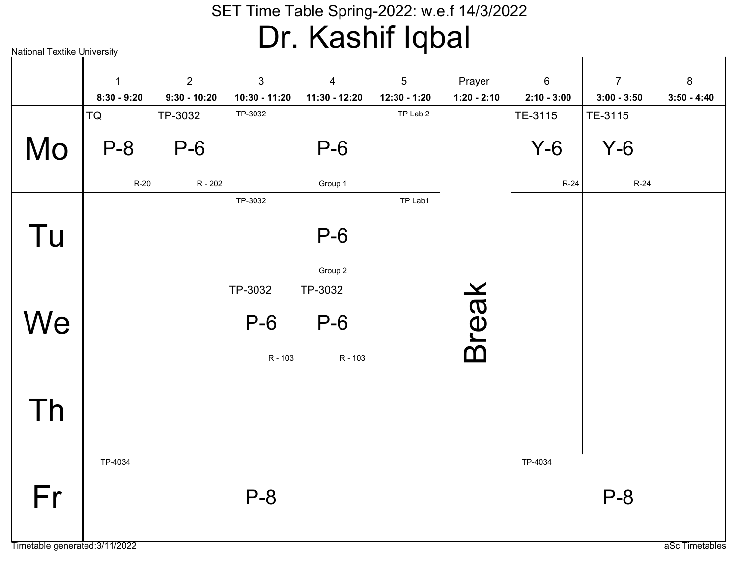### SET Time Table Spring-2022: w.e.f 14/3/2022Dr. Kashif Iqbal

National Textike UniversityP-6TP-3032R - 202P-6TP-3032 TP Lab 2 Group 1P-8TQR-20Y-6TE-3115R-24Y-6TE-3115R-24P-6TP-3032 TP Lab1 Group 2P-6TP-3032R - 103P-6TP-3032R - 103P-8TP-4034P-8TP-4034Break MoTu**We** ThFr1 **8:30 - 9:20**2 **9:30 - 10:20**3 **10:30 - 11:20**4 **11:30 - 12:20**5 **12:30 - 1:20**Prayer**1:20 - 2:10**6 **2:10 - 3:00**7 **3:00 - 3:50**8**3:50 - 4:40**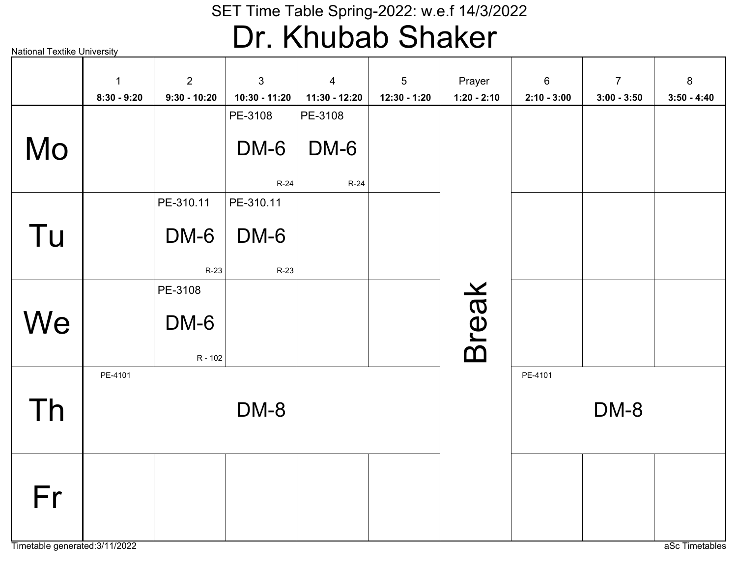### SET Time Table Spring-2022: w.e.f 14/3/2022Dr. Khubab Shaker

National Textike University

|    | $\mathbf{1}$  | $2^{\circ}$    | $\mathbf{3}$  | $\overline{4}$ | 5            | Prayer        | $6\phantom{a}$ | $\overline{7}$ | 8             |
|----|---------------|----------------|---------------|----------------|--------------|---------------|----------------|----------------|---------------|
|    | $8:30 - 9:20$ | $9:30 - 10:20$ | 10:30 - 11:20 | 11:30 - 12:20  | 12:30 - 1:20 | $1:20 - 2:10$ | $2:10 - 3:00$  | $3:00 - 3:50$  | $3:50 - 4:40$ |
|    |               |                | PE-3108       | PE-3108        |              |               |                |                |               |
| Mo |               |                | DM-6          | DM-6           |              |               |                |                |               |
|    |               |                | $R-24$        | $R-24$         |              |               |                |                |               |
|    |               | PE-310.11      | PE-310.11     |                |              |               |                |                |               |
| Tu |               | DM-6           | DM-6          |                |              |               |                |                |               |
|    |               | R-23           | R-23          |                |              |               |                |                |               |
|    |               | PE-3108        |               |                |              |               |                |                |               |
| We |               | DM-6           |               |                |              | <b>Break</b>  |                |                |               |
|    |               | R - 102        |               |                |              |               |                |                |               |
|    | PE-4101       |                |               |                |              |               | PE-4101        |                |               |
| Th |               |                | <b>DM-8</b>   |                |              |               |                | <b>DM-8</b>    |               |
| Fr |               |                |               |                |              |               |                |                |               |

Timetable generated:3/11/2022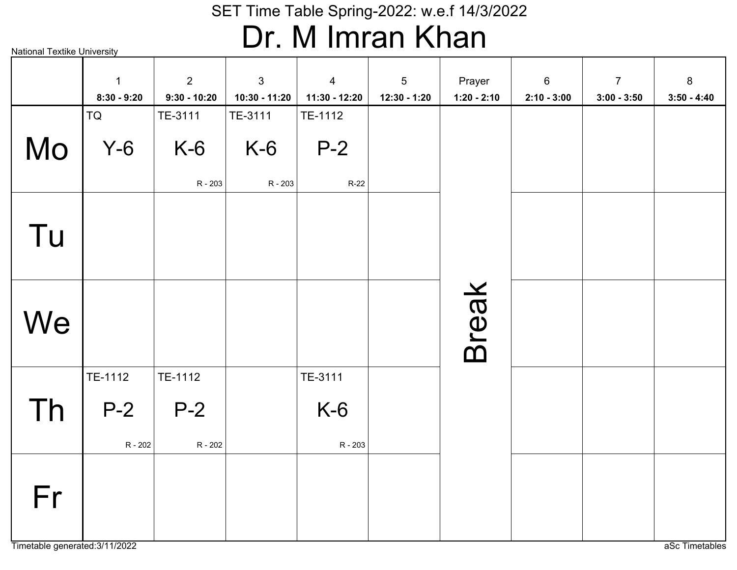## Dr. M Imran Khan

|    | $\mathbf{1}$<br>$8:30 - 9:20$ | $2^{\circ}$<br>$9:30 - 10:20$ | $\mathbf{3}$<br>10:30 - 11:20 | $\overline{4}$<br>11:30 - 12:20 | 5<br>12:30 - 1:20 | Prayer<br>$1:20 - 2:10$ | $6\phantom{1}$<br>$2:10 - 3:00$ | $\overline{7}$<br>$3:00 - 3:50$ | 8<br>$3:50 - 4:40$ |
|----|-------------------------------|-------------------------------|-------------------------------|---------------------------------|-------------------|-------------------------|---------------------------------|---------------------------------|--------------------|
|    | TQ                            | TE-3111                       | TE-3111                       | TE-1112                         |                   |                         |                                 |                                 |                    |
| Mo | $Y-6$                         | $K-6$                         | K-6                           | $P-2$                           |                   |                         |                                 |                                 |                    |
|    |                               | R - 203                       | R - 203                       | $R-22$                          |                   |                         |                                 |                                 |                    |
| Tu |                               |                               |                               |                                 |                   |                         |                                 |                                 |                    |
| We |                               |                               |                               |                                 |                   | <b>Break</b>            |                                 |                                 |                    |
|    | TE-1112                       | TE-1112                       |                               | TE-3111                         |                   |                         |                                 |                                 |                    |
| Th | $P-2$                         | $P-2$                         |                               | $K-6$                           |                   |                         |                                 |                                 |                    |
|    | R - 202                       | R - 202                       |                               | R - 203                         |                   |                         |                                 |                                 |                    |
| Fr |                               |                               |                               |                                 |                   |                         |                                 |                                 |                    |
|    |                               |                               |                               |                                 |                   |                         |                                 |                                 |                    |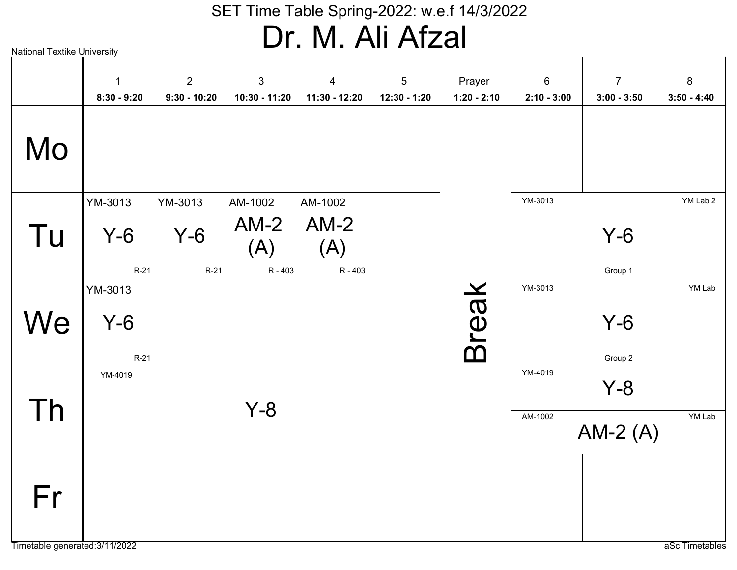# Dr. M. Ali Afzal

|    | $\mathbf{1}$<br>$8:30 - 9:20$ | $\overline{2}$<br>$9:30 - 10:20$ | $\mathfrak{S}$<br>10:30 - 11:20     | $\overline{4}$<br>11:30 - 12:20     | $\overline{5}$<br>12:30 - 1:20 | Prayer<br>$1:20 - 2:10$ | $6\phantom{a}$<br>$2:10 - 3:00$ | $\overline{7}$<br>$3:00 - 3:50$ | $\bf 8$<br>$3:50 - 4:40$ |
|----|-------------------------------|----------------------------------|-------------------------------------|-------------------------------------|--------------------------------|-------------------------|---------------------------------|---------------------------------|--------------------------|
| Mo |                               |                                  |                                     |                                     |                                |                         |                                 |                                 |                          |
| Tu | YM-3013<br>$Y-6$<br>$R-21$    | YM-3013<br>$Y-6$<br>$R-21$       | AM-1002<br>$AM-2$<br>(A)<br>R - 403 | AM-1002<br>$AM-2$<br>(A)<br>R - 403 |                                |                         | YM-3013                         | $Y-6$<br>Group 1                | YM Lab 2                 |
| We | YM-3013<br>$Y-6$<br>$R-21$    |                                  |                                     |                                     |                                | <b>Break</b>            | YM-3013                         | $Y-6$<br>Group 2                | YM Lab                   |
| Th | YM-4019                       |                                  | $Y-8$                               |                                     |                                |                         | YM-4019<br>AM-1002              | $Y-8$<br>$AM-2(A)$              | YM Lab                   |
| Fr |                               |                                  |                                     |                                     |                                |                         |                                 |                                 |                          |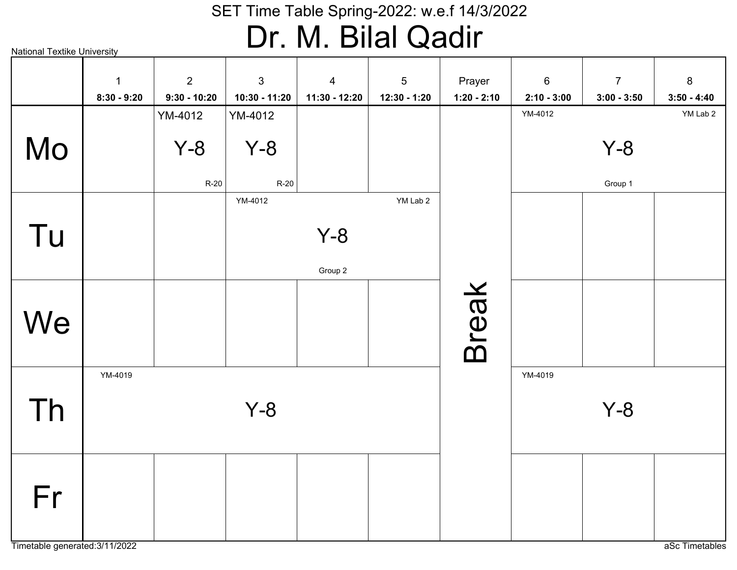## SET Time Table Spring-2022: w.e.f 14/3/2022Dr. M. Bilal Qadir

|    | $\mathbf{1}$<br>$8:30 - 9:20$ | $\overline{2}$<br>$9:30 - 10:20$ | $\mathbf{3}$<br>10:30 - 11:20 | $\overline{4}$<br>11:30 - 12:20 | $5\phantom{.0}$<br>12:30 - 1:20 | Prayer<br>$1:20 - 2:10$ | $6\phantom{1}$<br>$2:10 - 3:00$ | $\overline{7}$<br>$3:00 - 3:50$ | 8<br>$3:50 - 4:40$ |
|----|-------------------------------|----------------------------------|-------------------------------|---------------------------------|---------------------------------|-------------------------|---------------------------------|---------------------------------|--------------------|
|    |                               | YM-4012                          | YM-4012                       |                                 |                                 |                         | YM-4012                         |                                 | YM Lab 2           |
| Mo |                               | $Y-8$                            | $Y-8$                         |                                 |                                 |                         |                                 | $Y-8$                           |                    |
|    |                               | $R-20$                           | $R-20$                        |                                 |                                 |                         |                                 | Group 1                         |                    |
|    |                               |                                  | YM-4012                       |                                 | YM Lab 2                        |                         |                                 |                                 |                    |
| Tu |                               |                                  |                               | $Y-8$                           |                                 |                         |                                 |                                 |                    |
|    |                               |                                  |                               | Group 2                         |                                 |                         |                                 |                                 |                    |
| We |                               |                                  |                               |                                 |                                 | <b>Break</b>            |                                 |                                 |                    |
|    | YM-4019                       |                                  |                               |                                 |                                 |                         | YM-4019                         |                                 |                    |
| Th |                               |                                  | $Y-8$                         |                                 |                                 |                         |                                 | $Y-8$                           |                    |
| Fr |                               |                                  |                               |                                 |                                 |                         |                                 |                                 |                    |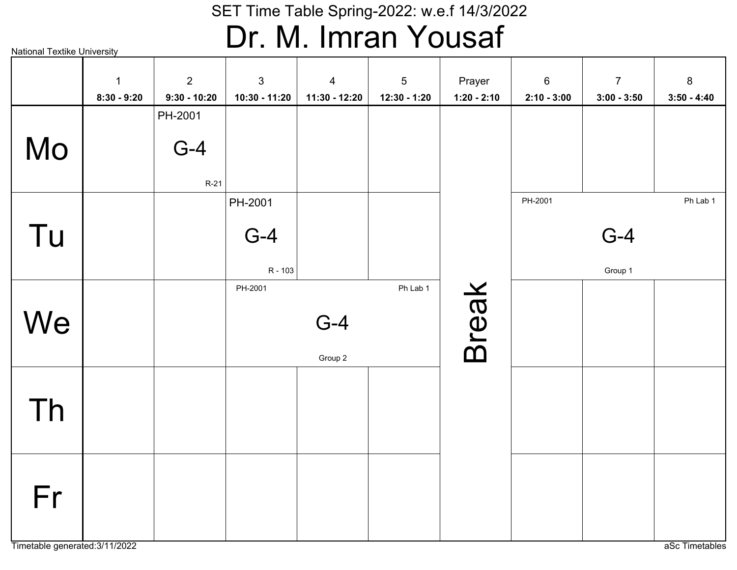# Dr. M. Imran Yousaf

|    | $\mathbf{1}$<br>$8:30 - 9:20$ | $2^{\circ}$<br>$9:30 - 10:20$ | $\mathfrak{S}$<br>10:30 - 11:20 | $\overline{4}$<br>11:30 - 12:20 | 5<br>12:30 - 1:20 | Prayer<br>$1:20 - 2:10$ | $6\phantom{1}$<br>$2:10 - 3:00$ | $\overline{7}$<br>$3:00 - 3:50$ | 8<br>$3:50 - 4:40$ |
|----|-------------------------------|-------------------------------|---------------------------------|---------------------------------|-------------------|-------------------------|---------------------------------|---------------------------------|--------------------|
| Mo |                               | PH-2001<br>$G-4$<br>$R-21$    |                                 |                                 |                   |                         |                                 |                                 |                    |
| Tu |                               |                               | PH-2001<br>$G-4$<br>R - 103     |                                 |                   |                         | PH-2001                         | $G-4$<br>Group 1                | Ph Lab 1           |
| We |                               |                               | PH-2001                         | $G-4$<br>Group 2                | Ph Lab 1          | <b>Break</b>            |                                 |                                 |                    |
| Th |                               |                               |                                 |                                 |                   |                         |                                 |                                 |                    |
| Fr |                               |                               |                                 |                                 |                   |                         |                                 |                                 |                    |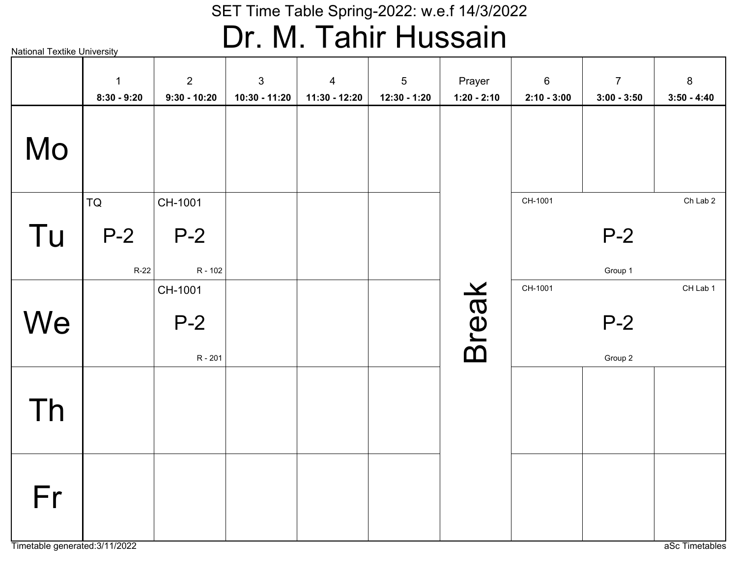## SET Time Table Spring-2022: w.e.f 14/3/2022Dr. M. Tahir Hussain

|    | $\mathbf 1$<br>$8:30 - 9:20$ | 2 <sup>1</sup><br>$9:30 - 10:20$ | $\mathbf{3}$<br>10:30 - 11:20 | $\overline{4}$<br>11:30 - 12:20 | $5\phantom{.0}$<br>12:30 - 1:20 | Prayer<br>$1:20 - 2:10$ | $6\phantom{1}$<br>$2:10 - 3:00$ | $\overline{7}$<br>$3:00 - 3:50$ | $8\phantom{1}$<br>$3:50 - 4:40$ |
|----|------------------------------|----------------------------------|-------------------------------|---------------------------------|---------------------------------|-------------------------|---------------------------------|---------------------------------|---------------------------------|
| Mo |                              |                                  |                               |                                 |                                 |                         |                                 |                                 |                                 |
|    | <b>TQ</b>                    | CH-1001                          |                               |                                 |                                 |                         | CH-1001                         |                                 | Ch Lab 2                        |
| Tu | $P-2$                        | $P-2$                            |                               |                                 |                                 |                         |                                 | $P-2$                           |                                 |
|    | <b>R-22</b>                  | R - 102                          |                               |                                 |                                 |                         |                                 | Group 1                         |                                 |
|    |                              | CH-1001                          |                               |                                 |                                 |                         | CH-1001                         |                                 | CH Lab 1                        |
| We |                              | $P-2$                            |                               |                                 |                                 |                         |                                 | $P-2$                           |                                 |
|    |                              | R - 201                          |                               |                                 |                                 | <b>Break</b>            |                                 | Group 2                         |                                 |
|    |                              |                                  |                               |                                 |                                 |                         |                                 |                                 |                                 |
|    |                              |                                  |                               |                                 |                                 |                         |                                 |                                 |                                 |
| Th |                              |                                  |                               |                                 |                                 |                         |                                 |                                 |                                 |
|    |                              |                                  |                               |                                 |                                 |                         |                                 |                                 |                                 |
|    |                              |                                  |                               |                                 |                                 |                         |                                 |                                 |                                 |
| Fr |                              |                                  |                               |                                 |                                 |                         |                                 |                                 |                                 |
|    |                              |                                  |                               |                                 |                                 |                         |                                 |                                 |                                 |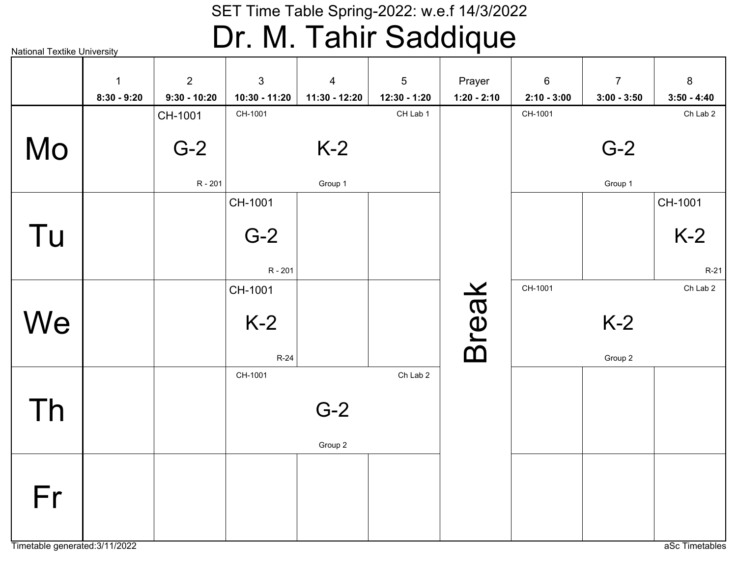## SET Time Table Spring-2022: w.e.f 14/3/2022Dr. M. Tahir Saddique

|    |                              | $\overline{2}$ |                               |                                 |                   |                         |                                 |                                 |                    |
|----|------------------------------|----------------|-------------------------------|---------------------------------|-------------------|-------------------------|---------------------------------|---------------------------------|--------------------|
|    | $\mathbf 1$<br>$8:30 - 9:20$ | $9:30 - 10:20$ | $\mathbf{3}$<br>10:30 - 11:20 | $\overline{4}$<br>11:30 - 12:20 | 5<br>12:30 - 1:20 | Prayer<br>$1:20 - 2:10$ | $6\phantom{1}$<br>$2:10 - 3:00$ | $\overline{7}$<br>$3:00 - 3:50$ | 8<br>$3:50 - 4:40$ |
|    |                              | CH-1001        | CH-1001                       |                                 | CH Lab 1          |                         | CH-1001                         |                                 | Ch Lab 2           |
| Mo |                              | $G-2$          |                               | $K-2$                           |                   |                         |                                 | $G-2$                           |                    |
|    |                              | $R - 201$      |                               | Group 1                         |                   |                         |                                 | Group 1                         |                    |
|    |                              |                | CH-1001                       |                                 |                   |                         |                                 |                                 | CH-1001            |
| Tu |                              |                | $G-2$                         |                                 |                   |                         |                                 |                                 | $K-2$              |
|    |                              |                | R - 201                       |                                 |                   |                         |                                 |                                 | $R-21$             |
|    |                              |                | CH-1001                       |                                 |                   |                         | CH-1001                         |                                 | Ch Lab 2           |
| We |                              |                | $K-2$<br>$R-24$               |                                 |                   | <b>Break</b>            |                                 | $K-2$<br>Group 2                |                    |
|    |                              |                | CH-1001                       |                                 | Ch Lab 2          |                         |                                 |                                 |                    |
| Th |                              |                |                               | $G-2$<br>Group 2                |                   |                         |                                 |                                 |                    |
|    |                              |                |                               |                                 |                   |                         |                                 |                                 |                    |
| Fr |                              |                |                               |                                 |                   |                         |                                 |                                 |                    |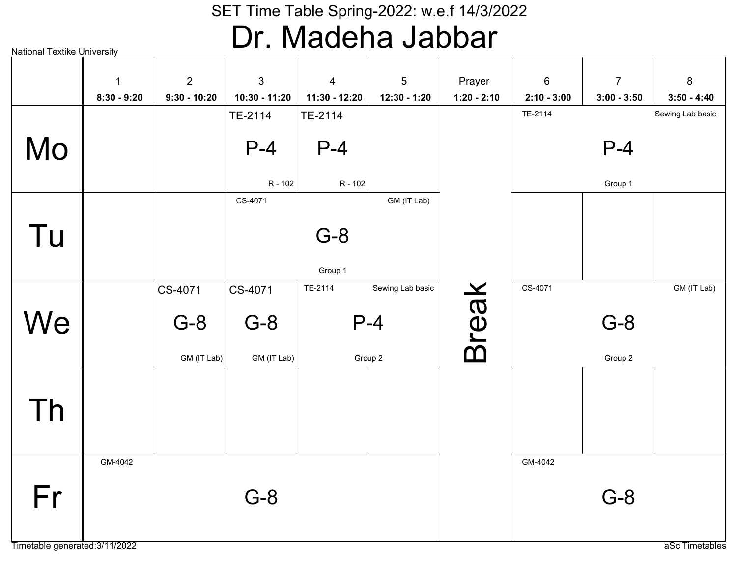# Dr. Madeha Jabbar

|    | $\mathbf 1$   | $\overline{2}$ | 3             | $\overline{4}$ | 5                | Prayer        | $6\phantom{1}$ | $\overline{7}$ | 8                |  |
|----|---------------|----------------|---------------|----------------|------------------|---------------|----------------|----------------|------------------|--|
|    | $8:30 - 9:20$ | $9:30 - 10:20$ | 10:30 - 11:20 | 11:30 - 12:20  | 12:30 - 1:20     | $1:20 - 2:10$ | $2:10 - 3:00$  | $3:00 - 3:50$  | $3:50 - 4:40$    |  |
|    |               |                | TE-2114       | TE-2114        |                  |               | TE-2114        |                | Sewing Lab basic |  |
|    |               |                |               |                |                  |               |                |                |                  |  |
| Mo |               |                | $P-4$         | $P - 4$        |                  |               |                | $P-4$          |                  |  |
|    |               |                |               |                |                  |               |                |                |                  |  |
|    |               |                | R - 102       | R - 102        |                  |               |                | Group 1        |                  |  |
|    |               |                | CS-4071       |                | GM (IT Lab)      |               |                |                |                  |  |
|    |               |                |               |                |                  |               |                |                |                  |  |
| Tu |               |                |               | $G-8$          |                  |               |                |                |                  |  |
|    |               |                |               |                |                  |               |                |                |                  |  |
|    |               |                |               | Group 1        |                  |               |                |                |                  |  |
|    |               | CS-4071        | CS-4071       | TE-2114        | Sewing Lab basic | <b>Break</b>  | CS-4071        |                | GM (IT Lab)      |  |
|    |               |                |               |                |                  |               |                |                |                  |  |
| We |               | $G-8$          | $G-8$         | $P-4$          |                  |               | $G-8$          |                |                  |  |
|    |               |                |               |                |                  |               |                |                |                  |  |
|    |               | GM (IT Lab)    | GM (IT Lab)   | Group 2        |                  |               |                | Group 2        |                  |  |
|    |               |                |               |                |                  |               |                |                |                  |  |
|    |               |                |               |                |                  |               |                |                |                  |  |
| Th |               |                |               |                |                  |               |                |                |                  |  |
|    |               |                |               |                |                  |               |                |                |                  |  |
|    |               |                |               |                |                  |               |                |                |                  |  |
|    | GM-4042       |                |               |                |                  |               | GM-4042        |                |                  |  |
|    |               |                |               |                |                  |               |                |                |                  |  |
| Fr |               |                | $G-8$         |                |                  |               |                | $G-8$          |                  |  |
|    |               |                |               |                |                  |               |                |                |                  |  |
|    |               |                |               |                |                  |               |                |                |                  |  |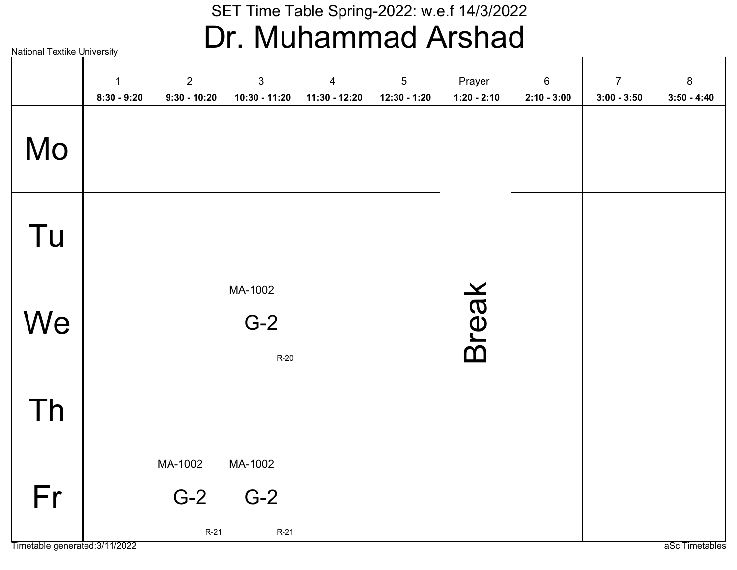### SET Time Table Spring-2022: w.e.f 14/3/2022Dr. Muhammad Arshad

|    | $\mathbf{1}$<br>$8:30 - 9:20$ | $\overline{2}$<br>$9:30 - 10:20$ | $\mathfrak{S}$<br>10:30 - 11:20 | $\overline{4}$<br>11:30 - 12:20 | $\overline{5}$<br>$12:30 - 1:20$ | Prayer<br>$1:20 - 2:10$ | $6\phantom{.}6$<br>$2:10 - 3:00$ | $\overline{7}$<br>$3:00 - 3:50$ | $8\phantom{1}$<br>$3:50 - 4:40$ |
|----|-------------------------------|----------------------------------|---------------------------------|---------------------------------|----------------------------------|-------------------------|----------------------------------|---------------------------------|---------------------------------|
| Mo |                               |                                  |                                 |                                 |                                  |                         |                                  |                                 |                                 |
| Tu |                               |                                  |                                 |                                 |                                  |                         |                                  |                                 |                                 |
| We |                               |                                  | MA-1002<br>$G-2$<br>$R-20$      |                                 |                                  | <b>Break</b>            |                                  |                                 |                                 |
| Th |                               |                                  |                                 |                                 |                                  |                         |                                  |                                 |                                 |
| Fr |                               | MA-1002<br>$G-2$<br>$R-21$       | MA-1002<br>$G-2$<br>$R-21$      |                                 |                                  |                         |                                  |                                 |                                 |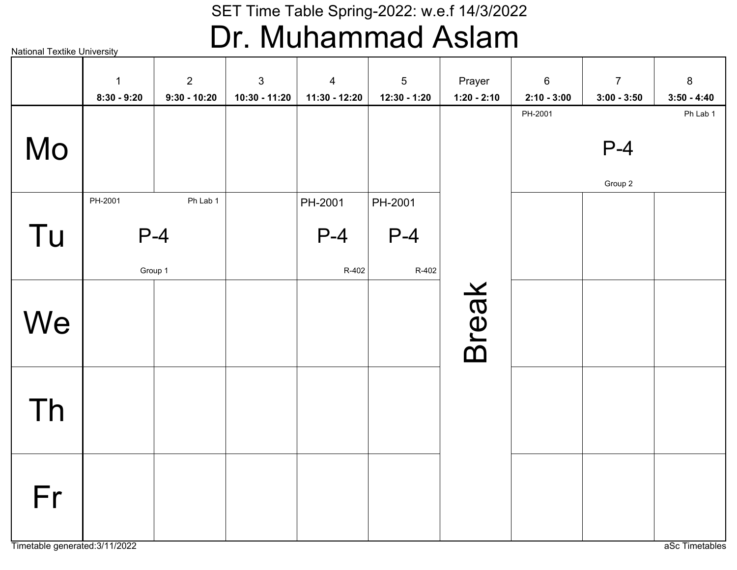## SET Time Table Spring-2022: w.e.f 14/3/2022Dr. Muhammad Aslam

|    | $\mathbf 1$<br>$8:30 - 9:20$            | $\overline{2}$<br>$9:30 - 10:20$ | $\mathfrak{S}$<br>$10:30 - 11:20$ | $\overline{4}$<br>11:30 - 12:20 | 5<br>12:30 - 1:20         | Prayer<br>$1:20 - 2:10$ | $6\phantom{1}$<br>$2:10 - 3:00$ | $\overline{7}$<br>$3:00 - 3:50$ | $8\phantom{1}$<br>$3:50 - 4:40$ |
|----|-----------------------------------------|----------------------------------|-----------------------------------|---------------------------------|---------------------------|-------------------------|---------------------------------|---------------------------------|---------------------------------|
| Mo |                                         |                                  |                                   |                                 |                           |                         | PH-2001                         | $P-4$<br>Group 2                | Ph Lab 1                        |
| Tu | Ph Lab 1<br>PH-2001<br>$P-4$<br>Group 1 |                                  |                                   | PH-2001<br>$P-4$<br>R-402       | PH-2001<br>$P-4$<br>R-402 |                         |                                 |                                 |                                 |
| We |                                         |                                  |                                   |                                 |                           | <b>Break</b>            |                                 |                                 |                                 |
| Th |                                         |                                  |                                   |                                 |                           |                         |                                 |                                 |                                 |
| Fr |                                         |                                  |                                   |                                 |                           |                         |                                 |                                 |                                 |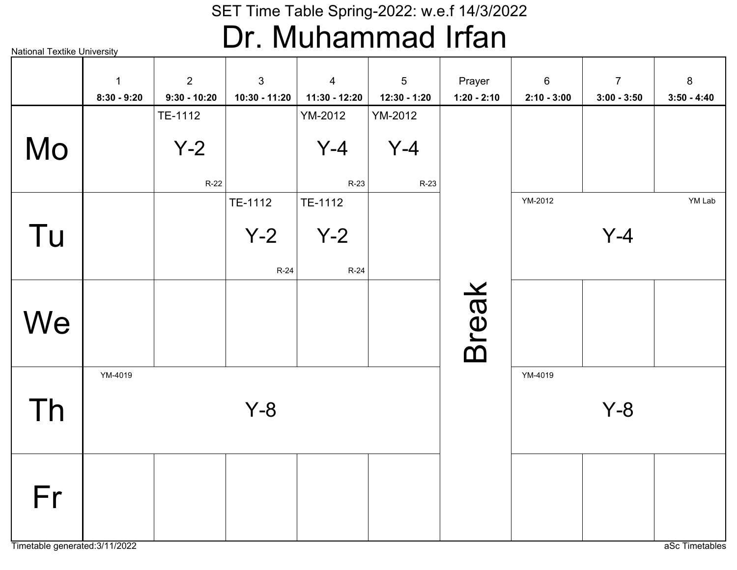Dr. Muhammad Irfan

|                                      | $\mathbf 1$<br>$8:30 - 9:20$ | $\overline{2}$<br>$9:30 - 10:20$ | $\mathbf{3}$<br>10:30 - 11:20 | $\overline{4}$<br>11:30 - 12:20 | $\overline{5}$<br>$12:30 - 1:20$ | Prayer<br>$1:20 - 2:10$ | $6\phantom{.}6$<br>$2:10 - 3:00$ | $\overline{7}$<br>$3:00 - 3:50$ | $8\phantom{1}$<br>$3:50 - 4:40$ |
|--------------------------------------|------------------------------|----------------------------------|-------------------------------|---------------------------------|----------------------------------|-------------------------|----------------------------------|---------------------------------|---------------------------------|
| Mo                                   |                              | TE-1112<br>$Y-2$<br>$R-22$       |                               | YM-2012<br>$Y-4$<br>R-23        | YM-2012<br>$Y-4$<br>R-23         |                         |                                  |                                 |                                 |
| Tu                                   |                              |                                  | TE-1112<br>$Y-2$<br>$R-24$    | TE-1112<br>$Y-2$<br>$R-24$      |                                  |                         | YM-2012                          | $Y-4$                           | YM Lab                          |
| We                                   |                              |                                  |                               |                                 |                                  | <b>Break</b>            |                                  |                                 |                                 |
| Th                                   | YM-4019                      |                                  | $Y-8$                         |                                 |                                  |                         | YM-4019                          | $Y-8$                           |                                 |
| Fr<br>Timetable generated: 3/11/2022 |                              |                                  |                               |                                 |                                  |                         |                                  |                                 | aSc Timetables                  |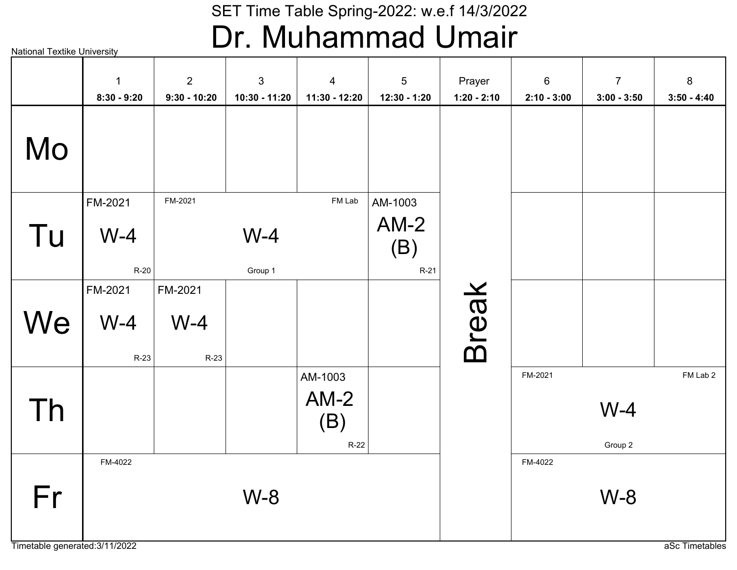### SET Time Table Spring-2022: w.e.f 14/3/2022Dr. Muhammad Umair

|    | $\mathbf{1}$<br>$8:30 - 9:20$ | $\overline{2}$           | $\mathfrak{S}$<br>10:30 - 11:20 | $\overline{4}$<br>11:30 - 12:20  | 5<br>12:30 - 1:20                  | Prayer<br>$1:20 - 2:10$ | $6\,$<br>$2:10 - 3:00$ | $\overline{7}$<br>$3:00 - 3:50$ | 8<br>$3:50 - 4:40$ |
|----|-------------------------------|--------------------------|---------------------------------|----------------------------------|------------------------------------|-------------------------|------------------------|---------------------------------|--------------------|
| Mo |                               | $9:30 - 10:20$           |                                 |                                  |                                    |                         |                        |                                 |                    |
| Tu | FM-2021<br>$W-4$<br>$R-20$    | FM-2021                  | $W-4$<br>Group 1                | FM Lab                           | AM-1003<br>$AM-2$<br>(B)<br>$R-21$ |                         |                        |                                 |                    |
| We | FM-2021<br>$W-4$<br>$R-23$    | FM-2021<br>$W-4$<br>R-23 |                                 |                                  |                                    | <b>Break</b>            |                        |                                 |                    |
| Th |                               |                          |                                 | AM-1003<br>$AM-2$<br>(B)<br>R-22 |                                    |                         | FM-2021                | $W-4$<br>Group 2                | FM Lab 2           |
| Fr | FM-4022                       |                          | $W-8$                           |                                  |                                    |                         | FM-4022                | $W-8$                           |                    |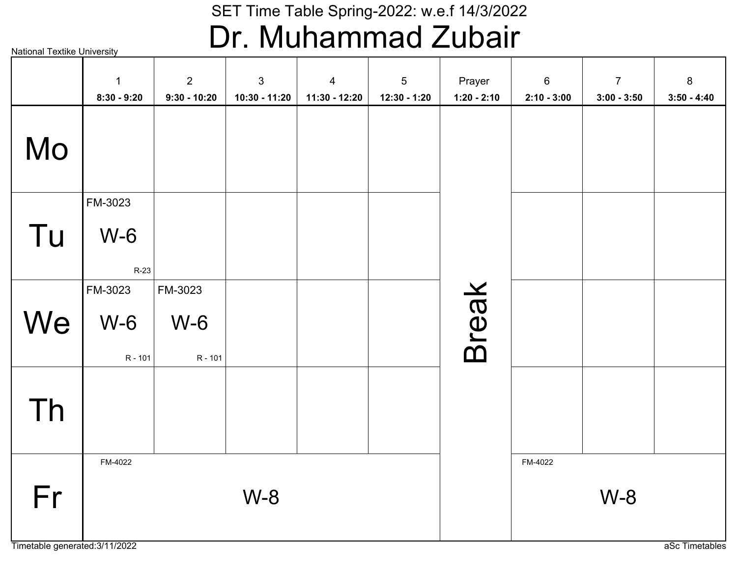## Dr. Muhammad Zubair

|    | $\mathbf{1}$<br>$8:30 - 9:20$ | $2^{\circ}$<br>$9:30 - 10:20$ | $\mathfrak{S}$<br>10:30 - 11:20 | $\overline{4}$<br>11:30 - 12:20 | $5\phantom{.0}$<br>12:30 - 1:20 | Prayer<br>$1:20 - 2:10$ | $6\phantom{a}$<br>$2:10 - 3:00$ | $\overline{7}$<br>$3:00 - 3:50$ | $\boldsymbol{8}$<br>$3:50 - 4:40$ |
|----|-------------------------------|-------------------------------|---------------------------------|---------------------------------|---------------------------------|-------------------------|---------------------------------|---------------------------------|-----------------------------------|
| Mo |                               |                               |                                 |                                 |                                 |                         |                                 |                                 |                                   |
| Tu | FM-3023<br>$W-6$<br>R-23      |                               |                                 |                                 |                                 |                         |                                 |                                 |                                   |
| We | FM-3023<br>$W-6$<br>R - 101   | FM-3023<br>$W-6$<br>R - 101   |                                 |                                 |                                 | <b>Break</b>            |                                 |                                 |                                   |
| Th |                               |                               |                                 |                                 |                                 |                         |                                 |                                 |                                   |
| Fr | FM-4022                       |                               | $W-8$                           |                                 |                                 |                         | FM-4022                         | $W-8$                           |                                   |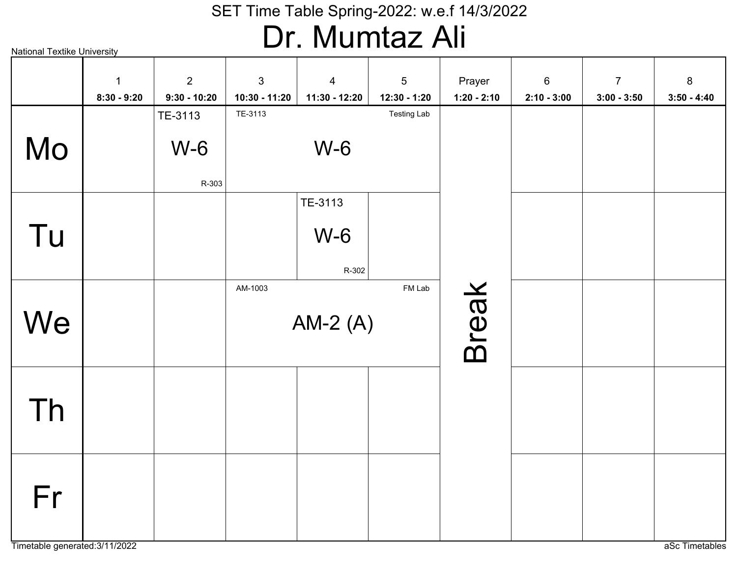### Dr. Mumtaz Ali

| <b>National Textike University</b> |                              |                                  |                               |                                 |                    |                         |                          |                                 |                          |
|------------------------------------|------------------------------|----------------------------------|-------------------------------|---------------------------------|--------------------|-------------------------|--------------------------|---------------------------------|--------------------------|
|                                    | $\mathbf 1$<br>$8:30 - 9:20$ | $\overline{2}$<br>$9:30 - 10:20$ | $\mathbf{3}$<br>10:30 - 11:20 | $\overline{4}$<br>11:30 - 12:20 | 5<br>12:30 - 1:20  | Prayer<br>$1:20 - 2:10$ | $\,6\,$<br>$2:10 - 3:00$ | $\overline{7}$<br>$3:00 - 3:50$ | $\bf 8$<br>$3:50 - 4:40$ |
| Mo                                 |                              | TE-3113<br>$W-6$<br>R-303        | TE-3113                       | $W-6$                           | <b>Testing Lab</b> |                         |                          |                                 |                          |
| Tu                                 |                              |                                  |                               | TE-3113<br>$W-6$<br>R-302       |                    |                         |                          |                                 |                          |
| We                                 |                              |                                  | AM-1003                       | AM-2 $(A)$                      | FM Lab             | <b>Break</b>            |                          |                                 |                          |
| Th                                 |                              |                                  |                               |                                 |                    |                         |                          |                                 |                          |
| Fr                                 |                              |                                  |                               |                                 |                    |                         |                          |                                 |                          |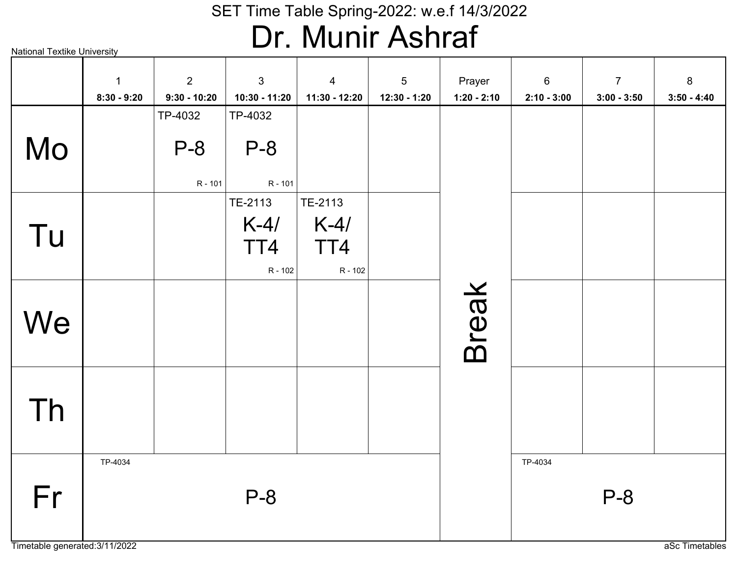### SET Time Table Spring-2022: w.e.f 14/3/2022Dr. Munir Ashraf

|    | $\mathbf 1$<br>$8:30 - 9:20$ | $2^{\circ}$<br>$9:30 - 10:20$ | $\mathbf{3}$<br>10:30 - 11:20       | $\overline{4}$<br>11:30 - 12:20     | $5\phantom{.0}$<br>12:30 - 1:20 | Prayer<br>$1:20 - 2:10$ | $6\phantom{1}$<br>$2:10 - 3:00$ | $\overline{7}$<br>$3:00 - 3:50$ | 8<br>$3:50 - 4:40$ |
|----|------------------------------|-------------------------------|-------------------------------------|-------------------------------------|---------------------------------|-------------------------|---------------------------------|---------------------------------|--------------------|
| Mo |                              | TP-4032<br>$P-8$<br>R - 101   | TP-4032<br>$P-8$<br>R - 101         |                                     |                                 |                         |                                 |                                 |                    |
| Tu |                              |                               | TE-2113<br>$K-4/$<br>TT4<br>R - 102 | TE-2113<br>$K-4/$<br>TT4<br>R - 102 |                                 |                         |                                 |                                 |                    |
| We |                              |                               |                                     |                                     |                                 | <b>Break</b>            |                                 |                                 |                    |
| Th |                              |                               |                                     |                                     |                                 |                         |                                 |                                 |                    |
| Fr | TP-4034                      |                               | $P-8$                               |                                     |                                 |                         | TP-4034                         | $P-8$                           |                    |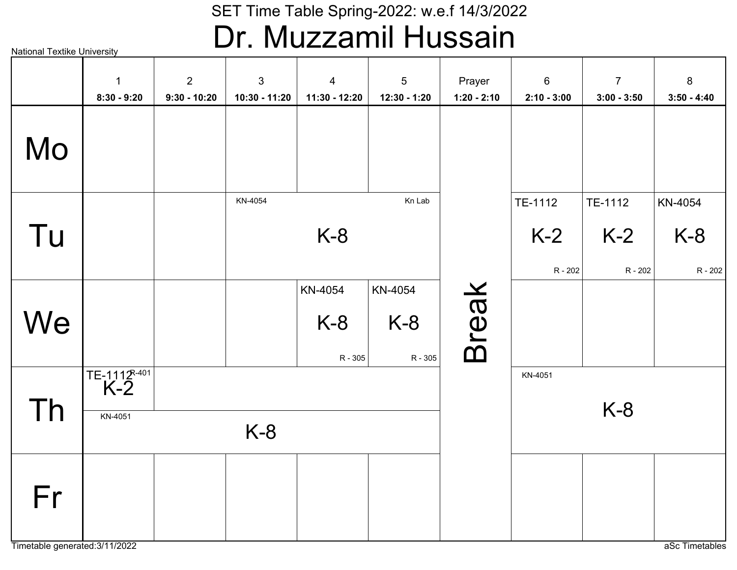### Dr. Muzzamil Hussain

|    | $\mathbf{1}$<br>$8:30 - 9:20$       | $\overline{2}$<br>$9:30 - 10:20$ | $\mathfrak{S}$<br>10:30 - 11:20 | $\overline{\mathbf{4}}$<br>11:30 - 12:20 | 5<br>12:30 - 1:20                | Prayer<br>$1:20 - 2:10$ | $\,6\,$<br>$2:10 - 3:00$    | $\overline{7}$<br>$3:00 - 3:50$ | 8<br>$3:50 - 4:40$          |
|----|-------------------------------------|----------------------------------|---------------------------------|------------------------------------------|----------------------------------|-------------------------|-----------------------------|---------------------------------|-----------------------------|
| Mo |                                     |                                  |                                 |                                          |                                  |                         |                             |                                 |                             |
| Tu |                                     |                                  | KN-4054                         | <b>K-8</b>                               | Kn Lab                           |                         | TE-1112<br>$K-2$<br>R - 202 | TE-1112<br>$K-2$<br>R - 202     | KN-4054<br>$K-8$<br>R - 202 |
| We |                                     |                                  |                                 | KN-4054<br><b>K-8</b><br>R - 305         | KN-4054<br><b>K-8</b><br>R - 305 | <b>Break</b>            |                             |                                 |                             |
| Th | TE-1112 <sup>R-401</sup><br>KN-4051 |                                  | K-8                             |                                          |                                  |                         | KN-4051                     | <b>K-8</b>                      |                             |
| Fr |                                     |                                  |                                 |                                          |                                  |                         |                             |                                 |                             |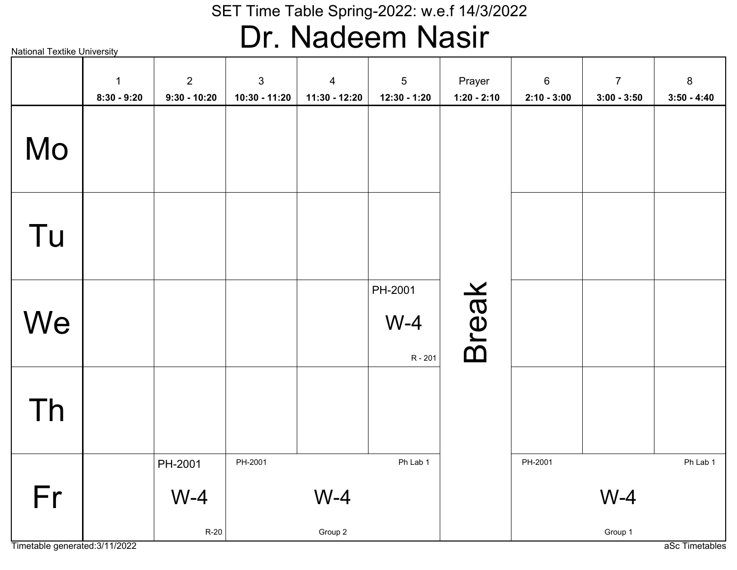# Dr. Nadeem Nasir

National Textike University

|    | $\mathbf{1}$<br>$8:30 - 9:20$ | $\overline{2}$<br>$9:30 - 10:20$ | $\mathfrak{Z}$<br>$10:30 - 11:20$ | $\overline{4}$<br>11:30 - 12:20 | $\overline{5}$<br>12:30 - 1:20 | Prayer<br>$1:20 - 2:10$ | $\,6\,$<br>$2:10 - 3:00$ | $\overline{7}$<br>$3:00 - 3:50$ | $\bf 8$<br>$3:50 - 4:40$ |
|----|-------------------------------|----------------------------------|-----------------------------------|---------------------------------|--------------------------------|-------------------------|--------------------------|---------------------------------|--------------------------|
| Mo |                               |                                  |                                   |                                 |                                |                         |                          |                                 |                          |
| Tu |                               |                                  |                                   |                                 |                                |                         |                          |                                 |                          |
| We |                               |                                  |                                   |                                 | PH-2001<br>$W-4$<br>R - 201    | <b>Break</b>            |                          |                                 |                          |
| Th |                               |                                  |                                   |                                 |                                |                         |                          |                                 |                          |
| Fr |                               | PH-2001<br>$W-4$                 | PH-2001                           | $W-4$                           | Ph Lab 1                       |                         | PH-2001                  | $W-4$                           | Ph Lab 1                 |
|    |                               | $R-20$                           |                                   | Group 2                         |                                |                         |                          | Group 1                         |                          |

Timetable generated:3/11/2022

aSc Timetables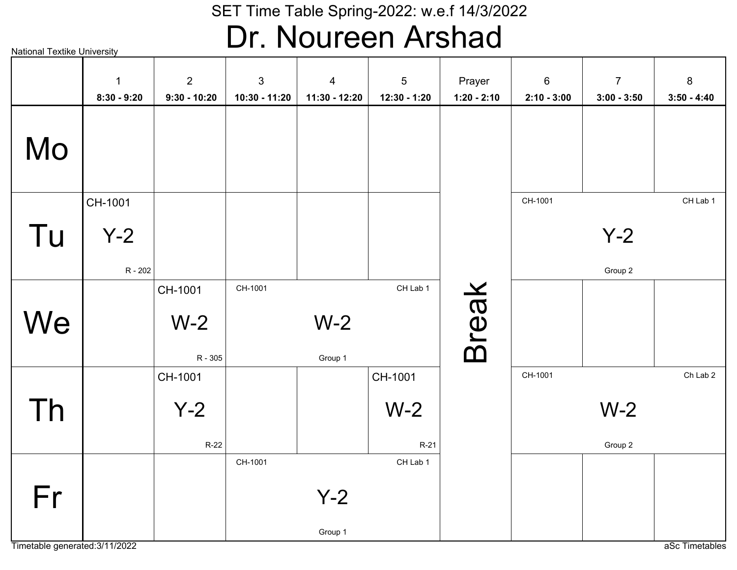## Dr. Noureen Arshad

|    | $\mathbf{1}$  | 2 <sup>1</sup> | 3             | $\overline{4}$ | 5            | Prayer        | $6\phantom{a}$ | $\overline{7}$ | 8             |
|----|---------------|----------------|---------------|----------------|--------------|---------------|----------------|----------------|---------------|
|    | $8:30 - 9:20$ | $9:30 - 10:20$ | 10:30 - 11:20 | 11:30 - 12:20  | 12:30 - 1:20 | $1:20 - 2:10$ | $2:10 - 3:00$  | $3:00 - 3:50$  | $3:50 - 4:40$ |
| Mo |               |                |               |                |              |               |                |                |               |
|    | CH-1001       |                |               |                |              |               | CH-1001        |                | CH Lab 1      |
| Tu | $Y-2$         |                |               |                |              |               |                | $Y-2$          |               |
|    | R - 202       |                |               |                |              |               |                | Group 2        |               |
|    |               | CH-1001        | CH-1001       |                | CH Lab 1     |               |                |                |               |
| We |               | $W-2$          |               | $W-2$          |              | <b>Break</b>  |                |                |               |
|    |               | R - 305        |               | Group 1        |              |               |                |                |               |
|    |               | CH-1001        |               |                | CH-1001      |               | CH-1001        |                | Ch Lab 2      |
| Th |               | $Y-2$          |               |                | $W-2$        |               |                | $W-2$          |               |
|    |               | R-22           |               |                | $R-21$       |               |                | Group 2        |               |
|    |               |                | CH-1001       |                | CH Lab 1     |               |                |                |               |
| Fr |               |                |               | $Y-2$          |              |               |                |                |               |
|    |               |                |               | Group 1        |              |               |                |                |               |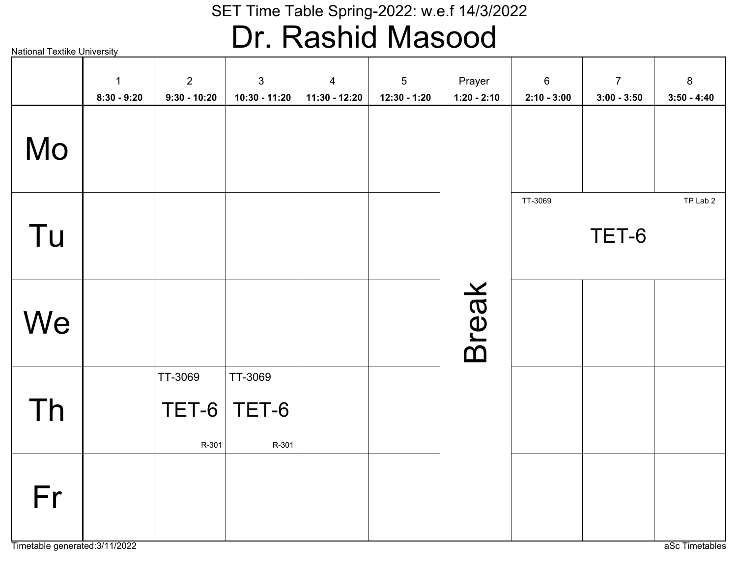### Dr. Rashid Masood

|    | $\mathbf 1$<br>$8:30 - 9:20$ | $\overline{2}$<br>$9:30 - 10:20$ | $\mathfrak{S}$<br>10:30 - 11:20 | $\overline{4}$<br>11:30 - 12:20 | $5\phantom{.0}$<br>12:30 - 1:20 | Prayer<br>$1:20 - 2:10$ | $6\phantom{1}6$<br>$2:10 - 3:00$ | $\overline{7}$<br>$3:00 - 3:50$ | 8<br>$3:50 - 4:40$ |
|----|------------------------------|----------------------------------|---------------------------------|---------------------------------|---------------------------------|-------------------------|----------------------------------|---------------------------------|--------------------|
| Mo |                              |                                  |                                 |                                 |                                 |                         |                                  |                                 |                    |
| Tu |                              |                                  |                                 |                                 |                                 |                         | TT-3069                          | TET-6                           | TP Lab 2           |
| We |                              |                                  |                                 |                                 |                                 | <b>Break</b>            |                                  |                                 |                    |
| Th |                              | TT-3069<br>TET-6<br>R-301        | TT-3069<br>TET-6<br>R-301       |                                 |                                 |                         |                                  |                                 |                    |
| Fr |                              |                                  |                                 |                                 |                                 |                         |                                  |                                 |                    |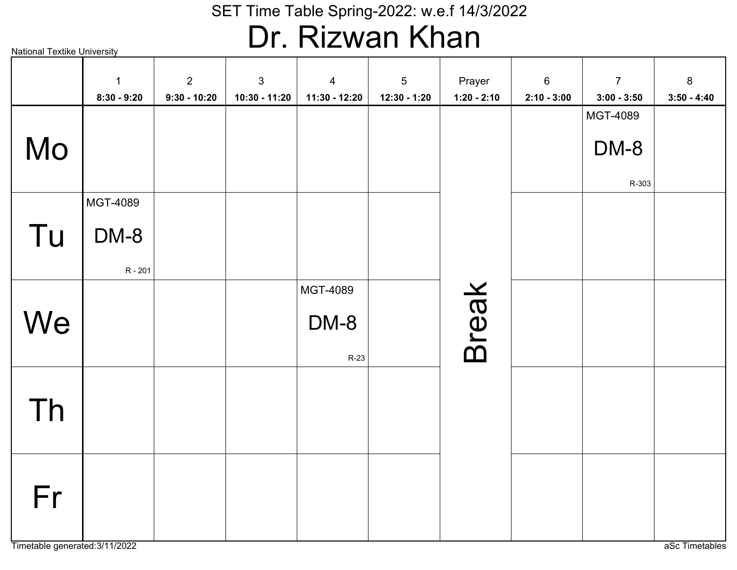## Dr. Rizwan Khan

|    | $\mathbf{1}$<br>$8:30 - 9:20$ | $\overline{2}$<br>$9:30 - 10:20$ | $\mathfrak{S}$<br>$10:30 - 11:20$ | $\overline{4}$<br>11:30 - 12:20 | $\overline{5}$<br>12:30 - 1:20 | Prayer<br>$1:20 - 2:10$ | $\,6\,$<br>$2:10 - 3:00$ | $\overline{7}$<br>$3:00 - 3:50$ | $\bf 8$<br>$3:50 - 4:40$ |
|----|-------------------------------|----------------------------------|-----------------------------------|---------------------------------|--------------------------------|-------------------------|--------------------------|---------------------------------|--------------------------|
| Mo |                               |                                  |                                   |                                 |                                |                         |                          | MGT-4089<br>DM-8<br>R-303       |                          |
| Tu | MGT-4089<br>DM-8<br>R - 201   |                                  |                                   |                                 |                                |                         |                          |                                 |                          |
| We |                               |                                  |                                   | MGT-4089<br>DM-8<br>R-23        |                                | <b>Break</b>            |                          |                                 |                          |
| Th |                               |                                  |                                   |                                 |                                |                         |                          |                                 |                          |
| Fr |                               |                                  |                                   |                                 |                                |                         |                          |                                 |                          |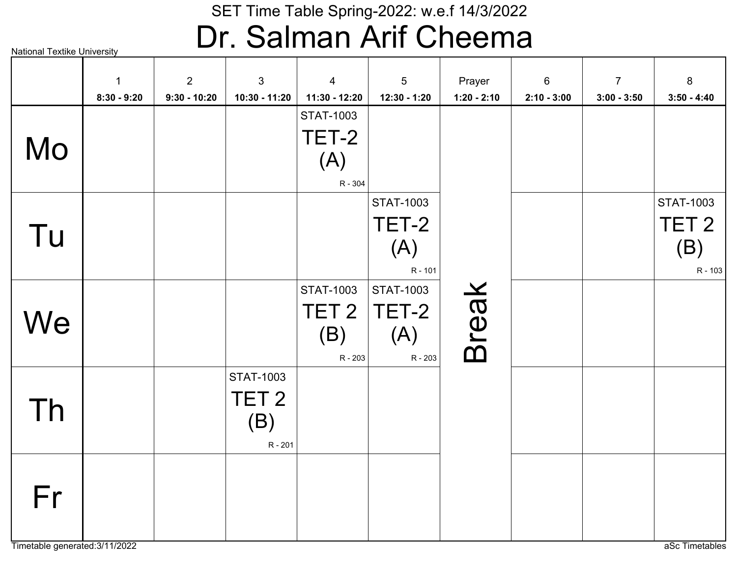### Dr. Salman Arif Cheema

|    | $\mathbf{1}$  | $\overline{2}$ | $\mathbf{3}$                                           | $\overline{4}$                                               | 5                                           | Prayer        | $6\phantom{1}$ | $\overline{7}$ | 8                                                      |
|----|---------------|----------------|--------------------------------------------------------|--------------------------------------------------------------|---------------------------------------------|---------------|----------------|----------------|--------------------------------------------------------|
| Mo | $8:30 - 9:20$ | $9:30 - 10:20$ | 10:30 - 11:20                                          | 11:30 - 12:20<br><b>STAT-1003</b><br>TET-2<br>(A)<br>R - 304 | 12:30 - 1:20                                | $1:20 - 2:10$ | $2:10 - 3:00$  | $3:00 - 3:50$  | $3:50 - 4:40$                                          |
| Tu |               |                |                                                        |                                                              | <b>STAT-1003</b><br>TET-2<br>(A)<br>R - 101 |               |                |                | <b>STAT-1003</b><br>TET <sub>2</sub><br>(B)<br>R - 103 |
| We |               |                |                                                        | <b>STAT-1003</b><br>TET <sub>2</sub><br>(B)<br>R - 203       | <b>STAT-1003</b><br>TET-2<br>(A)<br>R - 203 | <b>Break</b>  |                |                |                                                        |
| Th |               |                | <b>STAT-1003</b><br>TET <sub>2</sub><br>(B)<br>R - 201 |                                                              |                                             |               |                |                |                                                        |
| Fr |               |                |                                                        |                                                              |                                             |               |                |                |                                                        |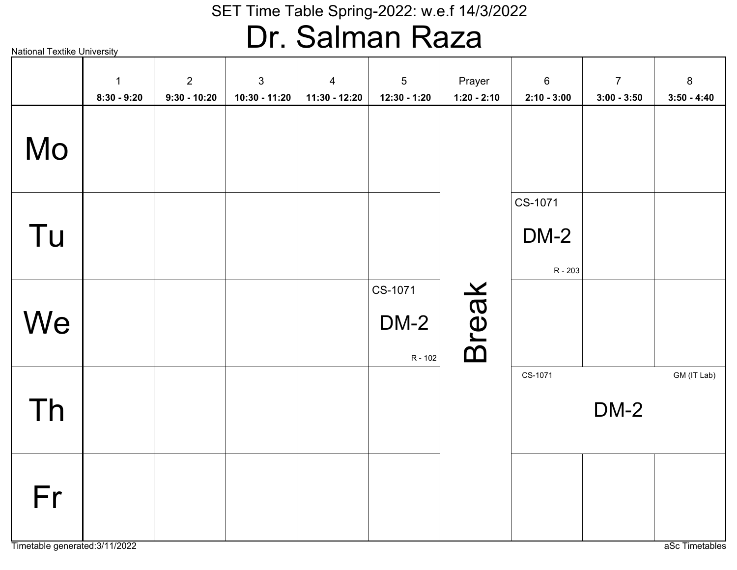## Dr. Salman Raza

|    | $\mathbf 1$<br>$8:30 - 9:20$ | $2^{\circ}$<br>$9:30 - 10:20$ | $\mathfrak{S}$<br>10:30 - 11:20 | $\overline{4}$<br>11:30 - 12:20 | $5\phantom{.0}$<br>$12:30 - 1:20$ | Prayer<br>$1:20 - 2:10$ | $6\phantom{1}6$<br>$2:10 - 3:00$ | $\overline{7}$<br>$3:00 - 3:50$ | $\bf 8$<br>$3:50 - 4:40$ |
|----|------------------------------|-------------------------------|---------------------------------|---------------------------------|-----------------------------------|-------------------------|----------------------------------|---------------------------------|--------------------------|
| Mo |                              |                               |                                 |                                 |                                   |                         |                                  |                                 |                          |
| Tu |                              |                               |                                 |                                 |                                   |                         | CS-1071<br>$DM-2$<br>R - 203     |                                 |                          |
| We |                              |                               |                                 |                                 | CS-1071<br>$DM-2$<br>R - 102      | <b>Break</b>            |                                  |                                 |                          |
| Th |                              |                               |                                 |                                 |                                   |                         | CS-1071                          | $DM-2$                          | GM (IT Lab)              |
| Fr |                              |                               |                                 |                                 |                                   |                         |                                  |                                 |                          |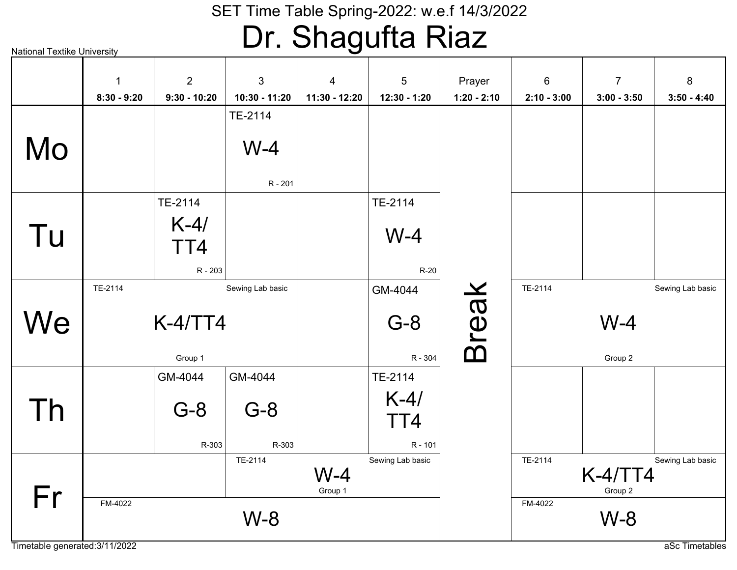# Dr. Shagufta Riaz

|    | $\mathbf{1}$<br>$8:30 - 9:20$ | $\overline{2}$<br>$9:30 - 10:20$ | 3<br>10:30 - 11:20 | $\overline{4}$<br>11:30 - 12:20 | 5<br>12:30 - 1:20 | Prayer<br>$1:20 - 2:10$ | $6\phantom{a}$<br>$2:10 - 3:00$ | $\overline{7}$<br>$3:00 - 3:50$ | 8<br>$3:50 - 4:40$ |
|----|-------------------------------|----------------------------------|--------------------|---------------------------------|-------------------|-------------------------|---------------------------------|---------------------------------|--------------------|
|    |                               |                                  | TE-2114            |                                 |                   |                         |                                 |                                 |                    |
| Mo |                               |                                  | $W-4$              |                                 |                   |                         |                                 |                                 |                    |
|    |                               |                                  | R - 201            |                                 |                   |                         |                                 |                                 |                    |
|    |                               | TE-2114                          |                    |                                 | TE-2114           |                         |                                 |                                 |                    |
| Tu |                               | $K-4/$<br>TT4                    |                    |                                 | $W-4$             |                         |                                 |                                 |                    |
|    |                               | R - 203                          |                    |                                 | $R-20$            |                         |                                 |                                 |                    |
|    | TE-2114                       |                                  | Sewing Lab basic   |                                 | GM-4044           |                         | TE-2114                         |                                 | Sewing Lab basic   |
| We |                               | $K-4/TT4$                        |                    |                                 | $G-8$             | <b>Break</b>            |                                 | $W-4$                           |                    |
|    |                               | Group 1                          |                    |                                 | R - 304           |                         |                                 | Group 2                         |                    |
|    |                               | GM-4044                          | GM-4044            |                                 | TE-2114           |                         |                                 |                                 |                    |
| Th |                               | $G-8$                            | $G-8$              |                                 | $K-4/$<br>TT4     |                         |                                 |                                 |                    |
|    |                               | R-303                            | R-303              |                                 | R - 101           |                         |                                 |                                 |                    |
|    |                               |                                  | TE-2114            |                                 | Sewing Lab basic  |                         | TE-2114                         |                                 | Sewing Lab basic   |
|    |                               |                                  |                    | $W-4$<br>Group 1                |                   |                         |                                 | $K-4/TT4$<br>Group 2            |                    |
| Fr | FM-4022                       |                                  | $W-8$              |                                 |                   |                         | FM-4022                         | $W-8$                           |                    |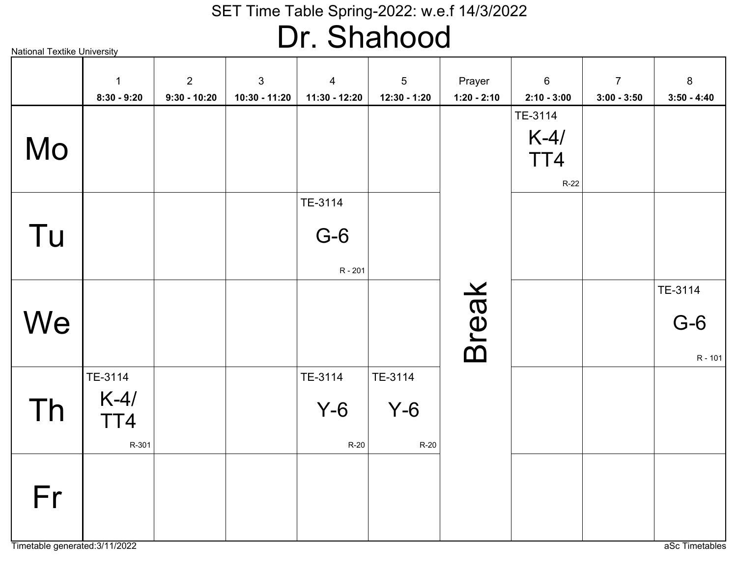# Dr. Shahood

|    | $\mathbf{1}$  | $2^{\circ}$    | $\mathbf{3}$  | $\overline{4}$ | $5\phantom{.0}$ | Prayer        | $\,6\,$           | $\overline{7}$ | 8             |
|----|---------------|----------------|---------------|----------------|-----------------|---------------|-------------------|----------------|---------------|
|    | $8:30 - 9:20$ | $9:30 - 10:20$ | 10:30 - 11:20 | 11:30 - 12:20  | 12:30 - 1:20    | $1:20 - 2:10$ | $2:10 - 3:00$     | $3:00 - 3:50$  | $3:50 - 4:40$ |
|    |               |                |               |                |                 |               | TE-3114<br>$K-4/$ |                |               |
| Mo |               |                |               |                |                 |               | TT4               |                |               |
|    |               |                |               | TE-3114        |                 |               | R-22              |                |               |
| Tu |               |                |               | $G-6$          |                 |               |                   |                |               |
|    |               |                |               | $R - 201$      |                 |               |                   |                | TE-3114       |
| We |               |                |               |                |                 |               |                   |                | $G-6$         |
|    |               |                |               |                |                 | <b>Break</b>  |                   |                | R - 101       |
|    | TE-3114       |                |               | TE-3114        | TE-3114         |               |                   |                |               |
| Th | $K-4/$<br>TT4 |                |               | $Y-6$          | $Y-6$           |               |                   |                |               |
|    | R-301         |                |               | $R-20$         | $R-20$          |               |                   |                |               |
|    |               |                |               |                |                 |               |                   |                |               |
| Fr |               |                |               |                |                 |               |                   |                |               |
|    |               |                |               |                |                 |               |                   |                |               |

Timetable generated:3/11/2022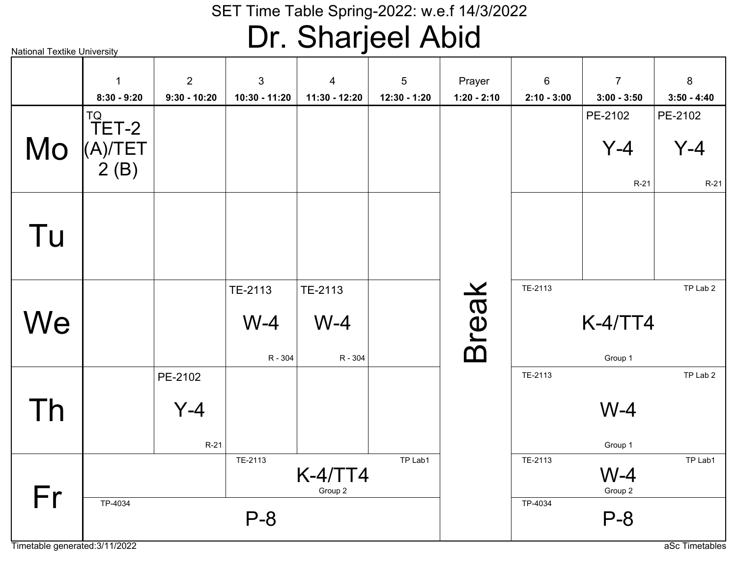### Dr. Sharjeel Abid

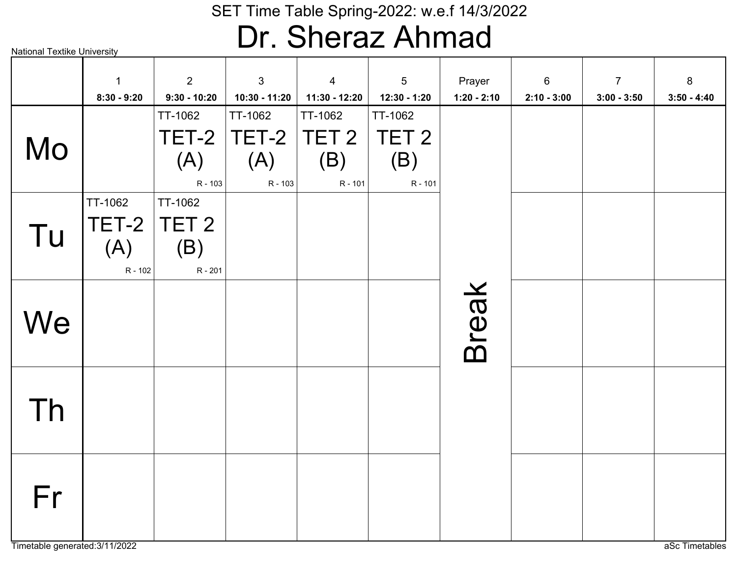### Dr. Sheraz Ahmad

National Textike UniversityTET-2 (A)TT-1062R - 103TET-2 (A)TT-1062R - 103TET 2 (B)TT-1062R - 101TET 2(B)TT-1062R - 101TET-2 (A)TT-1062R - 102TET 2 (B)TT-1062R - 201Break MoTu**We** ThFr1 **8:30 - 9:20**2 **9:30 - 10:20**3 **10:30 - 11:20**4 **11:30 - 12:20**5 **12:30 - 1:20**Prayer**1:20 - 2:10**6**2:10 - 3:00**7**3:00 - 3:50**8**3:50 - 4:40**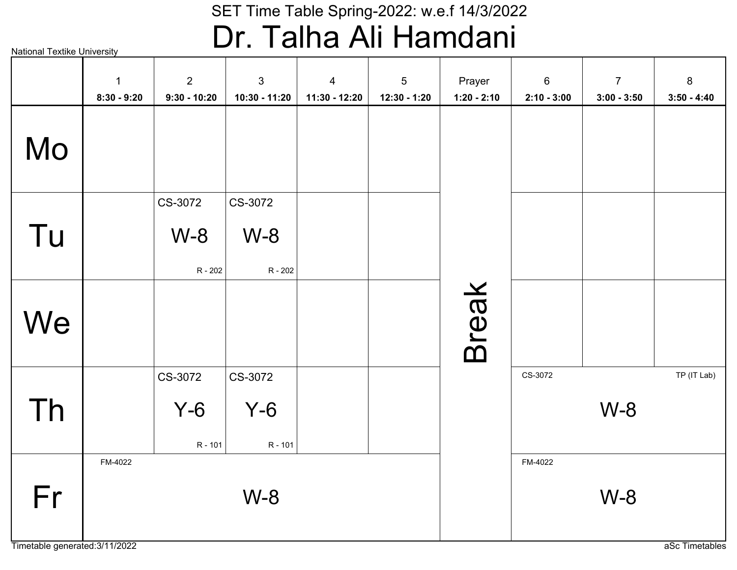### SET Time Table Spring-2022: w.e.f 14/3/2022Dr. Talha Ali Hamdani

|    | $\mathbf{1}$<br>$8:30 - 9:20$ | $\overline{2}$<br>$9:30 - 10:20$ | $\mathbf{3}$<br>10:30 - 11:20 | $\overline{4}$<br>11:30 - 12:20 | $\sqrt{5}$<br>12:30 - 1:20 | Prayer<br>$1:20 - 2:10$ | $6\phantom{.}6$<br>$2:10 - 3:00$ | $\overline{7}$<br>$3:00 - 3:50$ | 8<br>$3:50 - 4:40$ |
|----|-------------------------------|----------------------------------|-------------------------------|---------------------------------|----------------------------|-------------------------|----------------------------------|---------------------------------|--------------------|
| Mo |                               |                                  |                               |                                 |                            |                         |                                  |                                 |                    |
| Tu |                               | CS-3072<br>$W-8$<br>R - 202      | CS-3072<br>$W-8$<br>R - 202   |                                 |                            |                         |                                  |                                 |                    |
| We |                               |                                  |                               |                                 |                            | <b>Break</b>            |                                  |                                 |                    |
| Th |                               | CS-3072<br>$Y-6$<br>R - 101      | CS-3072<br>$Y-6$<br>R - 101   |                                 |                            |                         | CS-3072                          | $W-8$                           | TP (IT Lab)        |
| Fr | FM-4022                       |                                  | $W-8$                         |                                 |                            |                         | FM-4022                          | $W-8$                           |                    |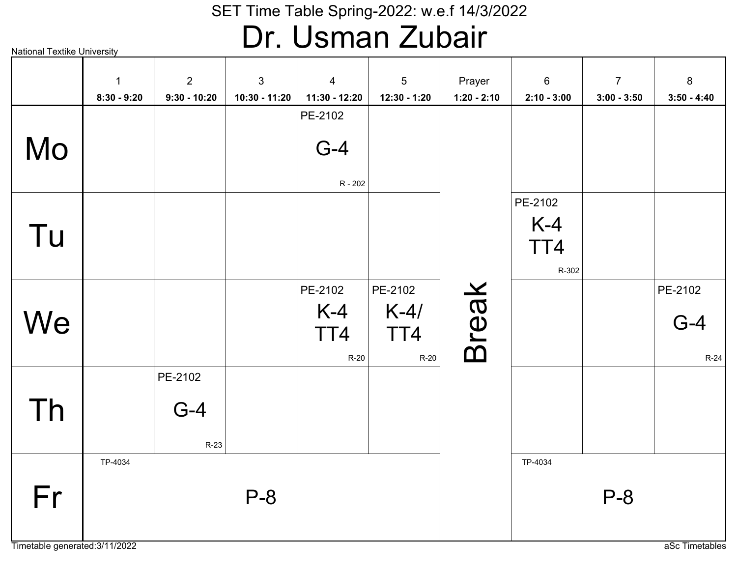# Dr. Usman Zubair

|    | $\mathbf 1$   | $2^{\circ}$    | $\mathbf{3}$    | 4                        | 5             | Prayer        | $6\phantom{1}$                   | $\overline{7}$ | 8             |
|----|---------------|----------------|-----------------|--------------------------|---------------|---------------|----------------------------------|----------------|---------------|
|    | $8:30 - 9:20$ | $9:30 - 10:20$ | $10:30 - 11:20$ | 11:30 - 12:20<br>PE-2102 | 12:30 - 1:20  | $1:20 - 2:10$ | $2:10 - 3:00$                    | $3:00 - 3:50$  | $3:50 - 4:40$ |
| Mo |               |                |                 | $G-4$                    |               |               |                                  |                |               |
|    |               |                |                 | R - 202                  |               |               |                                  |                |               |
| Tu |               |                |                 |                          |               |               | PE-2102<br>$K-4$<br>TT4<br>R-302 |                |               |
|    |               |                |                 | PE-2102                  | PE-2102       |               |                                  |                | PE-2102       |
| We |               |                |                 | $K-4$<br>TT4             | $K-4/$<br>TT4 | <b>Break</b>  |                                  |                | $G-4$         |
|    |               | PE-2102        |                 | $R-20$                   | $R-20$        |               |                                  |                | $R-24$        |
| Th |               | $G-4$          |                 |                          |               |               |                                  |                |               |
|    |               | $R-23$         |                 |                          |               |               |                                  |                |               |
| Fr | TP-4034       |                | $P-8$           |                          |               |               | TP-4034                          | $P-8$          |               |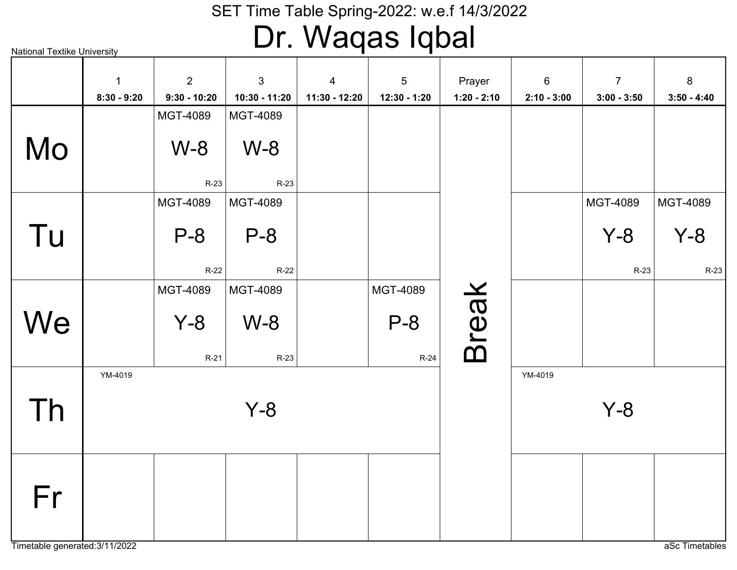# Dr. Waqas Iqbal

| <b>National Textike University</b> |               |                            |                           |                | PII TIUYUU IYNUI |               |               |                |               |
|------------------------------------|---------------|----------------------------|---------------------------|----------------|------------------|---------------|---------------|----------------|---------------|
|                                    | $\mathbf{1}$  | 2                          | $\mathfrak{S}$            | $\overline{4}$ | $5\phantom{.0}$  | Prayer        | $\,6\,$       | $\overline{7}$ | $\bf 8$       |
|                                    | $8:30 - 9:20$ | $9:30 - 10:20$<br>MGT-4089 | 10:30 - 11:20<br>MGT-4089 | 11:30 - 12:20  | 12:30 - 1:20     | $1:20 - 2:10$ | $2:10 - 3:00$ | $3:00 - 3:50$  | $3:50 - 4:40$ |
| Mo                                 |               | $W-8$                      | $W-8$                     |                |                  |               |               |                |               |
|                                    |               | R-23                       | $R-23$                    |                |                  |               |               |                |               |
|                                    |               | MGT-4089                   | MGT-4089                  |                |                  |               |               | MGT-4089       | MGT-4089      |
| Tu                                 |               | $P-8$                      | $P-8$                     |                |                  |               |               | $Y-8$          | $Y-8$         |
|                                    |               | R-22                       | $R-22$                    |                |                  |               |               | $R-23$         | $R-23$        |
|                                    |               | MGT-4089                   | MGT-4089                  |                | MGT-4089         |               |               |                |               |
| We                                 |               | $Y-8$                      | $W-8$                     |                | $P-8$            | <b>Break</b>  |               |                |               |
|                                    |               | $R-21$                     | $R-23$                    |                | $R-24$           |               |               |                |               |
|                                    | YM-4019       |                            |                           |                |                  |               | YM-4019       |                |               |
| Th                                 |               |                            | $Y-8$                     |                |                  |               |               | $Y-8$          |               |
| Fr                                 |               |                            |                           |                |                  |               |               |                |               |

Timetable generated:3/11/2022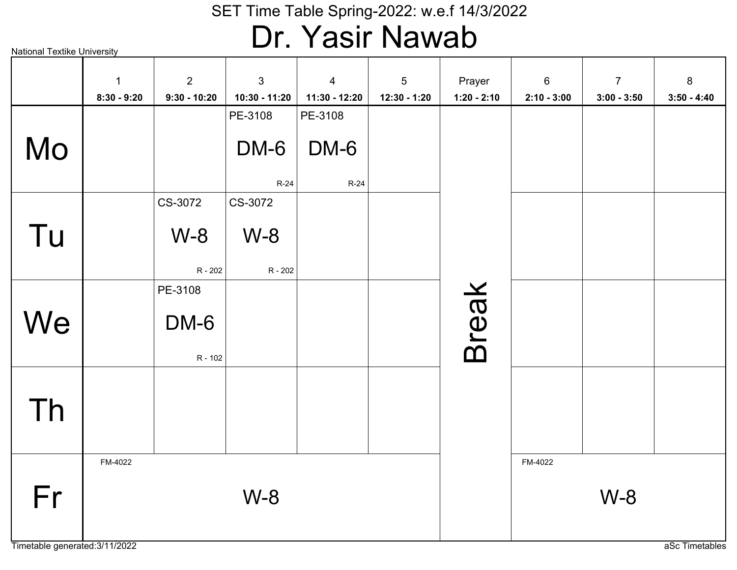### Dr. Yasir Nawab

National Textike UniversityDM-6PE-3108R-24DM-6PE-3108R-24W-8CS-3072R - 202W-8CS-3072R - 202DM-6PE-3108R - 102W-8FM-4022W-8FM-4022Break MoTu**We** ThFr1 **8:30 - 9:20**2 **9:30 - 10:20**3 **10:30 - 11:20**4 **11:30 - 12:20**5 **12:30 - 1:20**Prayer**1:20 - 2:10**6 **2:10 - 3:00**7**3:00 - 3:50**

8**3:50 - 4:40**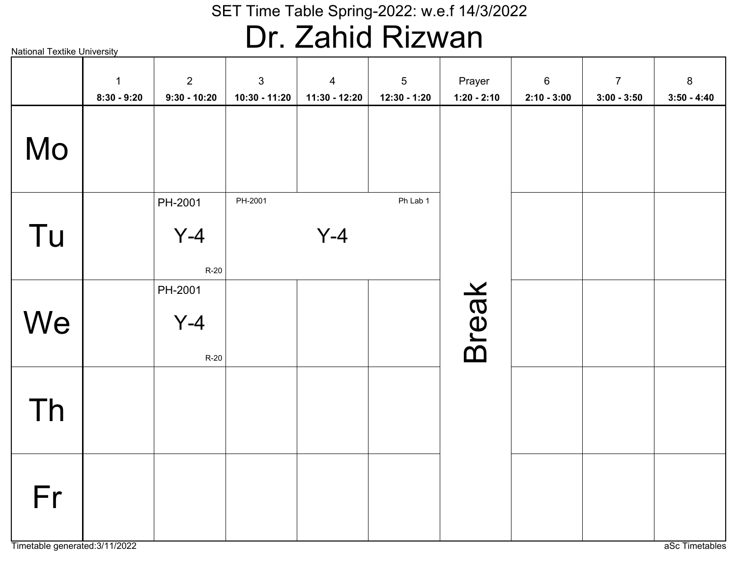### Dr. Zahid Rizwan

| <b>National Textike University</b> |                              |                                  |                               |                                 |                              |                         |                                  |                                 |                          |
|------------------------------------|------------------------------|----------------------------------|-------------------------------|---------------------------------|------------------------------|-------------------------|----------------------------------|---------------------------------|--------------------------|
|                                    | $\mathbf 1$<br>$8:30 - 9:20$ | $\overline{2}$<br>$9:30 - 10:20$ | $\mathbf{3}$<br>10:30 - 11:20 | $\overline{4}$<br>11:30 - 12:20 | $\sqrt{5}$<br>$12:30 - 1:20$ | Prayer<br>$1:20 - 2:10$ | $6\phantom{.}6$<br>$2:10 - 3:00$ | $\overline{7}$<br>$3:00 - 3:50$ | $\bf 8$<br>$3:50 - 4:40$ |
| Mo                                 |                              |                                  |                               |                                 |                              |                         |                                  |                                 |                          |
| Tu                                 |                              | PH-2001<br>$Y-4$<br>$R-20$       | PH-2001                       | $Y-4$                           | Ph Lab 1                     |                         |                                  |                                 |                          |
| We                                 |                              | PH-2001<br>$Y-4$<br>$R-20$       |                               |                                 |                              | <b>Break</b>            |                                  |                                 |                          |
| Th                                 |                              |                                  |                               |                                 |                              |                         |                                  |                                 |                          |
| Fr                                 |                              |                                  |                               |                                 |                              |                         |                                  |                                 |                          |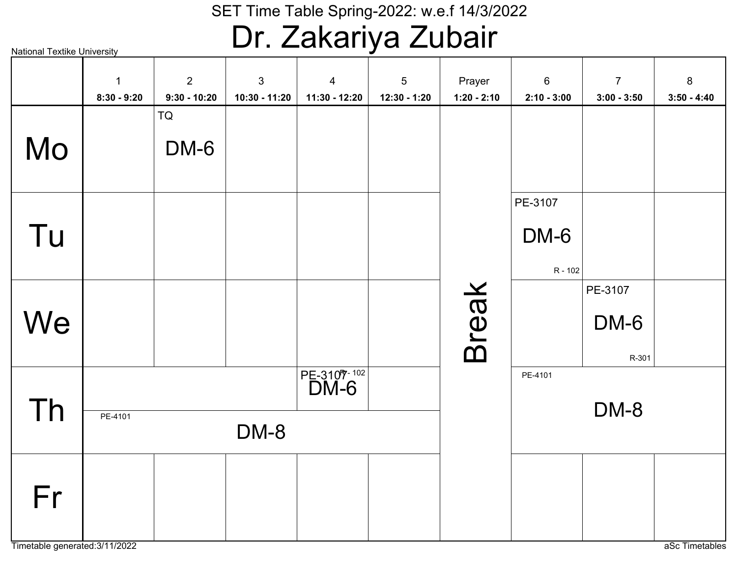# Dr. Zakariya Zubair

|                                      | $\mathbf{1}$<br>$8:30 - 9:20$ | $\overline{2}$<br>$9:30 - 10:20$ | $\mathfrak{S}$<br>10:30 - 11:20 | $\overline{4}$<br>11:30 - 12:20             | $5\phantom{.0}$<br>12:30 - 1:20 | Prayer<br>$1:20 - 2:10$ | $\,6\,$<br>$2:10 - 3:00$   | $\overline{7}$<br>$3:00 - 3:50$ | $\bf 8$<br>$3:50 - 4:40$ |
|--------------------------------------|-------------------------------|----------------------------------|---------------------------------|---------------------------------------------|---------------------------------|-------------------------|----------------------------|---------------------------------|--------------------------|
| Mo                                   |                               | <b>TQ</b><br>DM-6                |                                 |                                             |                                 |                         |                            |                                 |                          |
| Tu                                   |                               |                                  |                                 |                                             |                                 |                         | PE-3107<br>DM-6<br>R - 102 |                                 |                          |
| We                                   |                               |                                  |                                 |                                             |                                 | <b>Break</b>            |                            | PE-3107<br>DM-6<br>R-301        |                          |
| Th                                   | PE-4101                       |                                  | DM-8                            | PE-310 <sup>7</sup> <sup>-102</sup><br>DM-6 |                                 |                         | PE-4101                    | <b>DM-8</b>                     |                          |
| Fr<br>Timetable generated: 3/11/2022 |                               |                                  |                                 |                                             |                                 |                         |                            |                                 | aSc Timetables           |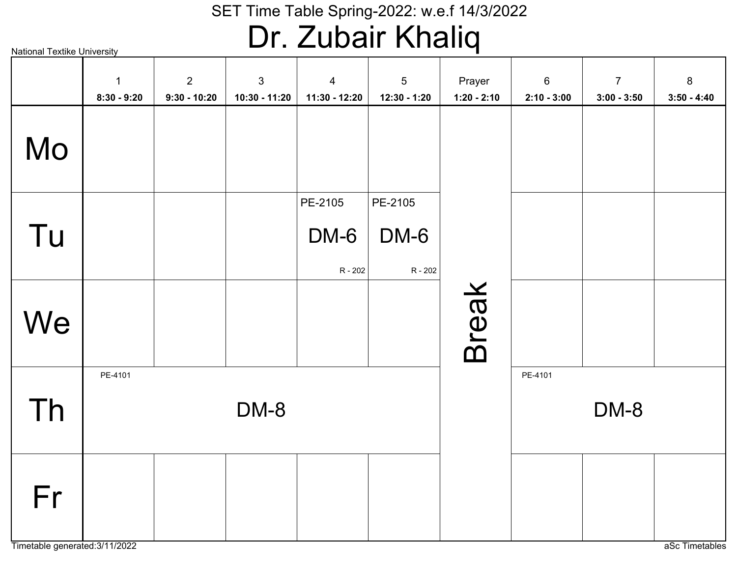# Dr. Zubair Khaliq

|    | $\mathbf 1$<br>$8:30 - 9:20$ | $\overline{2}$<br>$9:30 - 10:20$ | $\mathbf{3}$<br>10:30 - 11:20 | $\overline{\mathbf{4}}$<br>11:30 - 12:20 | 5<br>12:30 - 1:20          | Prayer<br>$1:20 - 2:10$ | $6\phantom{1}6$<br>$2:10 - 3:00$ | $\overline{7}$<br>$3:00 - 3:50$ | $\,8\,$<br>$3:50 - 4:40$ |
|----|------------------------------|----------------------------------|-------------------------------|------------------------------------------|----------------------------|-------------------------|----------------------------------|---------------------------------|--------------------------|
| Mo |                              |                                  |                               |                                          |                            |                         |                                  |                                 |                          |
| Tu |                              |                                  |                               | PE-2105<br>DM-6<br>R - 202               | PE-2105<br>DM-6<br>R - 202 |                         |                                  |                                 |                          |
| We |                              |                                  |                               |                                          |                            | <b>Break</b>            |                                  |                                 |                          |
| Th | PE-4101                      |                                  | DM-8                          |                                          |                            |                         | PE-4101                          | DM-8                            |                          |
| Fr |                              |                                  |                               |                                          |                            |                         |                                  |                                 |                          |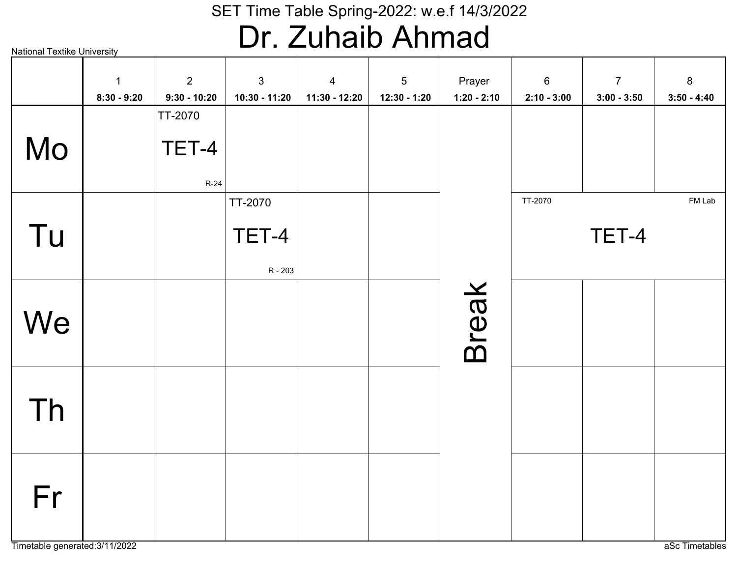### Dr. Zuhaib Ahmad

TET-4TT-2070R-24TET-4TT-2070R - 203TET-4TT-20700 FM Lab Break MoTu**We** ThFr1 **8:30 - 9:20**2 **9:30 - 10:20**3 **10:30 - 11:20**4 **11:30 - 12:20**5 **12:30 - 1:20**Prayer**1:20 - 2:10**6 **2:10 - 3:00**7 **3:00 - 3:50**8**3:50 - 4:40**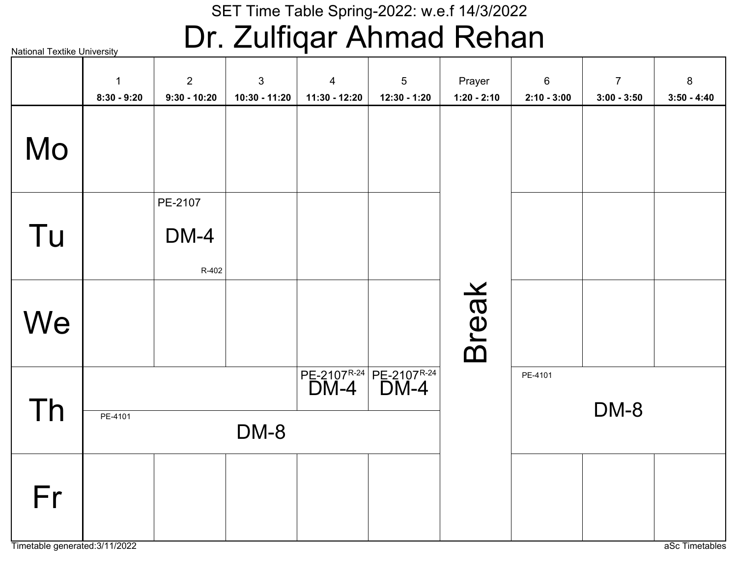### Dr. Zulfiqar Ahmad Rehan

|    | $\mathbf 1$<br>$8:30 - 9:20$ | $\overline{2}$<br>$9:30 - 10:20$ | $\mathbf{3}$<br>10:30 - 11:20 | $\overline{4}$<br>11:30 - 12:20 | 5<br>12:30 - 1:20       | Prayer<br>$1:20 - 2:10$ | $6\phantom{1}6$<br>$2:10 - 3:00$ | $\overline{7}$<br>$3:00 - 3:50$ | 8<br>$3:50 - 4:40$ |
|----|------------------------------|----------------------------------|-------------------------------|---------------------------------|-------------------------|-------------------------|----------------------------------|---------------------------------|--------------------|
| Mo |                              |                                  |                               |                                 |                         |                         |                                  |                                 |                    |
| Tu |                              | PE-2107<br>DM-4<br>R-402         |                               |                                 |                         |                         |                                  |                                 |                    |
| We |                              |                                  |                               |                                 |                         | <b>Break</b>            |                                  |                                 |                    |
| Th | PE-4101                      |                                  | DM-8                          |                                 | PE-2107R-24 PE-2107R-24 |                         | PE-4101                          | DM-8                            |                    |
| Fr |                              |                                  |                               |                                 |                         |                         |                                  |                                 |                    |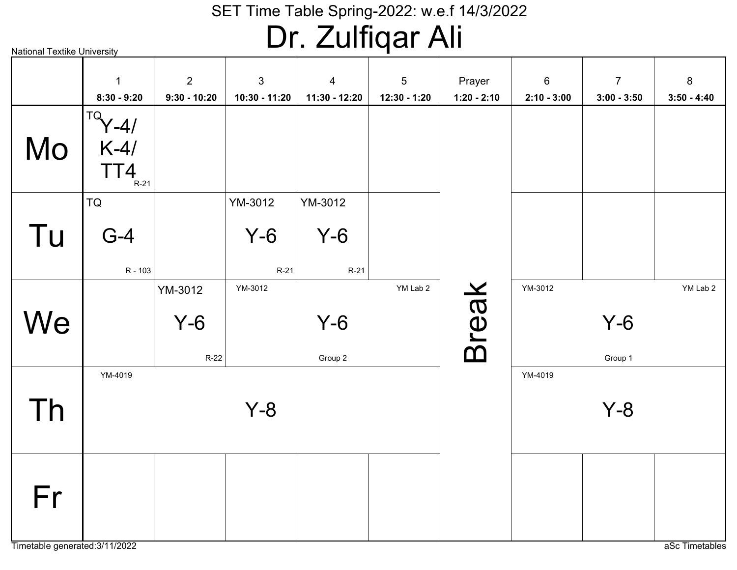# Dr. Zulfiqar Ali

|                                      | $\mathbf 1$                         | $\overline{2}$ | $\sqrt{3}$    | $\overline{4}$ | $\overline{5}$ | Prayer        | $\,6\,$       | $\overline{7}$ | $\bf 8$        |
|--------------------------------------|-------------------------------------|----------------|---------------|----------------|----------------|---------------|---------------|----------------|----------------|
|                                      | $8:30 - 9:20$                       | $9:30 - 10:20$ | 10:30 - 11:20 | 11:30 - 12:20  | 12:30 - 1:20   | $1:20 - 2:10$ | $2:10 - 3:00$ | $3:00 - 3:50$  | $3:50 - 4:40$  |
| Mo                                   | TQ<br>Y-4/<br>K-4/<br>TT4<br>$R-21$ |                |               |                |                |               |               |                |                |
|                                      | <b>TQ</b>                           |                | YM-3012       | YM-3012        |                |               |               |                |                |
| Tu                                   | $G-4$                               |                | $Y-6$         | $Y-6$          |                |               |               |                |                |
|                                      | R - 103                             |                | $R-21$        | $R-21$         |                |               |               |                |                |
|                                      |                                     | YM-3012        | YM-3012       |                | YM Lab 2       |               | YM-3012       |                | YM Lab 2       |
| We                                   |                                     | $Y-6$          |               | $Y-6$          |                | <b>Break</b>  |               | $Y-6$          |                |
|                                      |                                     | $R-22$         |               | Group 2        |                |               |               | Group 1        |                |
|                                      | YM-4019                             |                |               |                |                |               | YM-4019       |                |                |
| Th                                   |                                     |                | $Y-8$         |                |                |               |               | $Y-8$          |                |
| Fr<br>Timetable generated: 3/11/2022 |                                     |                |               |                |                |               |               |                | aSc Timetables |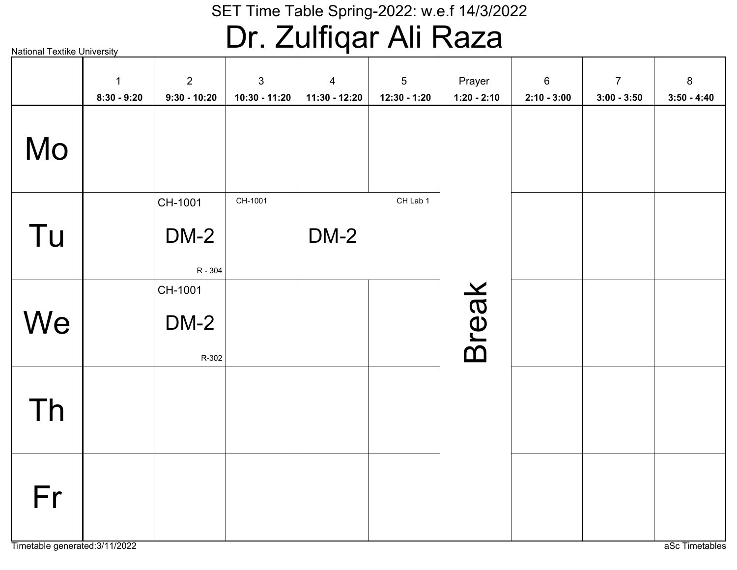# Dr. Zulfiqar Ali Raza

|    | $\mathbf{1}$<br>$8:30 - 9:20$ | $2^{\circ}$<br>$9:30 - 10:20$ | $\mathfrak{S}$<br>$10:30 - 11:20$ | $\overline{4}$<br>11:30 - 12:20 | 5<br>12:30 - 1:20 | Prayer<br>$1:20 - 2:10$ | $6\phantom{.}6$<br>$2:10 - 3:00$ | $\overline{7}$<br>$3:00 - 3:50$ | $8\phantom{1}$<br>$3:50 - 4:40$ |
|----|-------------------------------|-------------------------------|-----------------------------------|---------------------------------|-------------------|-------------------------|----------------------------------|---------------------------------|---------------------------------|
| Mo |                               |                               |                                   |                                 |                   |                         |                                  |                                 |                                 |
| Tu |                               | CH-1001<br>$DM-2$<br>R - 304  | CH-1001                           | $DM-2$                          | CH Lab 1          |                         |                                  |                                 |                                 |
| We |                               | CH-1001<br>$DM-2$<br>R-302    |                                   |                                 |                   | <b>Break</b>            |                                  |                                 |                                 |
| Th |                               |                               |                                   |                                 |                   |                         |                                  |                                 |                                 |
| Fr |                               |                               |                                   |                                 |                   |                         |                                  |                                 |                                 |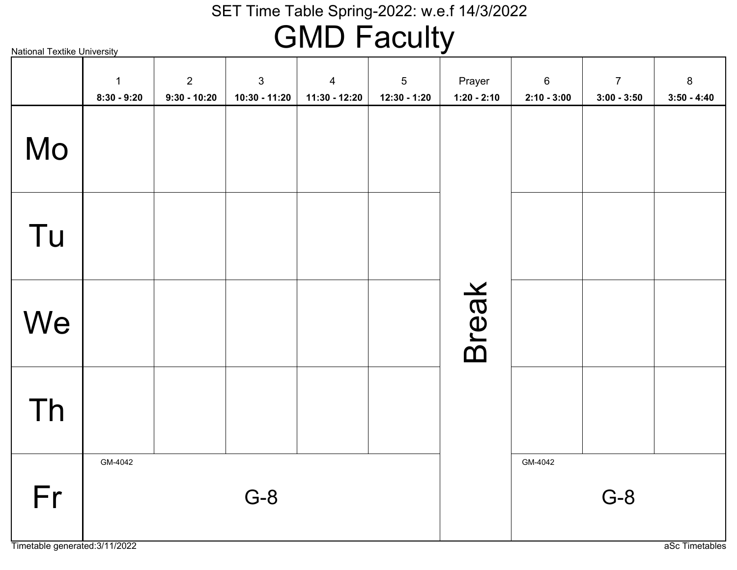# GMD Faculty

National Textike UniversityG-8GM-4042G-8GM-4042Break MoTu**We** ThFr1 **8:30 - 9:20**2 **9:30 - 10:20**3 **10:30 - 11:20**4 **11:30 - 12:20**5 **12:30 - 1:20**Prayer**1:20 - 2:10**6 **2:10 - 3:00**7 **3:00 - 3:50**8**3:50 - 4:40**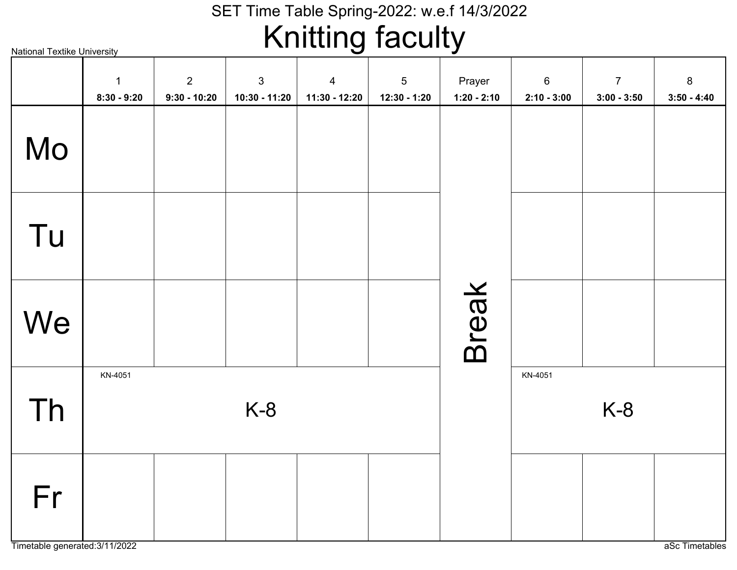# Knitting faculty

|    | $\mathbf 1$<br>$8:30 - 9:20$ | $2^{\circ}$<br>$9:30 - 10:20$ | $\mathbf{3}$<br>$10:30 - 11:20$ | $\overline{4}$<br>$11:30 - 12:20$ | $\sqrt{5}$<br>12:30 - 1:20 | Prayer<br>$1:20 - 2:10$ | $6\phantom{.}6$<br>$2:10 - 3:00$ | $\overline{7}$<br>$3:00 - 3:50$ | $8\phantom{1}$<br>$3:50 - 4:40$ |
|----|------------------------------|-------------------------------|---------------------------------|-----------------------------------|----------------------------|-------------------------|----------------------------------|---------------------------------|---------------------------------|
| Mo |                              |                               |                                 |                                   |                            |                         |                                  |                                 |                                 |
| Tu |                              |                               |                                 |                                   |                            |                         |                                  |                                 |                                 |
| We |                              |                               |                                 |                                   |                            | Break                   |                                  |                                 |                                 |
| Th | KN-4051                      |                               | K-8                             |                                   |                            |                         | KN-4051                          | <b>K-8</b>                      |                                 |
| Fr |                              |                               |                                 |                                   |                            |                         |                                  |                                 |                                 |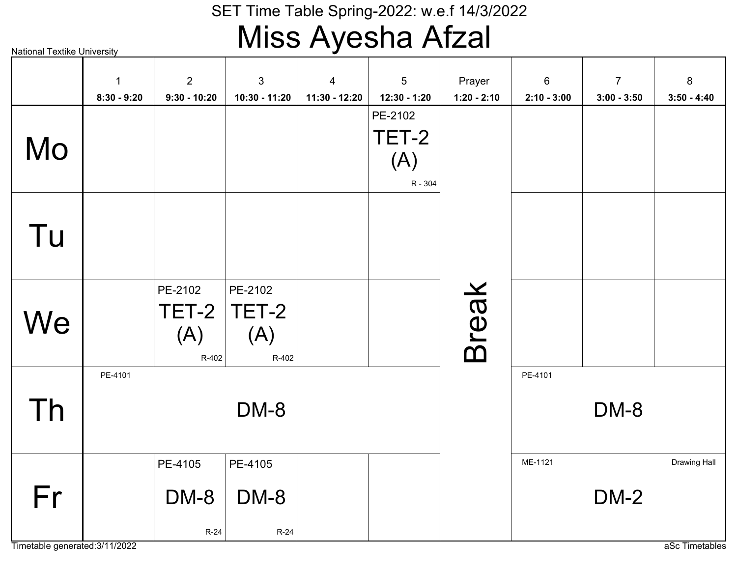# Miss Ayesha Afzal

|    | $\mathbf 1$   | $\overline{2}$                   | $\mathbf{3}$                     | $\overline{4}$ | $5\phantom{.0}$                    | Prayer        | $\,6\,$       | $\overline{7}$ | $\bf 8$       |
|----|---------------|----------------------------------|----------------------------------|----------------|------------------------------------|---------------|---------------|----------------|---------------|
|    | $8:30 - 9:20$ | $9:30 - 10:20$                   | 10:30 - 11:20                    | 11:30 - 12:20  | 12:30 - 1:20                       | $1:20 - 2:10$ | $2:10 - 3:00$ | $3:00 - 3:50$  | $3:50 - 4:40$ |
| Mo |               |                                  |                                  |                | PE-2102<br>TET-2<br>(A)<br>R - 304 |               |               |                |               |
| Tu |               |                                  |                                  |                |                                    |               |               |                |               |
| We |               | PE-2102<br>TET-2<br>(A)<br>R-402 | PE-2102<br>TET-2<br>(A)<br>R-402 |                |                                    | <b>Break</b>  |               |                |               |
| Th | PE-4101       |                                  | <b>DM-8</b>                      |                |                                    |               | PE-4101       | <b>DM-8</b>    |               |
| Fr |               | PE-4105<br>DM-8<br>$R-24$        | PE-4105<br><b>DM-8</b><br>$R-24$ |                |                                    |               | ME-1121       | <b>DM-2</b>    | Drawing Hall  |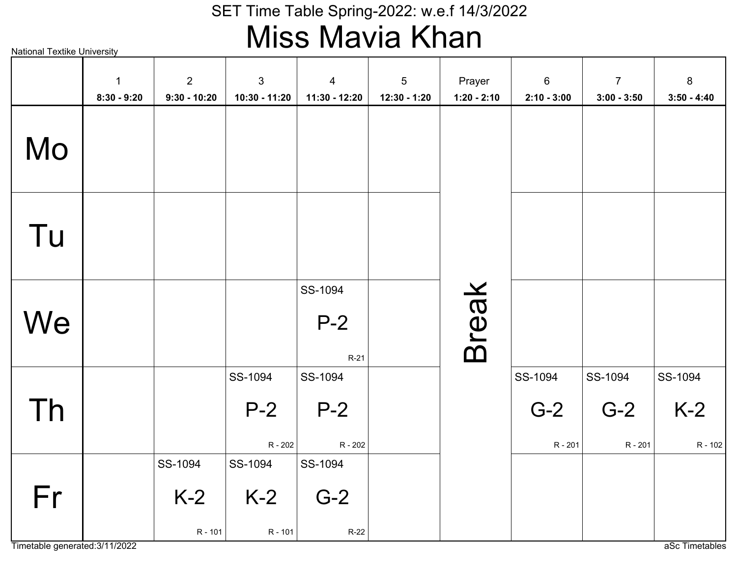### SET Time Table Spring-2022: w.e.f 14/3/2022Miss Mavia Khan

|    | $\mathbf{1}$<br>$8:30 - 9:20$ | $2^{\circ}$<br>$9:30 - 10:20$ | $\mathbf{3}$<br>$10:30 - 11:20$ | $\overline{4}$<br>11:30 - 12:20 | $\overline{5}$<br>12:30 - 1:20 | Prayer<br>$1:20 - 2:10$ | $\,6\,$<br>$2:10 - 3:00$    | $\overline{7}$<br>$3:00 - 3:50$ | $\bf 8$<br>$3:50 - 4:40$    |
|----|-------------------------------|-------------------------------|---------------------------------|---------------------------------|--------------------------------|-------------------------|-----------------------------|---------------------------------|-----------------------------|
| Mo |                               |                               |                                 |                                 |                                |                         |                             |                                 |                             |
| Tu |                               |                               |                                 |                                 |                                |                         |                             |                                 |                             |
| We |                               |                               |                                 | SS-1094<br>$P-2$<br>$R-21$      |                                | <b>Break</b>            |                             |                                 |                             |
| Th |                               |                               | SS-1094<br>$P-2$<br>R - 202     | SS-1094<br>$P-2$<br>R - 202     |                                |                         | SS-1094<br>$G-2$<br>R - 201 | SS-1094<br>$G-2$<br>R - 201     | SS-1094<br>$K-2$<br>R - 102 |
| Fr |                               | SS-1094<br>$K-2$<br>R - 101   | SS-1094<br>$K-2$<br>R - 101     | SS-1094<br>$G-2$<br><b>R-22</b> |                                |                         |                             |                                 |                             |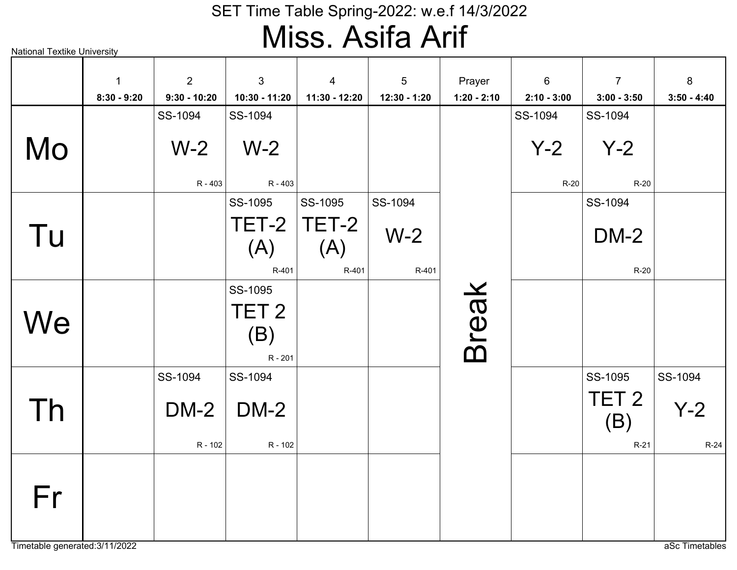# Miss. Asifa Arif

|    | $\mathbf{1}$  | $2^{\circ}$                  | $\mathbf{3}$                                  | $\overline{4}$ | 5            | Prayer        | $6\phantom{1}$ | $\overline{7}$                               | 8                          |
|----|---------------|------------------------------|-----------------------------------------------|----------------|--------------|---------------|----------------|----------------------------------------------|----------------------------|
|    | $8:30 - 9:20$ | $9:30 - 10:20$               | $10:30 - 11:20$                               | 11:30 - 12:20  | 12:30 - 1:20 | $1:20 - 2:10$ | $2:10 - 3:00$  | $3:00 - 3:50$                                | $3:50 - 4:40$              |
|    |               | SS-1094                      | SS-1094                                       |                |              |               | SS-1094        | SS-1094                                      |                            |
| Mo |               | $W-2$                        | $W-2$                                         |                |              |               | $Y-2$          | $Y-2$                                        |                            |
|    |               | R-403                        | R - 403                                       |                |              |               | $R-20$         | $R-20$                                       |                            |
|    |               |                              | SS-1095                                       | SS-1095        | SS-1094      |               |                | SS-1094                                      |                            |
| Tu |               |                              | TET-2<br>(A)                                  | TET-2<br>(A)   | $W-2$        |               |                | <b>DM-2</b>                                  |                            |
|    |               |                              | R-401                                         | R-401          | R-401        |               |                | $R-20$                                       |                            |
| We |               |                              | SS-1095<br>TET <sub>2</sub><br>(B)<br>R - 201 |                |              | <b>Break</b>  |                |                                              |                            |
| Th |               | SS-1094<br>$DM-2$<br>R - 102 | SS-1094<br><b>DM-2</b><br>R - 102             |                |              |               |                | SS-1095<br>TET <sub>2</sub><br>(B)<br>$R-21$ | SS-1094<br>$Y-2$<br>$R-24$ |
| Fr |               |                              |                                               |                |              |               |                |                                              |                            |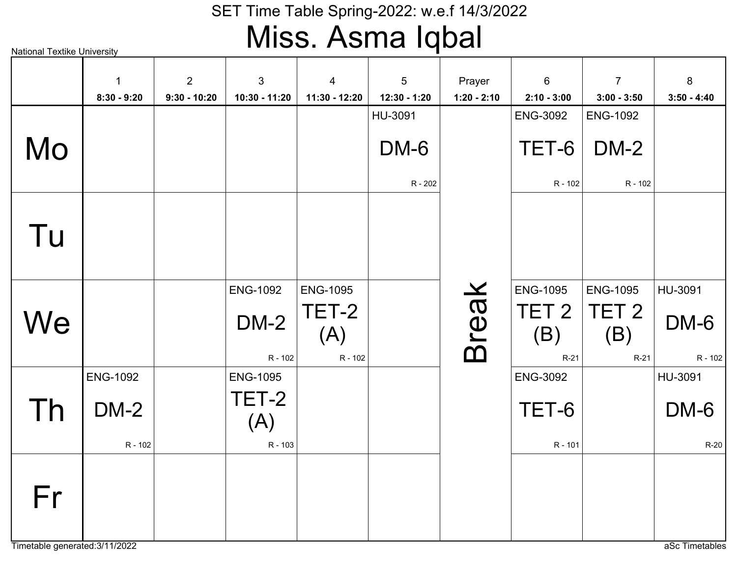# Miss. Asma Iqbal

|    | $\mathbf{1}$<br>$8:30 - 9:20$             | $\overline{2}$<br>$9:30 - 10:20$ | $\mathfrak{S}$<br>$10:30 - 11:20$          | $\overline{4}$<br>11:30 - 12:20            | $\overline{5}$<br>12:30 - 1:20 | Prayer<br>$1:20 - 2:10$ | $6\phantom{1}$<br>$2:10 - 3:00$                      | $\overline{7}$<br>$3:00 - 3:50$                      | 8<br>$3:50 - 4:40$           |
|----|-------------------------------------------|----------------------------------|--------------------------------------------|--------------------------------------------|--------------------------------|-------------------------|------------------------------------------------------|------------------------------------------------------|------------------------------|
| Mo |                                           |                                  |                                            |                                            | HU-3091<br>DM-6<br>R - 202     |                         | <b>ENG-3092</b><br>TET-6<br>R - 102                  | <b>ENG-1092</b><br>$DM-2$<br>R - 102                 |                              |
| Tu |                                           |                                  |                                            |                                            |                                |                         |                                                      |                                                      |                              |
| We |                                           |                                  | <b>ENG-1092</b><br>$DM-2$<br>R - 102       | <b>ENG-1095</b><br>TET-2<br>(A)<br>R - 102 |                                | <b>Break</b>            | <b>ENG-1095</b><br>TET <sub>2</sub><br>(B)<br>$R-21$ | <b>ENG-1095</b><br>TET <sub>2</sub><br>(B)<br>$R-21$ | HU-3091<br>DM-6<br>$R - 102$ |
| Th | <b>ENG-1092</b><br><b>DM-2</b><br>R - 102 |                                  | <b>ENG-1095</b><br>TET-2<br>(A)<br>R - 103 |                                            |                                |                         | <b>ENG-3092</b><br>TET-6<br>R - 101                  |                                                      | HU-3091<br>DM-6<br>$R-20$    |
| Fr |                                           |                                  |                                            |                                            |                                |                         |                                                      |                                                      |                              |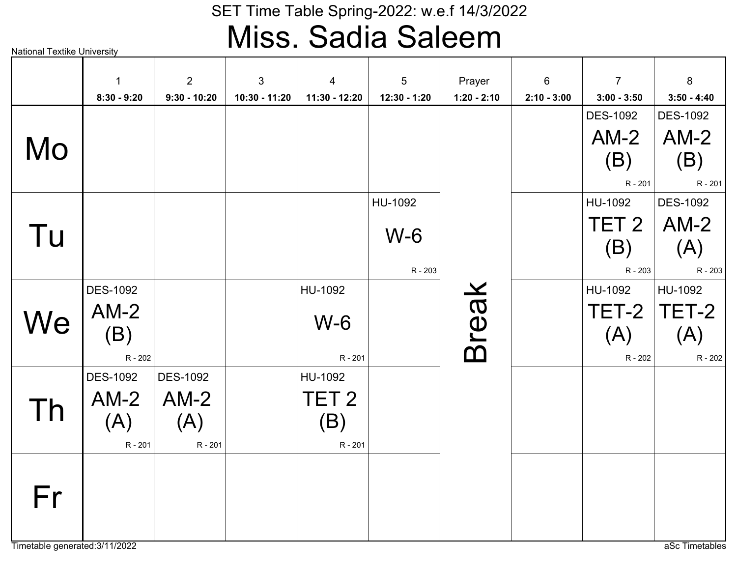### Miss. Sadia Saleem

|    | $\mathbf{1}$    | $2^{\circ}$     | $\mathbf{3}$  | $\overline{4}$   | 5            | Prayer        | 6             | $\overline{7}$   | 8               |
|----|-----------------|-----------------|---------------|------------------|--------------|---------------|---------------|------------------|-----------------|
|    | $8:30 - 9:20$   | $9:30 - 10:20$  | 10:30 - 11:20 | 11:30 - 12:20    | 12:30 - 1:20 | $1:20 - 2:10$ | $2:10 - 3:00$ | $3:00 - 3:50$    | $3:50 - 4:40$   |
|    |                 |                 |               |                  |              |               |               | <b>DES-1092</b>  | <b>DES-1092</b> |
|    |                 |                 |               |                  |              |               |               | $AM-2$           | $AM-2$          |
| Mo |                 |                 |               |                  |              |               |               | (B)              | (B)             |
|    |                 |                 |               |                  |              |               |               | R - 201          | R - 201         |
|    |                 |                 |               |                  | HU-1092      |               |               | HU-1092          | <b>DES-1092</b> |
|    |                 |                 |               |                  |              |               |               | TET <sub>2</sub> | $AM-2$          |
| Tu |                 |                 |               |                  | $W-6$        |               |               | (B)              | (A)             |
|    |                 |                 |               |                  | R - 203      |               |               | R - 203          | R - 203         |
|    | <b>DES-1092</b> |                 |               | HU-1092          |              | <b>Break</b>  |               | HU-1092          | HU-1092         |
|    | $AM-2$          |                 |               | $W-6$            |              |               |               | TET-2            | TET-2           |
| We | (B)             |                 |               |                  |              |               |               | (A)              | (A)             |
|    | R - 202         |                 |               | R - 201          |              |               |               | R - 202          | R - 202         |
|    | <b>DES-1092</b> | <b>DES-1092</b> |               | HU-1092          |              |               |               |                  |                 |
|    | $AM-2$          | $AM-2$          |               | TET <sub>2</sub> |              |               |               |                  |                 |
| Th | (A)             | (A)             |               | (B)              |              |               |               |                  |                 |
|    | R - 201         | R - 201         |               | R - 201          |              |               |               |                  |                 |
|    |                 |                 |               |                  |              |               |               |                  |                 |
| Fr |                 |                 |               |                  |              |               |               |                  |                 |
|    |                 |                 |               |                  |              |               |               |                  |                 |
|    |                 |                 |               |                  |              |               |               |                  |                 |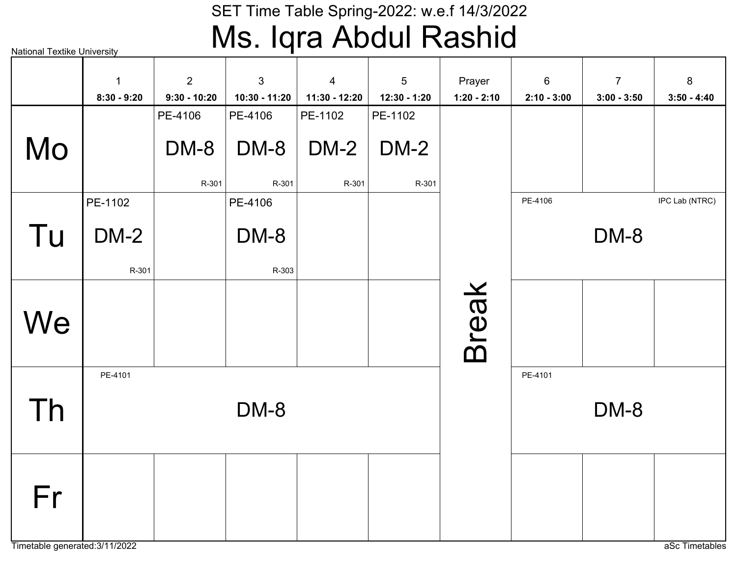### SET Time Table Spring-2022: w.e.f 14/3/2022Ms. Iqra Abdul Rashid

National Textike University

|    | $\mathbf 1$<br>$8:30 - 9:20$ | $\overline{2}$<br>$9:30 - 10:20$ | $\mathfrak{S}$<br>10:30 - 11:20 | $\overline{4}$<br>11:30 - 12:20 | 5<br>12:30 - 1:20 | Prayer<br>$1:20 - 2:10$ | $6\phantom{1}$<br>$2:10 - 3:00$ | $\overline{7}$<br>$3:00 - 3:50$ | 8<br>$3:50 - 4:40$ |
|----|------------------------------|----------------------------------|---------------------------------|---------------------------------|-------------------|-------------------------|---------------------------------|---------------------------------|--------------------|
| Mo |                              | PE-4106<br>DM-8                  | PE-4106<br><b>DM-8</b>          | PE-1102<br>$DM-2$               | PE-1102<br>$DM-2$ |                         |                                 |                                 |                    |
|    |                              | R-301                            | R-301                           | R-301                           | R-301             |                         |                                 |                                 |                    |
|    | PE-1102                      |                                  | PE-4106                         |                                 |                   |                         | PE-4106                         |                                 | IPC Lab (NTRC)     |
| Tu | <b>DM-2</b>                  |                                  | DM-8                            |                                 |                   |                         |                                 | DM-8                            |                    |
|    | R-301                        |                                  | R-303                           |                                 |                   |                         |                                 |                                 |                    |
|    |                              |                                  |                                 |                                 |                   | <b>Break</b>            |                                 |                                 |                    |
| We |                              |                                  |                                 |                                 |                   |                         |                                 |                                 |                    |
|    |                              |                                  |                                 |                                 |                   |                         |                                 |                                 |                    |
|    | PE-4101                      |                                  |                                 |                                 |                   |                         | PE-4101                         |                                 |                    |
| Th |                              |                                  | <b>DM-8</b>                     |                                 |                   |                         |                                 | DM-8                            |                    |
|    |                              |                                  |                                 |                                 |                   |                         |                                 |                                 |                    |
|    |                              |                                  |                                 |                                 |                   |                         |                                 |                                 |                    |
| Fr |                              |                                  |                                 |                                 |                   |                         |                                 |                                 |                    |
|    |                              |                                  |                                 |                                 |                   |                         |                                 |                                 |                    |

Timetable generated:3/11/2022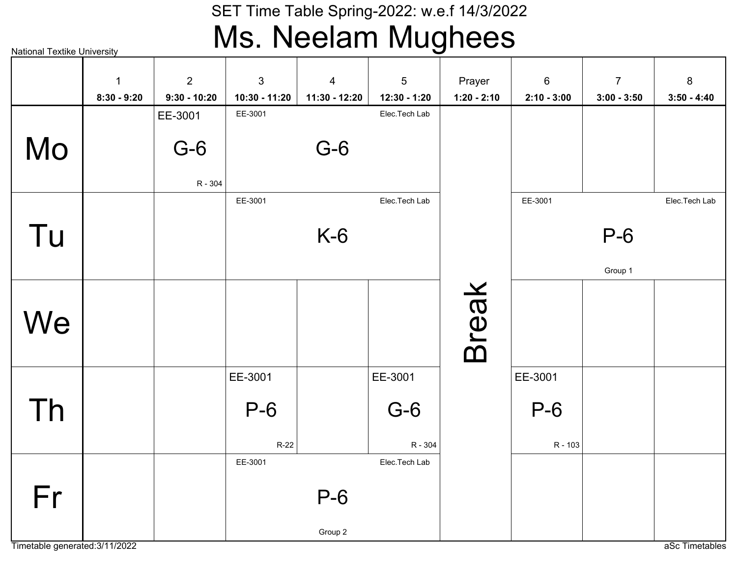# Ms. Neelam Mughees

| <b>National Textike University</b> |  |
|------------------------------------|--|
|------------------------------------|--|

|                                | $\mathbf{1}$<br>$8:30 - 9:20$ | $\overline{2}$<br>$9:30 - 10:20$ | $\mathbf{3}$<br>10:30 - 11:20 | $\overline{4}$<br>11:30 - 12:20 | 5<br>12:30 - 1:20 | Prayer<br>$1:20 - 2:10$ | $\,6\,$<br>$2:10 - 3:00$ | $\overline{7}$<br>$3:00 - 3:50$ | 8<br>$3:50 - 4:40$ |
|--------------------------------|-------------------------------|----------------------------------|-------------------------------|---------------------------------|-------------------|-------------------------|--------------------------|---------------------------------|--------------------|
|                                |                               | EE-3001                          | EE-3001                       |                                 | Elec.Tech Lab     |                         |                          |                                 |                    |
| Mo                             |                               | $G-6$                            |                               | $G-6$                           |                   |                         |                          |                                 |                    |
|                                |                               | R - 304                          |                               |                                 |                   |                         |                          |                                 |                    |
|                                |                               |                                  | EE-3001                       |                                 | Elec.Tech Lab     |                         | EE-3001                  |                                 | Elec.Tech Lab      |
| Tu                             |                               |                                  |                               | $K-6$                           |                   |                         |                          | $P-6$                           |                    |
|                                |                               |                                  |                               |                                 |                   |                         |                          | Group 1                         |                    |
|                                |                               |                                  |                               |                                 |                   |                         |                          |                                 |                    |
| We                             |                               |                                  |                               |                                 |                   |                         |                          |                                 |                    |
|                                |                               |                                  |                               |                                 |                   | <b>Break</b>            |                          |                                 |                    |
|                                |                               |                                  | EE-3001                       |                                 | EE-3001           |                         | EE-3001                  |                                 |                    |
| Th                             |                               |                                  | $P-6$                         |                                 | $G-6$             |                         | $P-6$                    |                                 |                    |
|                                |                               |                                  | $R-22$                        |                                 | R - 304           |                         | R - 103                  |                                 |                    |
|                                |                               |                                  | EE-3001                       |                                 | Elec.Tech Lab     |                         |                          |                                 |                    |
|                                |                               |                                  |                               |                                 |                   |                         |                          |                                 |                    |
| Fr                             |                               |                                  |                               | $P-6$                           |                   |                         |                          |                                 |                    |
|                                |                               |                                  |                               | Group 2                         |                   |                         |                          |                                 |                    |
| Timetable generated: 3/11/2022 |                               |                                  |                               |                                 |                   |                         |                          |                                 | aSc Timetables     |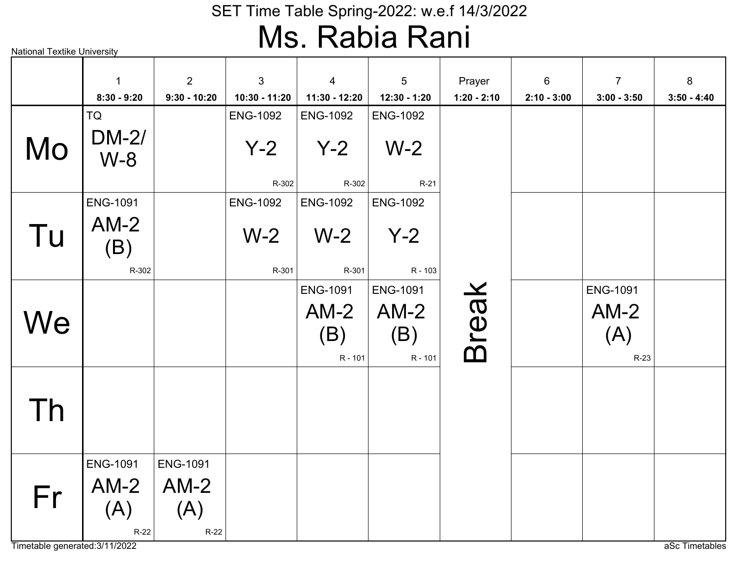## Ms. Rabia Rani

|    | $\mathbf{1}$     | $\overline{2}$  | $\mathfrak{S}$  | $\overline{4}$  | 5               | Prayer        | $6\phantom{1}$ | $\overline{7}$  | 8             |
|----|------------------|-----------------|-----------------|-----------------|-----------------|---------------|----------------|-----------------|---------------|
|    | $8:30 - 9:20$    | $9:30 - 10:20$  | $10:30 - 11:20$ | 11:30 - 12:20   | 12:30 - 1:20    | $1:20 - 2:10$ | $2:10 - 3:00$  | $3:00 - 3:50$   | $3:50 - 4:40$ |
|    | <b>TQ</b>        |                 | <b>ENG-1092</b> | <b>ENG-1092</b> | <b>ENG-1092</b> |               |                |                 |               |
| Mo | $DM-2/$<br>$W-8$ |                 | $Y-2$           | $Y-2$           | $W-2$           |               |                |                 |               |
|    |                  |                 | R-302           | R-302           | $R-21$          |               |                |                 |               |
|    | <b>ENG-1091</b>  |                 | <b>ENG-1092</b> | <b>ENG-1092</b> | <b>ENG-1092</b> |               |                |                 |               |
| Tu | $AM-2$<br>(B)    |                 | $W-2$           | $W-2$           | $Y-2$           |               |                |                 |               |
|    | R-302            |                 | R-301           | R-301           | R - 103         |               |                |                 |               |
|    |                  |                 |                 | <b>ENG-1091</b> | <b>ENG-1091</b> | <b>Break</b>  |                | <b>ENG-1091</b> |               |
| We |                  |                 |                 | $AM-2$<br>(B)   | $AM-2$<br>(B)   |               |                | $AM-2$<br>(A)   |               |
|    |                  |                 |                 | R - 101         | R - 101         |               |                | R-23            |               |
|    |                  |                 |                 |                 |                 |               |                |                 |               |
| Th |                  |                 |                 |                 |                 |               |                |                 |               |
|    |                  |                 |                 |                 |                 |               |                |                 |               |
|    | <b>ENG-1091</b>  | <b>ENG-1091</b> |                 |                 |                 |               |                |                 |               |
| Fr | $AM-2$           | $AM-2$          |                 |                 |                 |               |                |                 |               |
|    | (A)              | (A)             |                 |                 |                 |               |                |                 |               |
|    | $R-22$           | R-22            |                 |                 |                 |               |                |                 |               |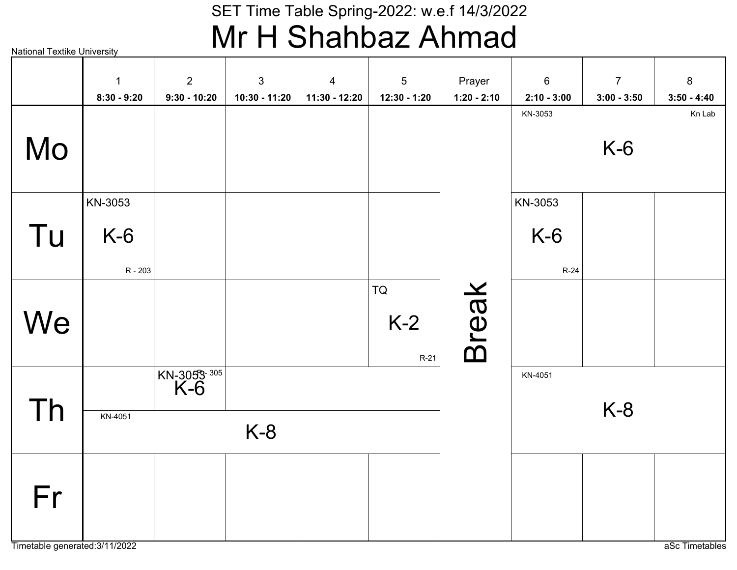### SET Time Table Spring-2022: w.e.f 14/3/2022Mr H Shahbaz Ahmad

|                                      | $\mathbf{1}$  | $\overline{2}$         | $\mathfrak{S}$ | $\overline{4}$ | $\sqrt{5}$            | Prayer        | $\,6\,$       | $\overline{7}$ | 8              |
|--------------------------------------|---------------|------------------------|----------------|----------------|-----------------------|---------------|---------------|----------------|----------------|
|                                      | $8:30 - 9:20$ | $9:30 - 10:20$         | 10:30 - 11:20  | 11:30 - 12:20  | 12:30 - 1:20          | $1:20 - 2:10$ | $2:10 - 3:00$ | $3:00 - 3:50$  | $3:50 - 4:40$  |
| Mo                                   |               |                        |                |                |                       |               | KN-3053       | K-6            | Kn Lab         |
|                                      | KN-3053       |                        |                |                |                       |               | KN-3053       |                |                |
| Tu                                   | $K-6$         |                        |                |                |                       |               | $K-6$         |                |                |
|                                      | R - 203       |                        |                |                |                       |               | $R-24$        |                |                |
| We                                   |               |                        |                |                | TQ<br>$K-2$<br>$R-21$ | <b>Break</b>  |               |                |                |
| Th                                   | KN-4051       | $KN-3053-305$<br>$K-6$ | $K-8$          |                |                       |               | KN-4051       | <b>K-8</b>     |                |
| Fr<br>Timetable generated: 3/11/2022 |               |                        |                |                |                       |               |               |                | aSc Timetables |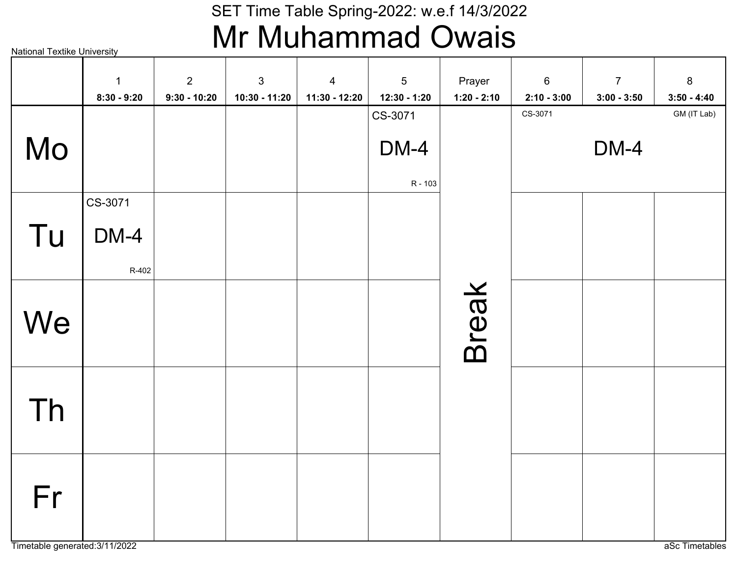### SET Time Table Spring-2022: w.e.f 14/3/2022Mr Muhammad Owais

| 8<br>$3:00 - 3:50$<br>$3:50 - 4:40$<br>GM (IT Lab)<br>$DM-4$ |
|--------------------------------------------------------------|
|                                                              |
|                                                              |
|                                                              |
|                                                              |
|                                                              |
|                                                              |
|                                                              |
|                                                              |
|                                                              |
|                                                              |
|                                                              |
|                                                              |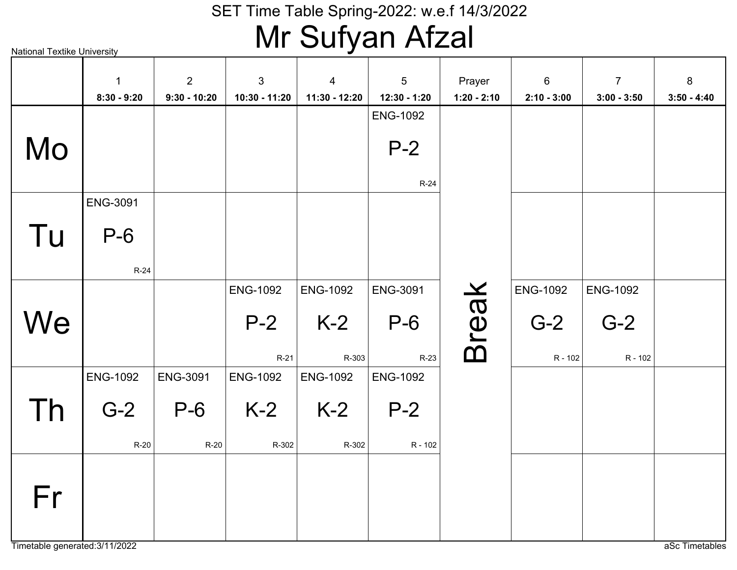## Mr Sufyan Afzal

|    | $\mathbf{1}$    | $2^{\circ}$     | $\mathfrak{S}$  | $\overline{4}$  | 5               | Prayer        | $\,6\,$         | $\overline{7}$  | 8             |
|----|-----------------|-----------------|-----------------|-----------------|-----------------|---------------|-----------------|-----------------|---------------|
|    | $8:30 - 9:20$   | $9:30 - 10:20$  | 10:30 - 11:20   | 11:30 - 12:20   | 12:30 - 1:20    | $1:20 - 2:10$ | $2:10 - 3:00$   | $3:00 - 3:50$   | $3:50 - 4:40$ |
|    |                 |                 |                 |                 | <b>ENG-1092</b> |               |                 |                 |               |
| Mo |                 |                 |                 |                 | $P-2$           |               |                 |                 |               |
|    |                 |                 |                 |                 | $R-24$          |               |                 |                 |               |
|    | <b>ENG-3091</b> |                 |                 |                 |                 |               |                 |                 |               |
| Tu | $P-6$           |                 |                 |                 |                 |               |                 |                 |               |
|    | $R-24$          |                 |                 |                 |                 |               |                 |                 |               |
|    |                 |                 | <b>ENG-1092</b> | <b>ENG-1092</b> | <b>ENG-3091</b> | <b>Break</b>  | <b>ENG-1092</b> | <b>ENG-1092</b> |               |
|    |                 |                 |                 |                 |                 |               |                 |                 |               |
| We |                 |                 | $P-2$           | $K-2$           | $P-6$           |               | $G-2$           | $G-2$           |               |
|    |                 |                 |                 |                 |                 |               |                 |                 |               |
|    |                 |                 | $R-21$          | R-303           | R-23            |               | R - 102         | R - 102         |               |
|    | <b>ENG-1092</b> | <b>ENG-3091</b> | <b>ENG-1092</b> | <b>ENG-1092</b> | <b>ENG-1092</b> |               |                 |                 |               |
|    |                 |                 |                 |                 |                 |               |                 |                 |               |
| Th | $G-2$           | $P-6$           | $K-2$           | $K-2$           | $P-2$           |               |                 |                 |               |
|    |                 |                 |                 |                 |                 |               |                 |                 |               |
|    | $R-20$          | $R-20$          | R-302           | R-302           | R - 102         |               |                 |                 |               |
|    |                 |                 |                 |                 |                 |               |                 |                 |               |
|    |                 |                 |                 |                 |                 |               |                 |                 |               |
| Fr |                 |                 |                 |                 |                 |               |                 |                 |               |
|    |                 |                 |                 |                 |                 |               |                 |                 |               |
|    |                 |                 |                 |                 |                 |               |                 |                 |               |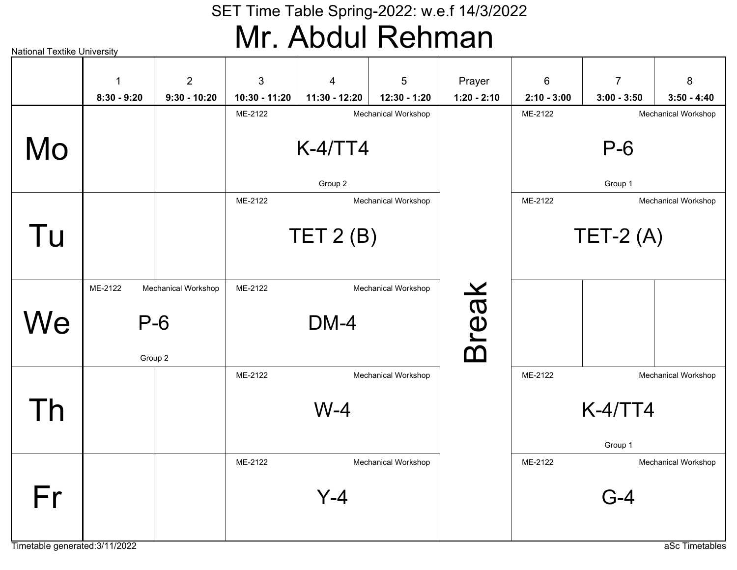### SET Time Table Spring-2022: w.e.f 14/3/2022Mr. Abdul Rehman

National Textike University

|    | $\mathbf 1$   | $\overline{2}$             | 3             | $\overline{4}$       | $\overline{5}$             |                         | 6                                     | $\overline{7}$   | 8                          |
|----|---------------|----------------------------|---------------|----------------------|----------------------------|-------------------------|---------------------------------------|------------------|----------------------------|
|    | $8:30 - 9:20$ | $9:30 - 10:20$             | 10:30 - 11:20 | 11:30 - 12:20        | 12:30 - 1:20               | Prayer<br>$1:20 - 2:10$ | $2:10 - 3:00$                         | $3:00 - 3:50$    | $3:50 - 4:40$              |
|    |               |                            | ME-2122       |                      | Mechanical Workshop        |                         | ME-2122<br><b>Mechanical Workshop</b> |                  |                            |
| Mo |               |                            |               | $K-4/TT4$<br>Group 2 |                            |                         | $P-6$<br>Group 1                      |                  |                            |
|    |               |                            | ME-2122       |                      | <b>Mechanical Workshop</b> |                         | ME-2122<br><b>Mechanical Workshop</b> |                  |                            |
| Tu |               |                            | TET $2(B)$    |                      |                            |                         |                                       | <b>TET-2 (A)</b> |                            |
|    | ME-2122       | <b>Mechanical Workshop</b> | ME-2122       |                      | Mechanical Workshop        |                         |                                       |                  |                            |
| We |               | $P-6$<br>Group 2           | <b>DM-4</b>   |                      |                            | <b>Break</b>            |                                       |                  |                            |
|    |               |                            | ME-2122       |                      | Mechanical Workshop        |                         | ME-2122                               |                  | Mechanical Workshop        |
| Th |               |                            | $W-4$         |                      |                            |                         | $K-4/TT4$<br>Group 1                  |                  |                            |
|    |               |                            | ME-2122       |                      | <b>Mechanical Workshop</b> |                         | ME-2122                               |                  | <b>Mechanical Workshop</b> |
| Fr |               |                            |               | $Y-4$                |                            |                         |                                       | $G-4$            |                            |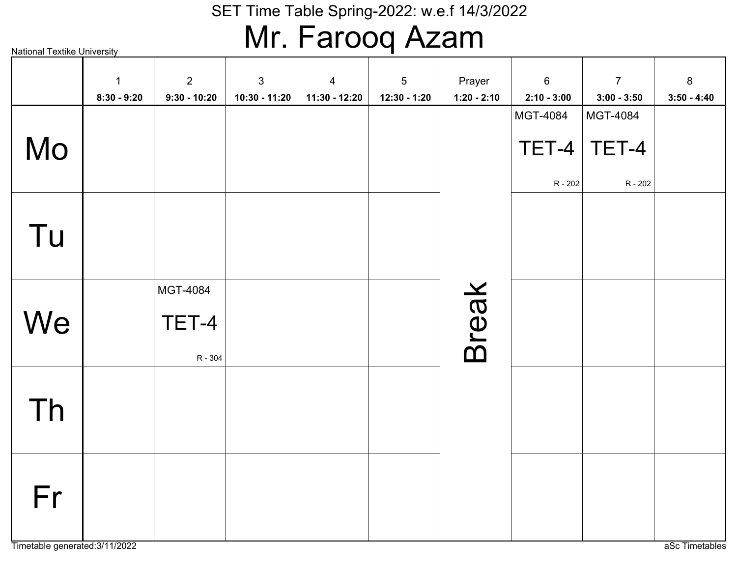### Mr. Farooq Azam

|    | $\mathbf 1$<br>$8:30 - 9:20$ | $\overline{2}$<br>$9:30 - 10:20$ | $\mathbf{3}$<br>10:30 - 11:20 | $\overline{\mathbf{4}}$<br>11:30 - 12:20 | $5\phantom{.0}$<br>12:30 - 1:20 | Prayer<br>$1:20 - 2:10$ | $6\phantom{1}6$<br>$2:10 - 3:00$ | $\overline{7}$<br>$3:00 - 3:50$ | 8<br>$3:50 - 4:40$ |
|----|------------------------------|----------------------------------|-------------------------------|------------------------------------------|---------------------------------|-------------------------|----------------------------------|---------------------------------|--------------------|
| Mo |                              |                                  |                               |                                          |                                 |                         | MGT-4084<br>TET-4<br>R - 202     | MGT-4084<br>TET-4<br>R - 202    |                    |
| Tu |                              |                                  |                               |                                          |                                 |                         |                                  |                                 |                    |
| We |                              | MGT-4084<br>TET-4<br>R - 304     |                               |                                          |                                 | <b>Break</b>            |                                  |                                 |                    |
| Th |                              |                                  |                               |                                          |                                 |                         |                                  |                                 |                    |
| Fr |                              |                                  |                               |                                          |                                 |                         |                                  |                                 |                    |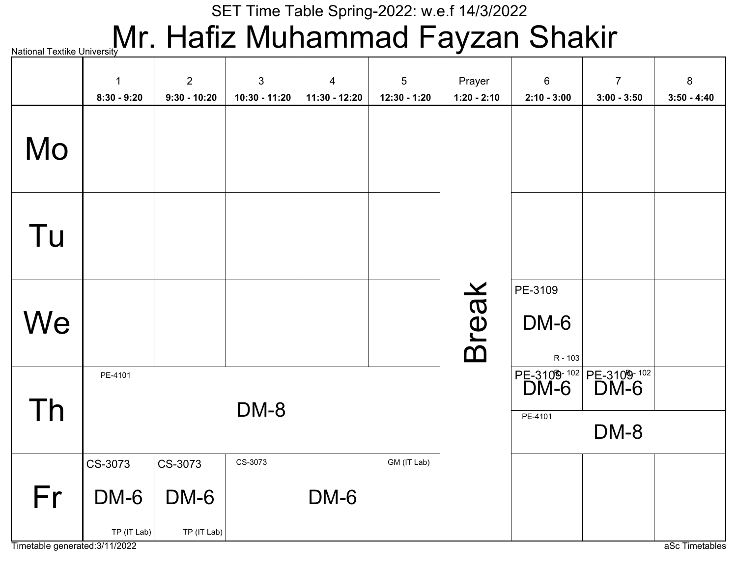#### National Textike UniversityMr. Hafiz Muhammad Fayzan Shakir

|    | $\mathbf{1}$<br>$8:30 - 9:20$  | $\overline{2}$<br>$9:30 - 10:20$ | $\mathbf{3}$<br>10:30 - 11:20 | $\overline{4}$<br>11:30 - 12:20 | $\overline{5}$<br>12:30 - 1:20 | Prayer<br>$1:20 - 2:10$ | $\,6\,$<br>$2:10 - 3:00$   | $\overline{7}$<br>$3:00 - 3:50$ | 8<br>$3:50 - 4:40$ |
|----|--------------------------------|----------------------------------|-------------------------------|---------------------------------|--------------------------------|-------------------------|----------------------------|---------------------------------|--------------------|
| Mo |                                |                                  |                               |                                 |                                |                         |                            |                                 |                    |
| Tu |                                |                                  |                               |                                 |                                |                         |                            |                                 |                    |
| We |                                |                                  |                               |                                 |                                | <b>Break</b>            | PE-3109<br>DM-6<br>R - 103 |                                 |                    |
| Th | PE-4101                        |                                  | DM-8                          |                                 |                                |                         | PE-4101                    | PE-3109-102 PE-3109-102<br>DM-8 |                    |
| Fr | CS-3073<br>DM-6<br>TP (IT Lab) | CS-3073<br>DM-6<br>TP (IT Lab)   | CS-3073                       | DM-6                            | GM (IT Lab)                    |                         |                            |                                 |                    |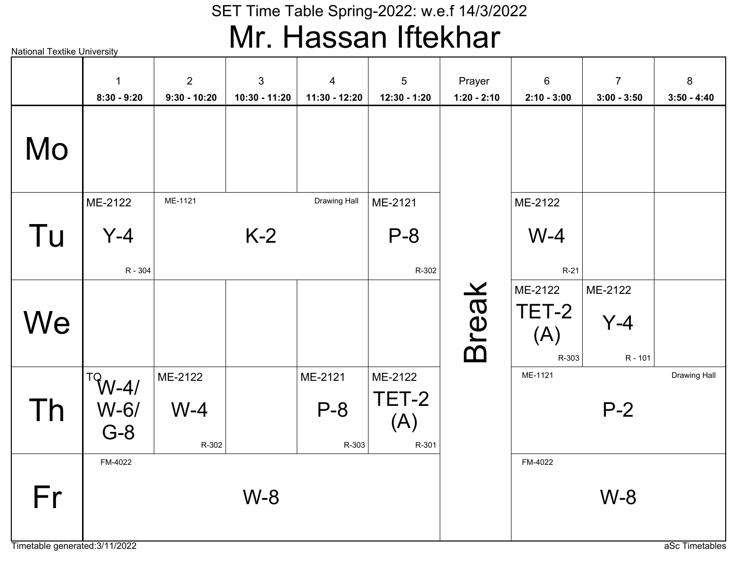### Mr. Hassan Iftekhar

|    | $\mathbf{1}$                       | $\overline{2}$            | 3             |                                 | 5                                |                         |                                  | $\overline{7}$              | 8             |
|----|------------------------------------|---------------------------|---------------|---------------------------------|----------------------------------|-------------------------|----------------------------------|-----------------------------|---------------|
|    | $8:30 - 9:20$                      | $9:30 - 10:20$            | 10:30 - 11:20 | $\overline{4}$<br>11:30 - 12:20 | 12:30 - 1:20                     | Prayer<br>$1:20 - 2:10$ | $6\phantom{a}$<br>$2:10 - 3:00$  | $3:00 - 3:50$               | $3:50 - 4:40$ |
| Mo |                                    |                           |               |                                 |                                  |                         |                                  |                             |               |
|    | ME-2122                            | ME-1121                   |               | Drawing Hall                    | ME-2121                          |                         | ME-2122                          |                             |               |
| Tu | $Y - 4$                            |                           | $K-2$         |                                 | $P-8$                            |                         | $W-4$                            |                             |               |
|    | R - 304                            |                           |               |                                 | R-302                            |                         | $R-21$                           |                             |               |
| We |                                    |                           |               |                                 |                                  | <b>Break</b>            | ME-2122<br>TET-2<br>(A)<br>R-303 | ME-2122<br>$Y-4$<br>R - 101 |               |
| Th | $N^{\text{pq}}$<br>$W-6/$<br>$G-8$ | ME-2122<br>$W-4$<br>R-302 |               | ME-2121<br>$P-8$<br>R-303       | ME-2122<br>TET-2<br>(A)<br>R-301 |                         | ME-1121                          | $P-2$                       | Drawing Hall  |
| Fr | FM-4022                            |                           | $W-8$         |                                 |                                  |                         | FM-4022                          | $W-8$                       |               |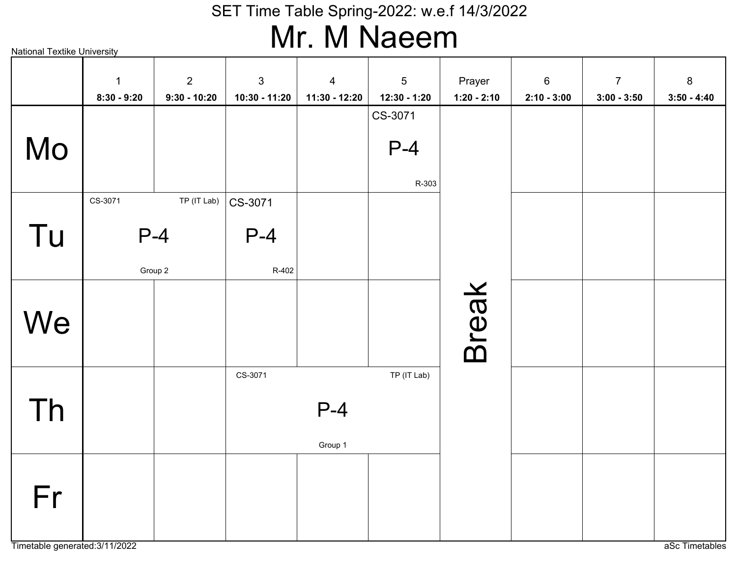### Mr. M Naeem

|    | $\mathbf{1}$<br>$8:30 - 9:20$ | $\overline{2}$<br>$9:30 - 10:20$ | $\mathfrak{Z}$<br>$10:30 - 11:20$ | $\overline{4}$<br>11:30 - 12:20 | $\sqrt{5}$<br>$12:30 - 1:20$ | Prayer<br>$1:20 - 2:10$ | $\,6\,$<br>$2:10 - 3:00$ | $\overline{7}$<br>$3:00 - 3:50$ | $\bf 8$<br>$3:50 - 4:40$ |
|----|-------------------------------|----------------------------------|-----------------------------------|---------------------------------|------------------------------|-------------------------|--------------------------|---------------------------------|--------------------------|
| Mo |                               |                                  |                                   |                                 | CS-3071<br>$P-4$<br>R-303    |                         |                          |                                 |                          |
| Tu | CS-3071                       | TP (IT Lab)<br>$P-4$<br>Group 2  | CS-3071<br>$P-4$<br>R-402         |                                 |                              |                         |                          |                                 |                          |
| We |                               |                                  |                                   |                                 |                              | <b>Break</b>            |                          |                                 |                          |
| Th |                               |                                  | CS-3071                           | $P-4$<br>Group 1                | TP (IT Lab)                  |                         |                          |                                 |                          |
| Fr |                               |                                  |                                   |                                 |                              |                         |                          |                                 |                          |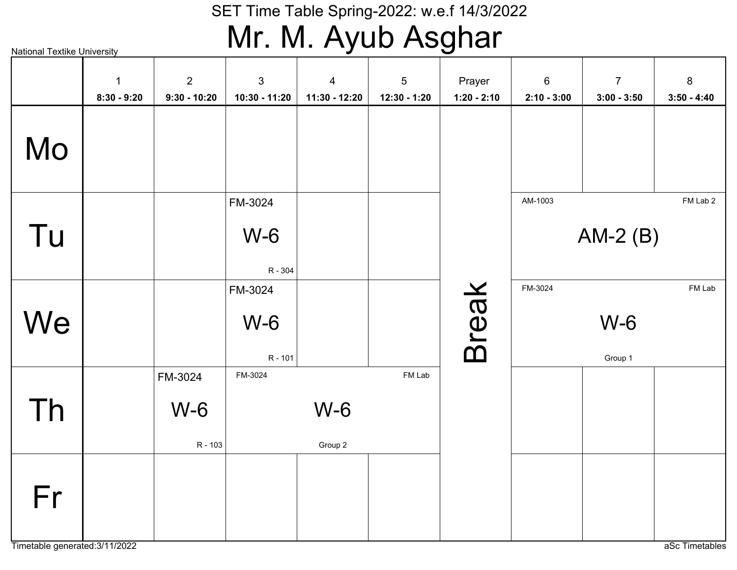## Mr. M. Ayub Asghar

National Textike University

|    | $\mathbf 1$<br>$8:30 - 9:20$ | $\overline{2}$<br>$9:30 - 10:20$ | $\mathfrak{S}$<br>10:30 - 11:20 | $\overline{\mathbf{4}}$<br>11:30 - 12:20 | 5<br>12:30 - 1:20 | Prayer<br>$1:20 - 2:10$ | $6\phantom{1}6$<br>$2:10 - 3:00$ | $\overline{7}$<br>$3:00 - 3:50$ | 8<br>$3:50 - 4:40$ |
|----|------------------------------|----------------------------------|---------------------------------|------------------------------------------|-------------------|-------------------------|----------------------------------|---------------------------------|--------------------|
| Mo |                              |                                  |                                 |                                          |                   |                         |                                  |                                 |                    |
| Tu |                              |                                  | FM-3024<br>$W-6$<br>R - 304     |                                          |                   |                         | AM-1003                          | AM-2 $(B)$                      | FM Lab 2           |
| We |                              |                                  | FM-3024<br>$W-6$<br>R - 101     |                                          |                   | <b>Break</b>            | FM-3024                          | $W-6$<br>Group 1                | FM Lab             |
| Th |                              | FM-3024<br>$W-6$<br>R - 103      | FM-3024                         | $W-6$<br>Group 2                         | FM Lab            |                         |                                  |                                 |                    |
| Fr |                              |                                  |                                 |                                          |                   |                         |                                  |                                 |                    |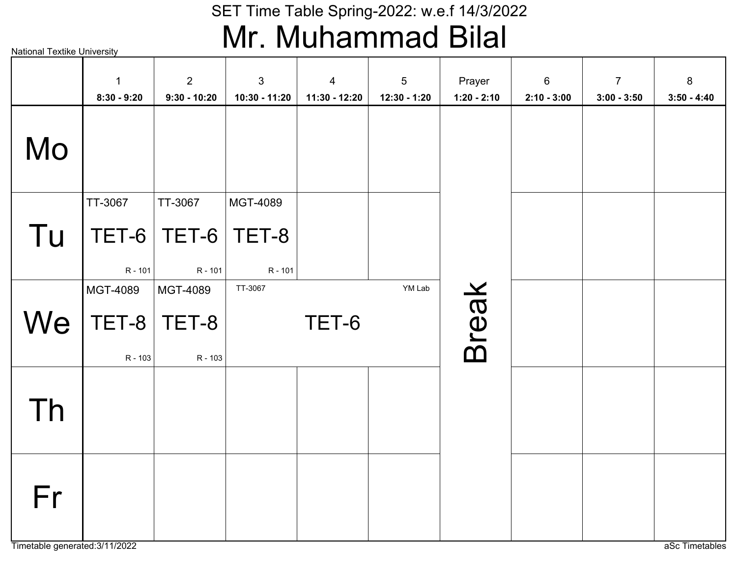### Mr. Muhammad Bilal

|    | $\mathbf 1$<br>$8:30 - 9:20$ | $2^{\circ}$<br>$9:30 - 10:20$         | $\mathbf{3}$<br>10:30 - 11:20 | $\overline{4}$<br>11:30 - 12:20 | $5\phantom{.0}$<br>12:30 - 1:20 | Prayer<br>$1:20 - 2:10$ | $6\phantom{1}$<br>$2:10 - 3:00$ | $\overline{7}$<br>$3:00 - 3:50$ | 8<br>$3:50 - 4:40$ |
|----|------------------------------|---------------------------------------|-------------------------------|---------------------------------|---------------------------------|-------------------------|---------------------------------|---------------------------------|--------------------|
| Mo |                              |                                       |                               |                                 |                                 |                         |                                 |                                 |                    |
| Tu | TT-3067<br>R - 101           | TT-3067<br>$TET-6$ $TET-6$<br>R - 101 | MGT-4089<br>TET-8<br>R - 101  |                                 |                                 |                         |                                 |                                 |                    |
| We | MGT-4089<br>R - 103          | MGT-4089<br>TET-8 $TET-8$<br>R - 103  | TT-3067                       | TET-6                           | YM Lab                          | <b>Break</b>            |                                 |                                 |                    |
| Th |                              |                                       |                               |                                 |                                 |                         |                                 |                                 |                    |
| Fr |                              |                                       |                               |                                 |                                 |                         |                                 |                                 |                    |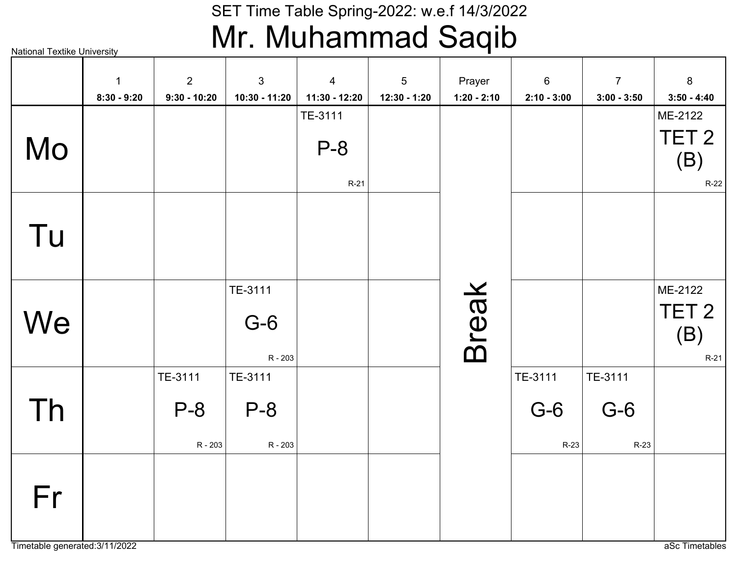### Mr. Muhammad Saqib

|    | $\mathbf{1}$  | $2^{\circ}$    | $\mathbf{3}$  | $\overline{4}$<br>11:30 - 12:20 | $5\phantom{.0}$ | Prayer<br>$1:20 - 2:10$ | $6\phantom{1}$ | $\overline{7}$ | 8<br>$3:50 - 4:40$      |
|----|---------------|----------------|---------------|---------------------------------|-----------------|-------------------------|----------------|----------------|-------------------------|
|    | $8:30 - 9:20$ | $9:30 - 10:20$ | 10:30 - 11:20 | TE-3111                         | 12:30 - 1:20    |                         | $2:10 - 3:00$  | $3:00 - 3:50$  | ME-2122                 |
| Mo |               |                |               | $P-8$                           |                 |                         |                |                | TET <sub>2</sub><br>(B) |
|    |               |                |               | $R-21$                          |                 |                         |                |                | $R-22$                  |
|    |               |                |               |                                 |                 |                         |                |                |                         |
| Tu |               |                |               |                                 |                 |                         |                |                |                         |
|    |               |                | TE-3111       |                                 |                 |                         |                |                | ME-2122                 |
| We |               |                | $G-6$         |                                 |                 | <b>Break</b>            |                |                | TET <sub>2</sub><br>(B) |
|    |               |                | R - 203       |                                 |                 |                         |                |                | $R-21$                  |
|    |               | TE-3111        | TE-3111       |                                 |                 |                         | TE-3111        | TE-3111        |                         |
| Th |               | $P-8$          | $P-8$         |                                 |                 |                         | $G-6$          | $G-6$          |                         |
|    |               | R - 203        | R - 203       |                                 |                 |                         | R-23           | $R-23$         |                         |
|    |               |                |               |                                 |                 |                         |                |                |                         |
| Fr |               |                |               |                                 |                 |                         |                |                |                         |
|    |               |                |               |                                 |                 |                         |                |                |                         |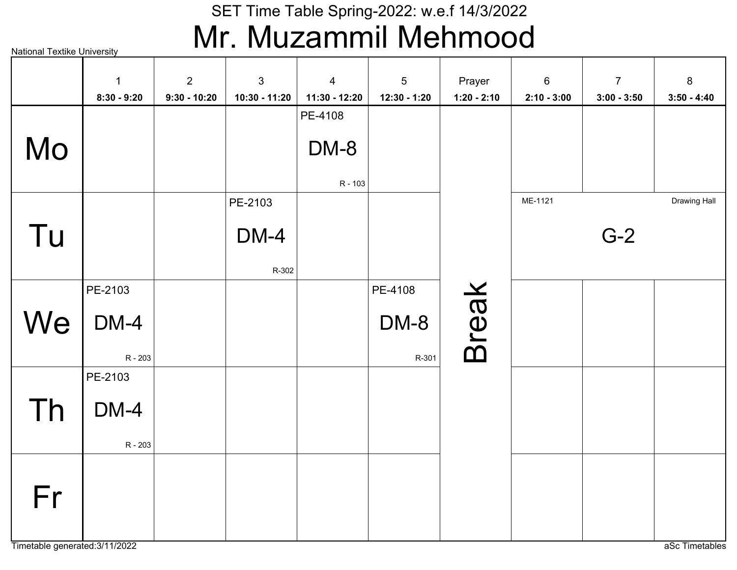### SET Time Table Spring-2022: w.e.f 14/3/2022Mr. Muzammil Mehmood

|    | $\mathbf 1$   | $\overline{2}$ | $\mathfrak{S}$  | $\overline{\mathbf{4}}$ | 5            | Prayer        | $6\phantom{.}6$ | $\overline{7}$ | 8                   |
|----|---------------|----------------|-----------------|-------------------------|--------------|---------------|-----------------|----------------|---------------------|
|    | $8:30 - 9:20$ | $9:30 - 10:20$ | $10:30 - 11:20$ | 11:30 - 12:20           | 12:30 - 1:20 | $1:20 - 2:10$ | $2:10 - 3:00$   | $3:00 - 3:50$  | $3:50 - 4:40$       |
|    |               |                |                 | PE-4108                 |              |               |                 |                |                     |
| Mo |               |                |                 | <b>DM-8</b>             |              |               |                 |                |                     |
|    |               |                |                 | R - 103                 |              |               |                 |                |                     |
|    |               |                | PE-2103         |                         |              |               | ME-1121         |                | <b>Drawing Hall</b> |
| Tu |               |                | $DM-4$          |                         |              |               |                 | $G-2$          |                     |
|    |               |                | R-302           |                         |              |               |                 |                |                     |
|    | PE-2103       |                |                 |                         | PE-4108      |               |                 |                |                     |
| We | <b>DM-4</b>   |                |                 |                         | DM-8         | <b>Break</b>  |                 |                |                     |
|    | R - 203       |                |                 |                         | R-301        |               |                 |                |                     |
|    | PE-2103       |                |                 |                         |              |               |                 |                |                     |
| Th | <b>DM-4</b>   |                |                 |                         |              |               |                 |                |                     |
|    | R - 203       |                |                 |                         |              |               |                 |                |                     |
| Fr |               |                |                 |                         |              |               |                 |                |                     |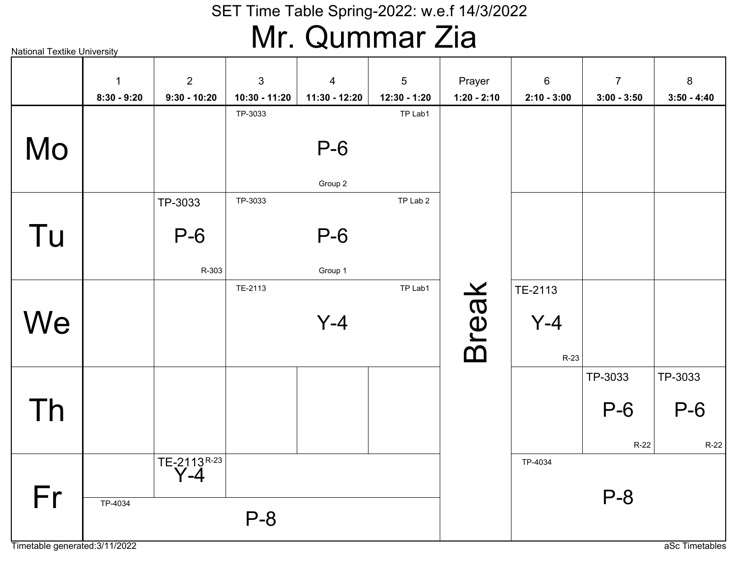## Mr. Qummar Zia

|    | $\mathbf 1$   | $\overline{2}$                                   | $\mathfrak{S}$ | $\overline{4}$ | $5\phantom{.0}$ | Prayer        | $6\phantom{a}$ | $\overline{7}$ | 8             |
|----|---------------|--------------------------------------------------|----------------|----------------|-----------------|---------------|----------------|----------------|---------------|
|    | $8:30 - 9:20$ | $9:30 - 10:20$                                   | 10:30 - 11:20  | 11:30 - 12:20  | 12:30 - 1:20    | $1:20 - 2:10$ | $2:10 - 3:00$  | $3:00 - 3:50$  | $3:50 - 4:40$ |
|    |               |                                                  | TP-3033        |                | TP Lab1         |               |                |                |               |
| Mo |               |                                                  |                | $P-6$          |                 |               |                |                |               |
|    |               |                                                  |                | Group 2        |                 |               |                |                |               |
|    |               | TP-3033                                          | TP-3033        |                | TP Lab 2        |               |                |                |               |
| Tu |               | $P-6$                                            |                | $P-6$          |                 |               |                |                |               |
|    |               | R-303                                            |                | Group 1        |                 |               |                |                |               |
|    |               |                                                  | TE-2113        |                | TP Lab1         |               | TE-2113        |                |               |
| We |               |                                                  |                | $Y-4$          |                 | <b>Break</b>  | $Y-4$<br>R-23  |                |               |
|    |               |                                                  |                |                |                 |               |                | TP-3033        | TP-3033       |
| Th |               |                                                  |                |                |                 |               |                | $P-6$          | $P-6$         |
|    |               |                                                  |                |                |                 |               |                | R-22           | $R-22$        |
|    |               | $\overline{Y}$ = $\overline{Y}$ = $\overline{4}$ |                |                |                 |               | TP-4034        | $P-8$          |               |
| Fr | TP-4034       |                                                  | $P-8$          |                |                 |               |                |                |               |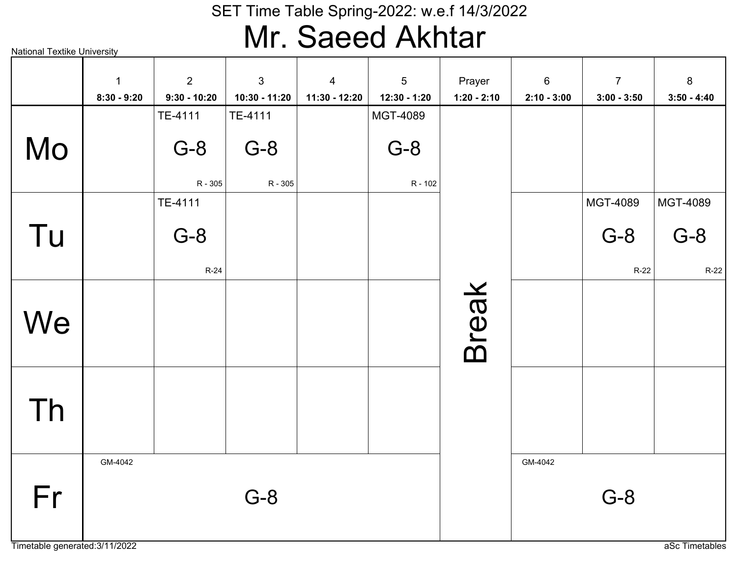### Mr. Saeed Akhtar

|  | <b>National Textike University</b> |
|--|------------------------------------|
|  |                                    |

|    | $\mathbf 1$   | $2^{\circ}$    | $\mathbf{3}$  | $\overline{4}$ | $5\,$        | Prayer        | $\,6\,$       | $\overline{7}$ | 8             |
|----|---------------|----------------|---------------|----------------|--------------|---------------|---------------|----------------|---------------|
|    | $8:30 - 9:20$ | $9:30 - 10:20$ | 10:30 - 11:20 | 11:30 - 12:20  | 12:30 - 1:20 | $1:20 - 2:10$ | $2:10 - 3:00$ | $3:00 - 3:50$  | $3:50 - 4:40$ |
|    |               | TE-4111        | TE-4111       |                | MGT-4089     |               |               |                |               |
| Mo |               | $G-8$          | $G-8$         |                | $G-8$        |               |               |                |               |
|    |               | R - 305        | R - 305       |                | R - 102      |               |               |                |               |
|    |               | TE-4111        |               |                |              |               |               | MGT-4089       | MGT-4089      |
| Tu |               | $G-8$          |               |                |              |               |               | $G-8$          | $G-8$         |
|    |               | $R-24$         |               |                |              |               |               | $R-22$         | $R-22$        |
|    |               |                |               |                |              |               |               |                |               |
|    |               |                |               |                |              |               |               |                |               |
| We |               |                |               |                |              | <b>Break</b>  |               |                |               |
|    |               |                |               |                |              |               |               |                |               |
|    |               |                |               |                |              |               |               |                |               |
| Th |               |                |               |                |              |               |               |                |               |
|    |               |                |               |                |              |               |               |                |               |
|    |               |                |               |                |              |               |               |                |               |
|    | GM-4042       |                |               |                |              |               | GM-4042       |                |               |
| Fr |               |                | $G-8$         |                |              |               |               | $G-8$          |               |
|    |               |                |               |                |              |               |               |                |               |
|    |               |                |               |                |              |               |               |                |               |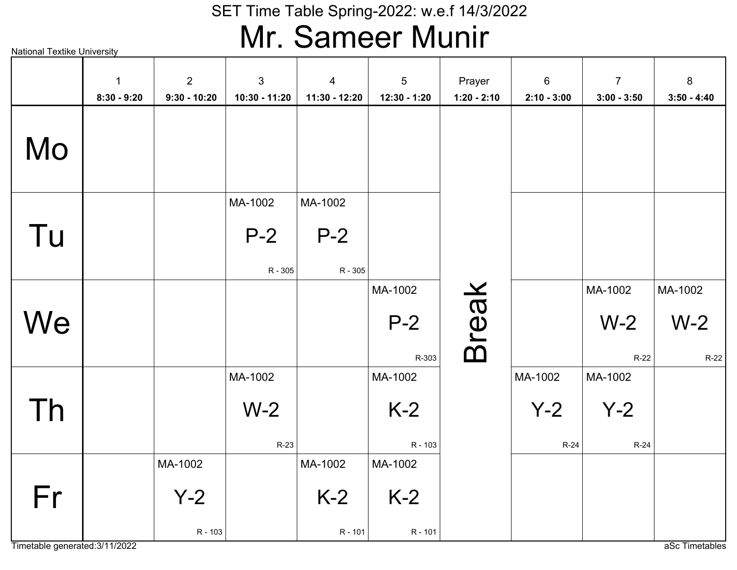### Mr. Sameer Munir

|    | $\mathbf 1$   | $\overline{2}$              | $\mathbf{3}$                | $\overline{4}$              | 5                           | Prayer        | $6\phantom{1}$             | $\overline{7}$             | $8\phantom{1}$                  |
|----|---------------|-----------------------------|-----------------------------|-----------------------------|-----------------------------|---------------|----------------------------|----------------------------|---------------------------------|
|    | $8:30 - 9:20$ | $9:30 - 10:20$              | 10:30 - 11:20               | 11:30 - 12:20               | 12:30 - 1:20                | $1:20 - 2:10$ | $2:10 - 3:00$              | $3:00 - 3:50$              | $3:50 - 4:40$                   |
| Mo |               |                             |                             |                             |                             |               |                            |                            |                                 |
| Tu |               |                             | MA-1002<br>$P-2$<br>R - 305 | MA-1002<br>$P-2$<br>R - 305 |                             |               |                            |                            |                                 |
| We |               |                             |                             |                             | MA-1002<br>$P-2$<br>R-303   | <b>Break</b>  |                            | MA-1002<br>$W-2$<br>R-22   | MA-1002<br>$W-2$<br><b>R-22</b> |
| Th |               |                             | MA-1002<br>$W-2$<br>$R-23$  |                             | MA-1002<br>$K-2$<br>R - 103 |               | MA-1002<br>$Y-2$<br>$R-24$ | MA-1002<br>$Y-2$<br>$R-24$ |                                 |
| Fr |               | MA-1002<br>$Y-2$<br>R - 103 |                             | MA-1002<br>$K-2$<br>R - 101 | MA-1002<br>$K-2$<br>R - 101 |               |                            |                            |                                 |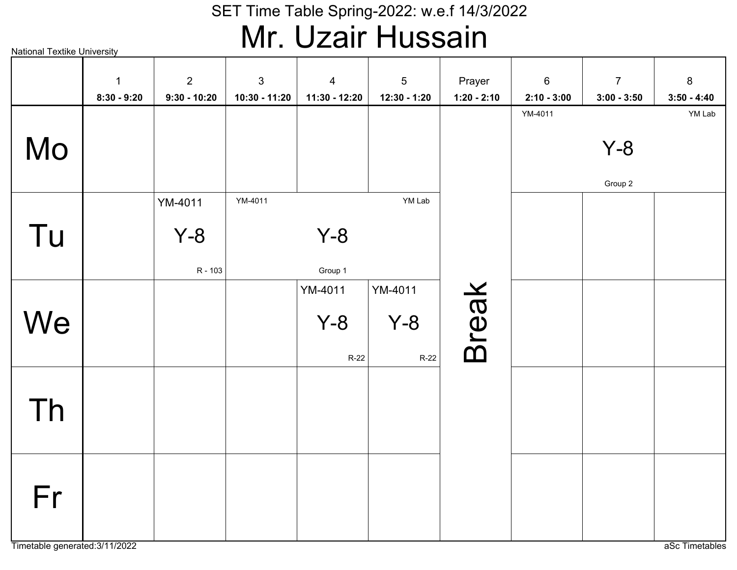### SET Time Table Spring-2022: w.e.f 14/3/2022Mr. Uzair Hussain

|    | $\mathbf 1$   | $\overline{2}$   | $\mathbf{3}$  | $\overline{4}$   | $\overline{5}$  | Prayer        | $6\phantom{a}$ | $\overline{7}$   | $8\phantom{1}$ |
|----|---------------|------------------|---------------|------------------|-----------------|---------------|----------------|------------------|----------------|
|    | $8:30 - 9:20$ | $9:30 - 10:20$   | 10:30 - 11:20 | 11:30 - 12:20    | 12:30 - 1:20    | $1:20 - 2:10$ | $2:10 - 3:00$  | $3:00 - 3:50$    | $3:50 - 4:40$  |
|    |               |                  |               |                  |                 |               | YM-4011        |                  | YM Lab         |
| Mo |               |                  |               |                  |                 |               |                | $Y-8$<br>Group 2 |                |
|    |               | YM-4011          | YM-4011       |                  | YM Lab          |               |                |                  |                |
| Tu |               | $Y-8$<br>R - 103 |               | $Y-8$<br>Group 1 |                 |               |                |                  |                |
|    |               |                  |               | YM-4011          | YM-4011         |               |                |                  |                |
| We |               |                  |               | $Y-8$<br>$R-22$  | $Y-8$<br>$R-22$ | <b>Break</b>  |                |                  |                |
| Th |               |                  |               |                  |                 |               |                |                  |                |
| Fr |               |                  |               |                  |                 |               |                |                  |                |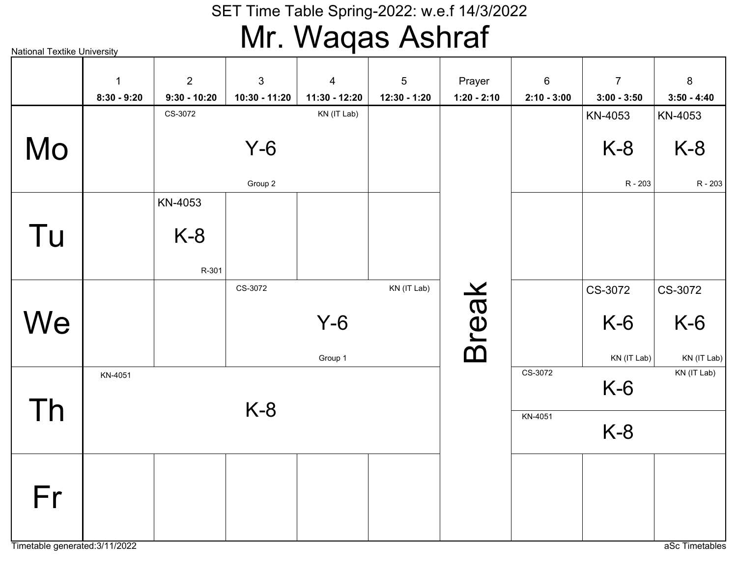## Mr. Waqas Ashraf

|    | $\mathbf{1}$  | $2^{\circ}$    | $\mathbf{3}$  | $\overline{4}$ | 5            | Prayer        | $6\phantom{1}$ | $\overline{7}$ | 8             |
|----|---------------|----------------|---------------|----------------|--------------|---------------|----------------|----------------|---------------|
|    | $8:30 - 9:20$ | $9:30 - 10:20$ | 10:30 - 11:20 | 11:30 - 12:20  | 12:30 - 1:20 | $1:20 - 2:10$ | $2:10 - 3:00$  | $3:00 - 3:50$  | $3:50 - 4:40$ |
|    |               | CS-3072        |               | KN (IT Lab)    |              |               |                | KN-4053        | KN-4053       |
| Mo |               |                | $Y-6$         |                |              |               |                | $K-8$          | K-8           |
|    |               |                | Group 2       |                |              |               |                | R - 203        | R - 203       |
|    |               | KN-4053        |               |                |              |               |                |                |               |
| Tu |               | $K-8$          |               |                |              |               |                |                |               |
|    |               | R-301          |               |                |              |               |                |                |               |
|    |               |                | CS-3072       |                | KN (IT Lab)  |               |                | CS-3072        | CS-3072       |
| We |               |                |               | $Y-6$          |              | <b>Break</b>  |                | $K-6$          | $K-6$         |
|    |               |                |               | Group 1        |              |               |                | KN (IT Lab)    | KN (IT Lab)   |
|    | KN-4051       |                |               |                |              |               | CS-3072        |                | KN (IT Lab)   |
|    |               |                |               |                |              |               |                | $K-6$          |               |
| Th |               |                | K-8           |                |              |               | KN-4051        | $K-8$          |               |
|    |               |                |               |                |              |               |                |                |               |
|    |               |                |               |                |              |               |                |                |               |
| Fr |               |                |               |                |              |               |                |                |               |
|    |               |                |               |                |              |               |                |                |               |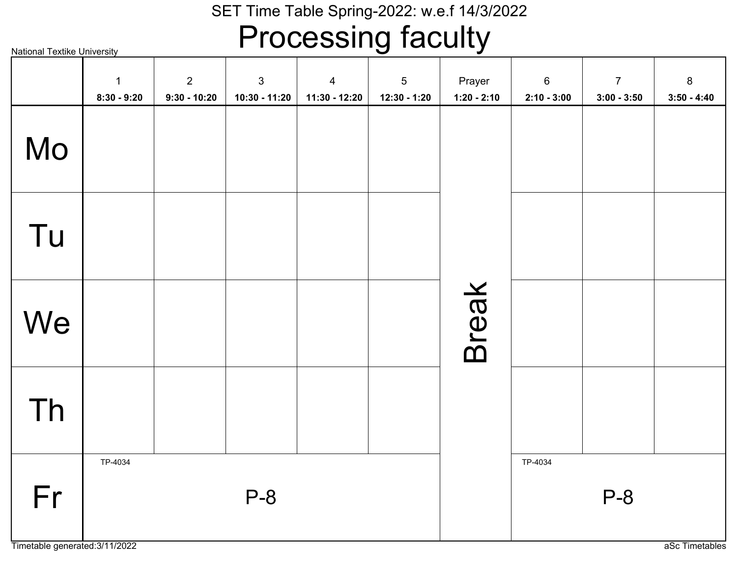## Processing faculty

|    | $\mathbf{1}$<br>$8:30 - 9:20$ | $\overline{2}$<br>$9:30 - 10:20$ | $\mathfrak{S}$<br>10:30 - 11:20 | $\overline{4}$<br>11:30 - 12:20 | $\sqrt{5}$<br>$12:30 - 1:20$ | Prayer<br>$1:20 - 2:10$ | $\,6\,$<br>$2:10 - 3:00$ | $\overline{7}$<br>$3:00 - 3:50$ | $\bf 8$<br>$3:50 - 4:40$ |
|----|-------------------------------|----------------------------------|---------------------------------|---------------------------------|------------------------------|-------------------------|--------------------------|---------------------------------|--------------------------|
| Mo |                               |                                  |                                 |                                 |                              |                         |                          |                                 |                          |
| Tu |                               |                                  |                                 |                                 |                              |                         |                          |                                 |                          |
| We |                               |                                  |                                 |                                 |                              | <b>Break</b>            |                          |                                 |                          |
| Th |                               |                                  |                                 |                                 |                              |                         |                          |                                 |                          |
| Fr | TP-4034                       |                                  | $P-8$                           |                                 |                              |                         | TP-4034                  | $P-8$                           |                          |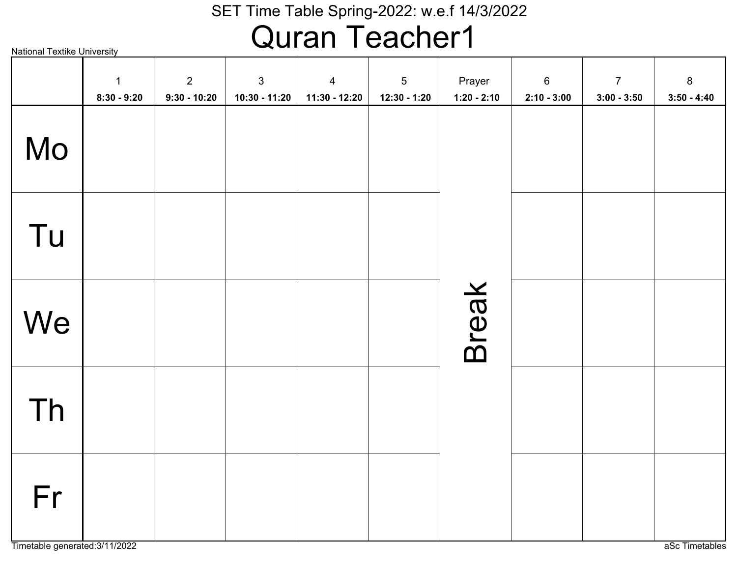### Quran Teacher1

|    | $\mathbf 1$<br>$8:30 - 9:20$ | $2^{\circ}$<br>$9:30 - 10:20$ | $\mathbf{3}$<br>10:30 - 11:20 | $\overline{4}$<br>11:30 - 12:20 | $\sqrt{5}$<br>$12:30 - 1:20$ | Prayer<br>$1:20 - 2:10$ | $6\phantom{.}6$<br>$2:10 - 3:00$ | $\overline{7}$<br>$3:00 - 3:50$ | $\bf 8$<br>$3:50 - 4:40$ |
|----|------------------------------|-------------------------------|-------------------------------|---------------------------------|------------------------------|-------------------------|----------------------------------|---------------------------------|--------------------------|
| Mo |                              |                               |                               |                                 |                              |                         |                                  |                                 |                          |
| Tu |                              |                               |                               |                                 |                              |                         |                                  |                                 |                          |
| We |                              |                               |                               |                                 |                              | Break                   |                                  |                                 |                          |
| Th |                              |                               |                               |                                 |                              |                         |                                  |                                 |                          |
| Fr |                              |                               |                               |                                 |                              |                         |                                  |                                 |                          |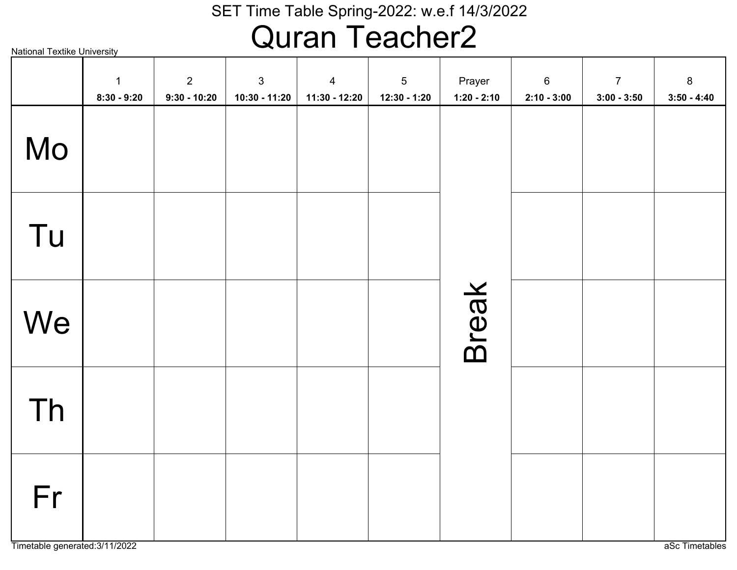## Quran Teacher2

National Textike University

|    | $\mathbf 1$<br>$8:30 - 9:20$ | $2\overline{ }$<br>$9:30 - 10:20$ | $\mathbf{3}$<br>10:30 - 11:20 | $\overline{4}$<br>$11:30 - 12:20$ | $\overline{5}$<br>12:30 - 1:20 | Prayer<br>$1:20 - 2:10$ | $\,6\,$<br>$2:10 - 3:00$ | $\overline{7}$<br>$3:00 - 3:50$ | $8\phantom{1}$<br>$3:50 - 4:40$ |
|----|------------------------------|-----------------------------------|-------------------------------|-----------------------------------|--------------------------------|-------------------------|--------------------------|---------------------------------|---------------------------------|
| Mo |                              |                                   |                               |                                   |                                |                         |                          |                                 |                                 |
| Tu |                              |                                   |                               |                                   |                                |                         |                          |                                 |                                 |
| We |                              |                                   |                               |                                   |                                | Break                   |                          |                                 |                                 |
| Th |                              |                                   |                               |                                   |                                |                         |                          |                                 |                                 |
| Fr |                              |                                   |                               |                                   |                                |                         |                          |                                 |                                 |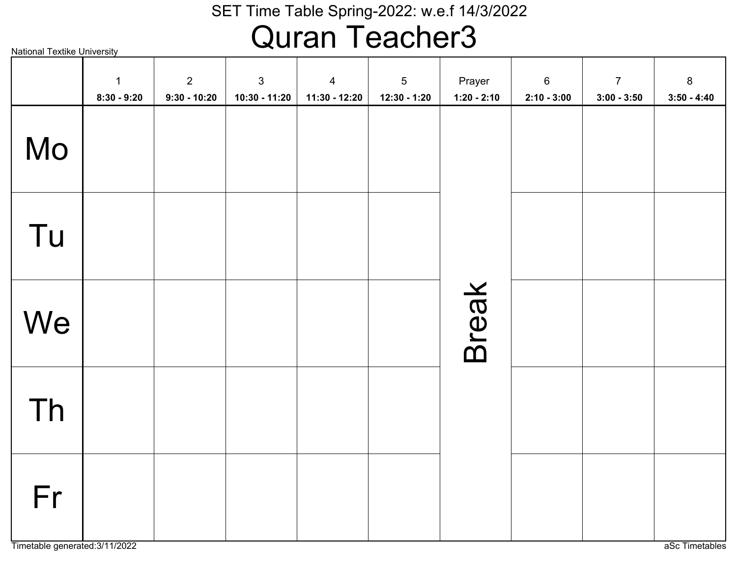### Quran Teacher3

National Textike University

|    | $\mathbf 1$<br>$8:30 - 9:20$ | $2\overline{ }$<br>$9:30 - 10:20$ | $\mathbf{3}$<br>10:30 - 11:20 | $\overline{4}$<br>$11:30 - 12:20$ | $\overline{5}$<br>12:30 - 1:20 | Prayer<br>$1:20 - 2:10$ | $\,6\,$<br>$2:10 - 3:00$ | $\overline{7}$<br>$3:00 - 3:50$ | $8\phantom{1}$<br>$3:50 - 4:40$ |
|----|------------------------------|-----------------------------------|-------------------------------|-----------------------------------|--------------------------------|-------------------------|--------------------------|---------------------------------|---------------------------------|
| Mo |                              |                                   |                               |                                   |                                |                         |                          |                                 |                                 |
| Tu |                              |                                   |                               |                                   |                                |                         |                          |                                 |                                 |
| We |                              |                                   |                               |                                   |                                | Break                   |                          |                                 |                                 |
| Th |                              |                                   |                               |                                   |                                |                         |                          |                                 |                                 |
| Fr |                              |                                   |                               |                                   |                                |                         |                          |                                 |                                 |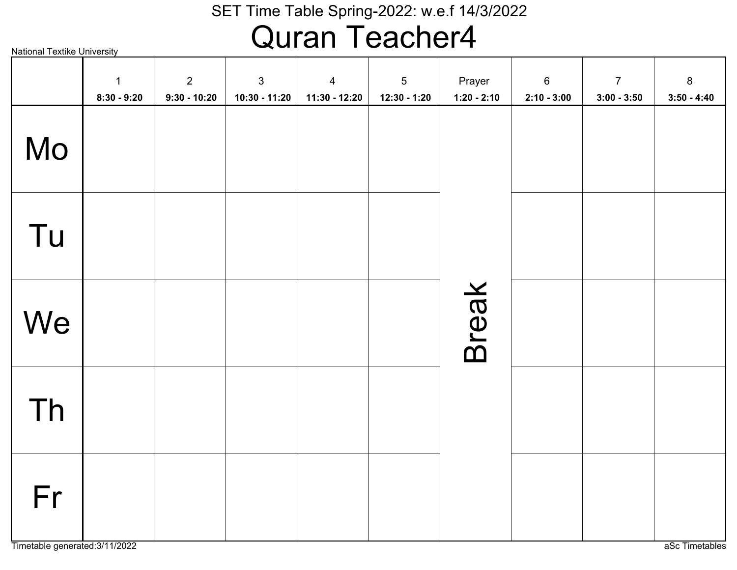### Quran Teacher4

|    | $\mathbf{1}$<br>$8:30 - 9:20$ | $\overline{2}$<br>$9:30 - 10:20$ | $\mathbf{3}$<br>10:30 - 11:20 | $\overline{4}$<br>11:30 - 12:20 | $\overline{5}$<br>12:30 - 1:20 | Prayer<br>$1:20 - 2:10$ | $6\phantom{.}6$<br>$2:10 - 3:00$ | $\overline{7}$<br>$3:00 - 3:50$ | $8\phantom{1}$<br>$3:50 - 4:40$ |
|----|-------------------------------|----------------------------------|-------------------------------|---------------------------------|--------------------------------|-------------------------|----------------------------------|---------------------------------|---------------------------------|
| Mo |                               |                                  |                               |                                 |                                |                         |                                  |                                 |                                 |
| Tu |                               |                                  |                               |                                 |                                |                         |                                  |                                 |                                 |
| We |                               |                                  |                               |                                 |                                | <b>Break</b>            |                                  |                                 |                                 |
| Th |                               |                                  |                               |                                 |                                |                         |                                  |                                 |                                 |
| Fr |                               |                                  |                               |                                 |                                |                         |                                  |                                 |                                 |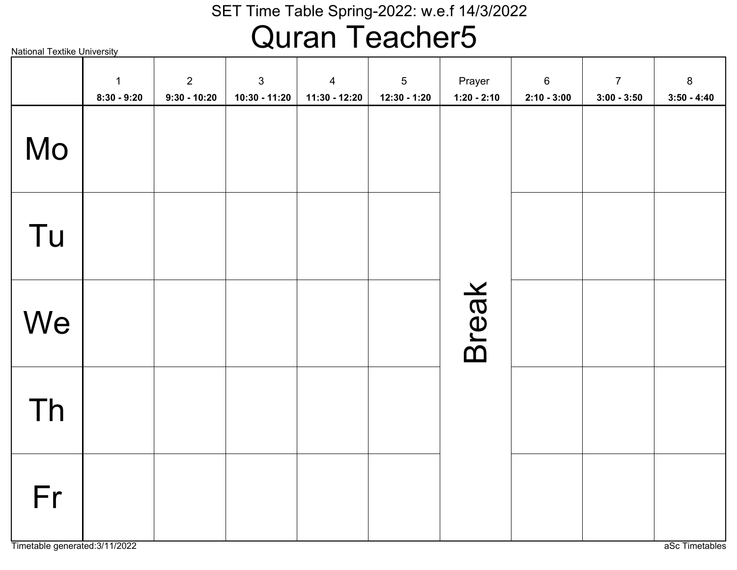### Quran Teacher5

|    | $\mathbf{1}$<br>$8:30 - 9:20$ | $\overline{2}$<br>$9:30 - 10:20$ | $\mathbf{3}$<br>10:30 - 11:20 | $\overline{4}$<br>11:30 - 12:20 | $\overline{5}$<br>12:30 - 1:20 | Prayer<br>$1:20 - 2:10$ | $6\phantom{.}6$<br>$2:10 - 3:00$ | $\overline{7}$<br>$3:00 - 3:50$ | $8\phantom{1}$<br>$3:50 - 4:40$ |
|----|-------------------------------|----------------------------------|-------------------------------|---------------------------------|--------------------------------|-------------------------|----------------------------------|---------------------------------|---------------------------------|
| Mo |                               |                                  |                               |                                 |                                |                         |                                  |                                 |                                 |
| Tu |                               |                                  |                               |                                 |                                |                         |                                  |                                 |                                 |
| We |                               |                                  |                               |                                 |                                | <b>Break</b>            |                                  |                                 |                                 |
| Th |                               |                                  |                               |                                 |                                |                         |                                  |                                 |                                 |
| Fr |                               |                                  |                               |                                 |                                |                         |                                  |                                 |                                 |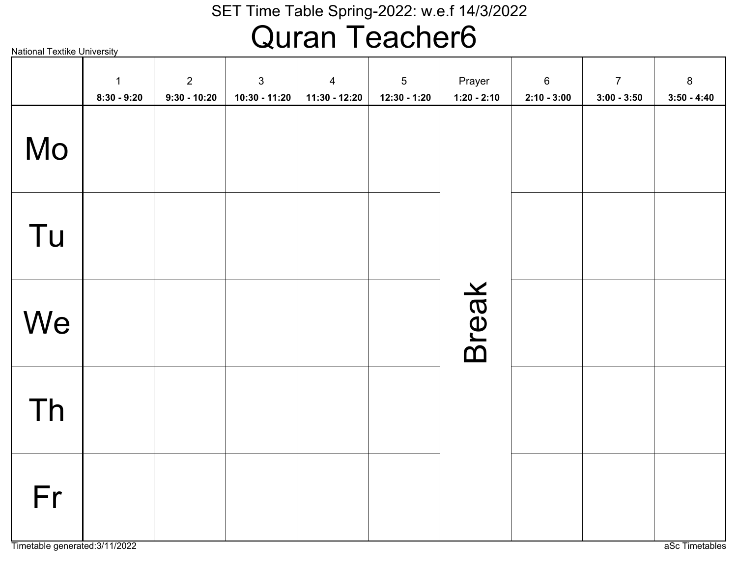### Quran Teacher6

|    | $\mathbf{1}$<br>$8:30 - 9:20$ | $\overline{2}$<br>$9:30 - 10:20$ | $\mathfrak{S}$<br>10:30 - 11:20 | $\overline{4}$<br>11:30 - 12:20 | $\sqrt{5}$<br>12:30 - 1:20 | Prayer<br>$1:20 - 2:10$ | $6\phantom{.}6$<br>$2:10 - 3:00$ | $\overline{7}$<br>$3:00 - 3:50$ | $\boldsymbol{8}$<br>$3:50 - 4:40$ |
|----|-------------------------------|----------------------------------|---------------------------------|---------------------------------|----------------------------|-------------------------|----------------------------------|---------------------------------|-----------------------------------|
| Mo |                               |                                  |                                 |                                 |                            |                         |                                  |                                 |                                   |
| Tu |                               |                                  |                                 |                                 |                            |                         |                                  |                                 |                                   |
| We |                               |                                  |                                 |                                 |                            | Break                   |                                  |                                 |                                   |
| Th |                               |                                  |                                 |                                 |                            |                         |                                  |                                 |                                   |
| Fr |                               |                                  |                                 |                                 |                            |                         |                                  |                                 |                                   |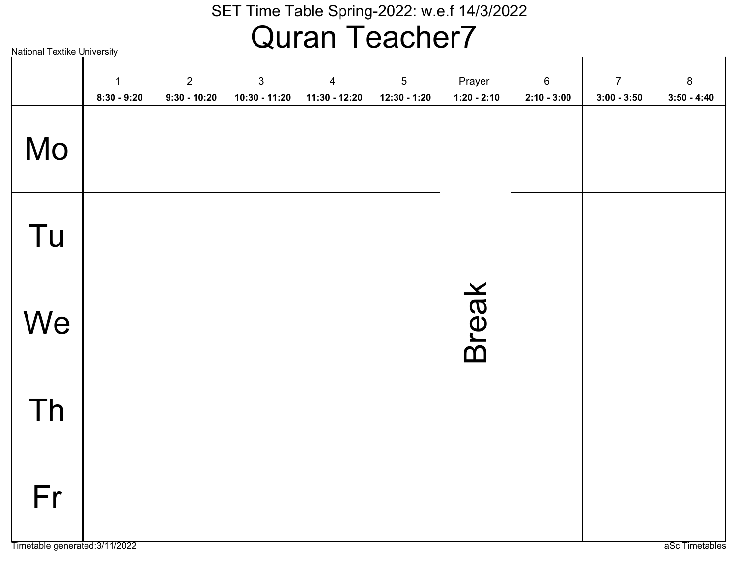## Quran Teacher7

National Textike University

|    | $\mathbf 1$<br>$8:30 - 9:20$ | 2 <sup>1</sup><br>$9:30 - 10:20$ | $\mathbf{3}$<br>10:30 - 11:20 | $\overline{4}$<br>11:30 - 12:20 | $\overline{5}$<br>12:30 - 1:20 | Prayer<br>$1:20 - 2:10$ | $6\phantom{.}6$<br>$2:10 - 3:00$ | $\overline{7}$<br>$3:00 - 3:50$ | $8\phantom{1}$<br>$3:50 - 4:40$ |
|----|------------------------------|----------------------------------|-------------------------------|---------------------------------|--------------------------------|-------------------------|----------------------------------|---------------------------------|---------------------------------|
| Mo |                              |                                  |                               |                                 |                                |                         |                                  |                                 |                                 |
| Tu |                              |                                  |                               |                                 |                                |                         |                                  |                                 |                                 |
| We |                              |                                  |                               |                                 |                                | Break                   |                                  |                                 |                                 |
| Th |                              |                                  |                               |                                 |                                |                         |                                  |                                 |                                 |
| Fr |                              |                                  |                               |                                 |                                |                         |                                  |                                 |                                 |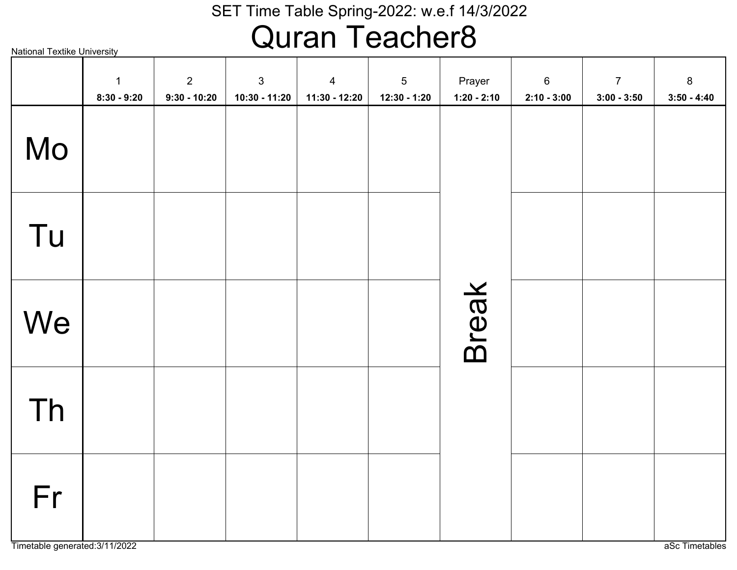### Quran Teacher8

|    | $\mathbf{1}$<br>$8:30 - 9:20$ | $\overline{2}$<br>$9:30 - 10:20$ | $\mathfrak{S}$<br>10:30 - 11:20 | $\overline{4}$<br>11:30 - 12:20 | $5\phantom{.0}$<br>12:30 - 1:20 | Prayer<br>$1:20 - 2:10$ | $\,6\,$<br>$2:10 - 3:00$ | $\overline{7}$<br>$3:00 - 3:50$ | $8\phantom{1}$<br>$3:50 - 4:40$ |
|----|-------------------------------|----------------------------------|---------------------------------|---------------------------------|---------------------------------|-------------------------|--------------------------|---------------------------------|---------------------------------|
| Mo |                               |                                  |                                 |                                 |                                 |                         |                          |                                 |                                 |
| Tu |                               |                                  |                                 |                                 |                                 |                         |                          |                                 |                                 |
| We |                               |                                  |                                 |                                 |                                 | Break                   |                          |                                 |                                 |
| Th |                               |                                  |                                 |                                 |                                 |                         |                          |                                 |                                 |
| Fr |                               |                                  |                                 |                                 |                                 |                         |                          |                                 |                                 |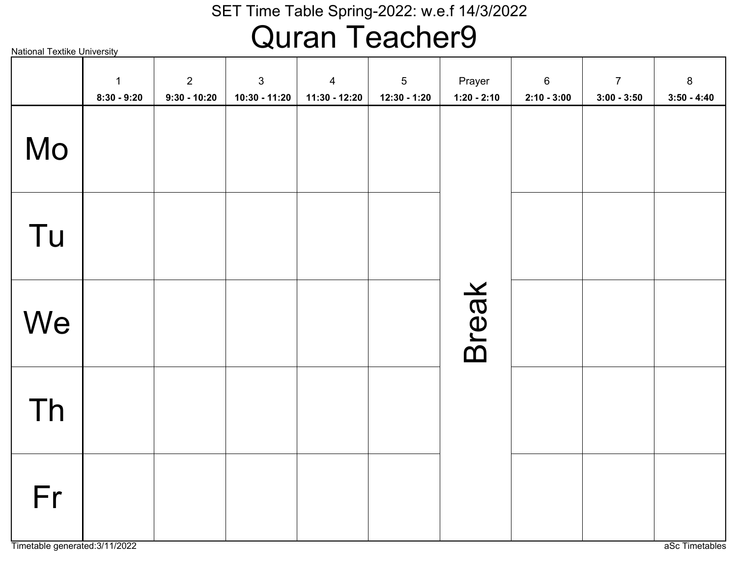## Quran Teacher9

|    | $\mathbf{1}$<br>$8:30 - 9:20$ | $\overline{2}$<br>$9:30 - 10:20$ | $\mathfrak{S}$<br>10:30 - 11:20 | $\overline{4}$<br>11:30 - 12:20 | $5\phantom{.0}$<br>12:30 - 1:20 | Prayer<br>$1:20 - 2:10$ | $\,6\,$<br>$2:10 - 3:00$ | $\overline{7}$<br>$3:00 - 3:50$ | $8\phantom{1}$<br>$3:50 - 4:40$ |
|----|-------------------------------|----------------------------------|---------------------------------|---------------------------------|---------------------------------|-------------------------|--------------------------|---------------------------------|---------------------------------|
| Mo |                               |                                  |                                 |                                 |                                 |                         |                          |                                 |                                 |
| Tu |                               |                                  |                                 |                                 |                                 |                         |                          |                                 |                                 |
| We |                               |                                  |                                 |                                 |                                 | Break                   |                          |                                 |                                 |
| Th |                               |                                  |                                 |                                 |                                 |                         |                          |                                 |                                 |
| Fr |                               |                                  |                                 |                                 |                                 |                         |                          |                                 |                                 |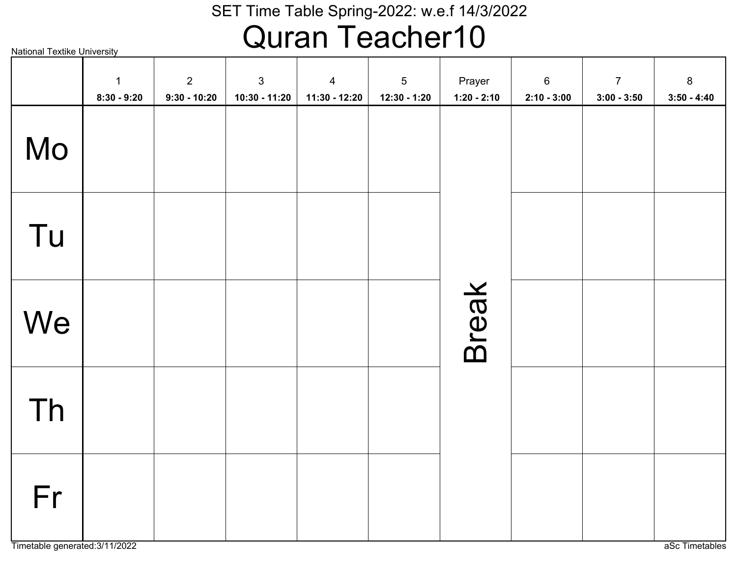### Quran Teacher10

|    | $\mathbf{1}$<br>$8:30 - 9:20$ | $2^{\circ}$<br>$9:30 - 10:20$ | $\mathbf{3}$<br>$10:30 - 11:20$ | $\overline{4}$<br>11:30 - 12:20 | $5\phantom{.0}$<br>12:30 - 1:20 | Prayer<br>$1:20 - 2:10$ | $6\phantom{.}6$<br>$2:10 - 3:00$ | $\overline{7}$<br>$3:00 - 3:50$ | $8\phantom{1}$<br>$3:50 - 4:40$ |
|----|-------------------------------|-------------------------------|---------------------------------|---------------------------------|---------------------------------|-------------------------|----------------------------------|---------------------------------|---------------------------------|
| Mo |                               |                               |                                 |                                 |                                 |                         |                                  |                                 |                                 |
| Tu |                               |                               |                                 |                                 |                                 |                         |                                  |                                 |                                 |
| We |                               |                               |                                 |                                 |                                 | Break                   |                                  |                                 |                                 |
| Th |                               |                               |                                 |                                 |                                 |                         |                                  |                                 |                                 |
| Fr |                               |                               |                                 |                                 |                                 |                         |                                  |                                 |                                 |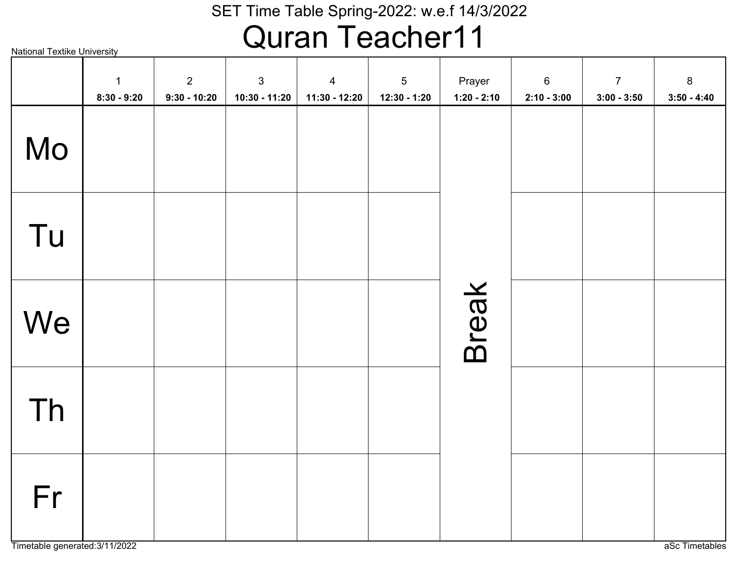## Quran Teacher11

National Textike University

|    | $\mathbf 1$<br>$8:30 - 9:20$ | 2 <sup>1</sup><br>$9:30 - 10:20$ | $\mathbf{3}$<br>10:30 - 11:20 | $\overline{4}$<br>$11:30 - 12:20$ | $\sqrt{5}$<br>$12:30 - 1:20$ | Prayer<br>$1:20 - 2:10$ | $\,6\,$<br>$2:10 - 3:00$ | $\overline{7}$<br>$3:00 - 3:50$ | $8\phantom{1}$<br>$3:50 - 4:40$ |
|----|------------------------------|----------------------------------|-------------------------------|-----------------------------------|------------------------------|-------------------------|--------------------------|---------------------------------|---------------------------------|
| Mo |                              |                                  |                               |                                   |                              |                         |                          |                                 |                                 |
| Tu |                              |                                  |                               |                                   |                              |                         |                          |                                 |                                 |
| We |                              |                                  |                               |                                   |                              | Break                   |                          |                                 |                                 |
| Th |                              |                                  |                               |                                   |                              |                         |                          |                                 |                                 |
| Fr |                              |                                  |                               |                                   |                              |                         |                          |                                 |                                 |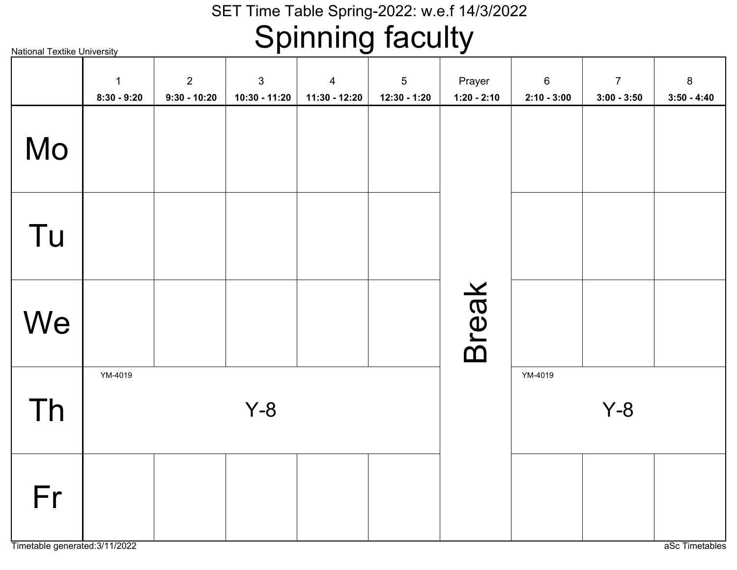## Spinning faculty

|    | $\mathbf{1}$<br>$8:30 - 9:20$ | $\overline{2}$<br>$9:30 - 10:20$ | $\mathbf{3}$<br>10:30 - 11:20 | $\overline{4}$<br>$11:30 - 12:20$ | $\overline{5}$<br>12:30 - 1:20 | Prayer<br>$1:20 - 2:10$ | $\,6\,$<br>$2:10 - 3:00$ | $\overline{7}$<br>$3:00 - 3:50$ | $\boldsymbol{8}$<br>$3:50 - 4:40$ |
|----|-------------------------------|----------------------------------|-------------------------------|-----------------------------------|--------------------------------|-------------------------|--------------------------|---------------------------------|-----------------------------------|
| Mo |                               |                                  |                               |                                   |                                |                         |                          |                                 |                                   |
| Tu |                               |                                  |                               |                                   |                                |                         |                          |                                 |                                   |
| We |                               |                                  |                               |                                   |                                | Break                   |                          |                                 |                                   |
| Th | YM-4019                       |                                  | $Y-8$                         |                                   |                                |                         | YM-4019                  | $Y-8$                           |                                   |
| Fr |                               |                                  |                               |                                   |                                |                         |                          |                                 |                                   |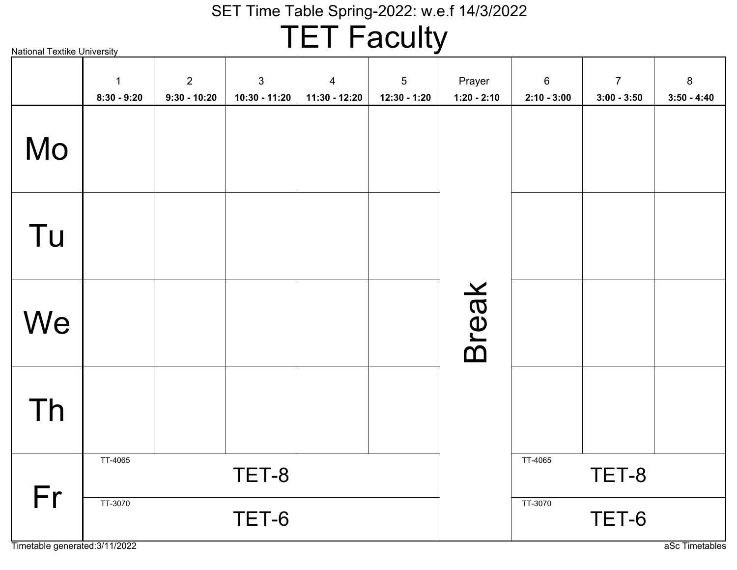## **TET Faculty**

|    | $\mathbf{1}$<br>$8:30 - 9:20$ | 2<br>$9:30 - 10:20$ | $\mathfrak{S}$<br>$10:30 - 11:20$ | $\overline{4}$<br>11:30 - 12:20 | 5<br>12:30 - 1:20 | Prayer<br>$1:20 - 2:10$ | $\,6\,$<br>$2:10 - 3:00$ | $\overline{7}$<br>$3:00 - 3:50$ | $\bf 8$<br>$3:50 - 4:40$ |
|----|-------------------------------|---------------------|-----------------------------------|---------------------------------|-------------------|-------------------------|--------------------------|---------------------------------|--------------------------|
| Mo |                               |                     |                                   |                                 |                   |                         |                          |                                 |                          |
| Tu |                               |                     |                                   |                                 |                   |                         |                          |                                 |                          |
| We |                               |                     |                                   |                                 |                   | <b>Break</b>            |                          |                                 |                          |
| Th |                               |                     |                                   |                                 |                   |                         |                          |                                 |                          |
|    | TT-4065                       |                     | TET-8                             |                                 |                   |                         | TT-4065                  | TET-8                           |                          |
| Fr | TT-3070                       |                     | TET-6                             |                                 |                   |                         | TT-3070                  | TET-6                           |                          |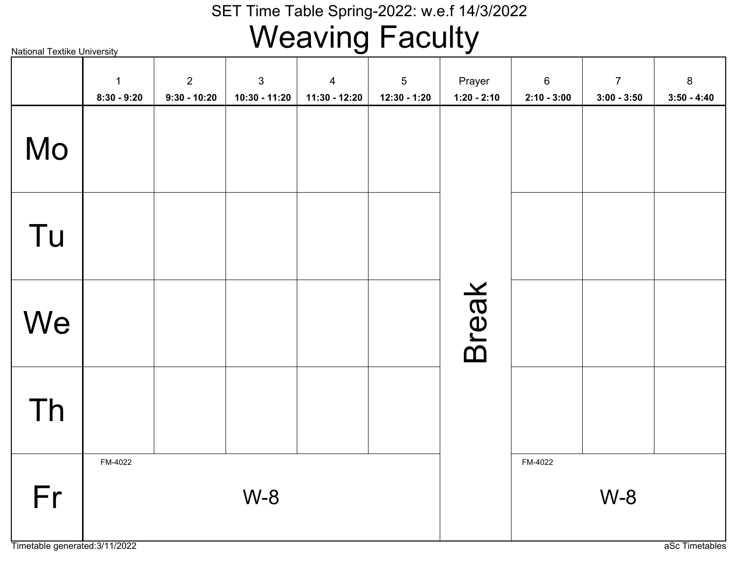# Weaving Faculty

|    | $\mathbf 1$<br>$8:30 - 9:20$ | $2^{\circ}$<br>$9:30 - 10:20$ | $\mathbf{3}$<br>$10:30 - 11:20$ | $\overline{4}$<br>11:30 - 12:20 | $\sqrt{5}$<br>12:30 - 1:20 | Prayer<br>$1:20 - 2:10$ | $\,6\,$<br>$2:10 - 3:00$ | $\overline{7}$<br>$3:00 - 3:50$ | $8\phantom{1}$<br>$3:50 - 4:40$ |
|----|------------------------------|-------------------------------|---------------------------------|---------------------------------|----------------------------|-------------------------|--------------------------|---------------------------------|---------------------------------|
| Mo |                              |                               |                                 |                                 |                            |                         |                          |                                 |                                 |
| Tu |                              |                               |                                 |                                 |                            |                         |                          |                                 |                                 |
| We |                              |                               |                                 |                                 |                            | <b>Break</b>            |                          |                                 |                                 |
| Th |                              |                               |                                 |                                 |                            |                         |                          |                                 |                                 |
| Fr | FM-4022                      |                               | $W-8$                           |                                 |                            |                         | FM-4022                  | $W-8$                           |                                 |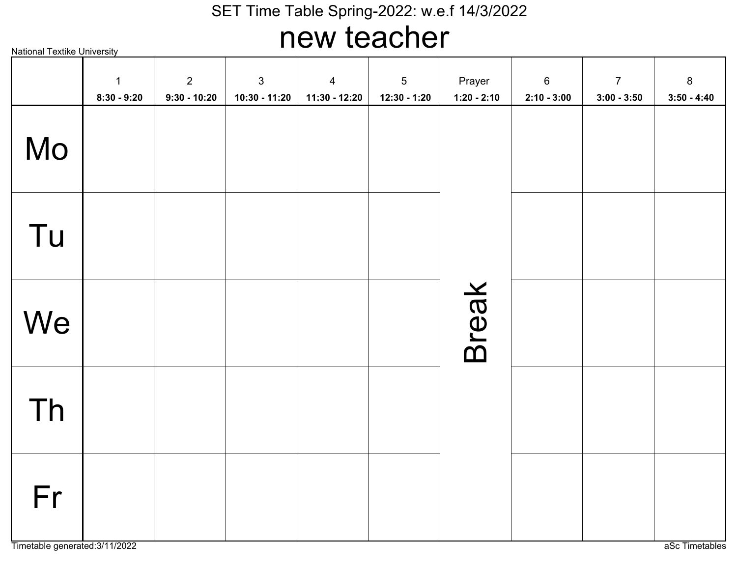### new teacher

|    | $\mathbf 1$<br>$8:30 - 9:20$ | 2 <sup>1</sup><br>$9:30 - 10:20$ | $\mathbf{3}$<br>$10:30 - 11:20$ | $\overline{4}$<br>11:30 - 12:20 | $\overline{5}$<br>$12:30 - 1:20$ | Prayer<br>$1:20 - 2:10$ | $\,6\,$<br>$2:10 - 3:00$ | $\overline{7}$<br>$3:00 - 3:50$ | $\bf 8$<br>$3:50 - 4:40$ |
|----|------------------------------|----------------------------------|---------------------------------|---------------------------------|----------------------------------|-------------------------|--------------------------|---------------------------------|--------------------------|
| Mo |                              |                                  |                                 |                                 |                                  |                         |                          |                                 |                          |
| Tu |                              |                                  |                                 |                                 |                                  |                         |                          |                                 |                          |
| We |                              |                                  |                                 |                                 |                                  | Break                   |                          |                                 |                          |
| Th |                              |                                  |                                 |                                 |                                  |                         |                          |                                 |                          |
| Fr |                              |                                  |                                 |                                 |                                  |                         |                          |                                 |                          |